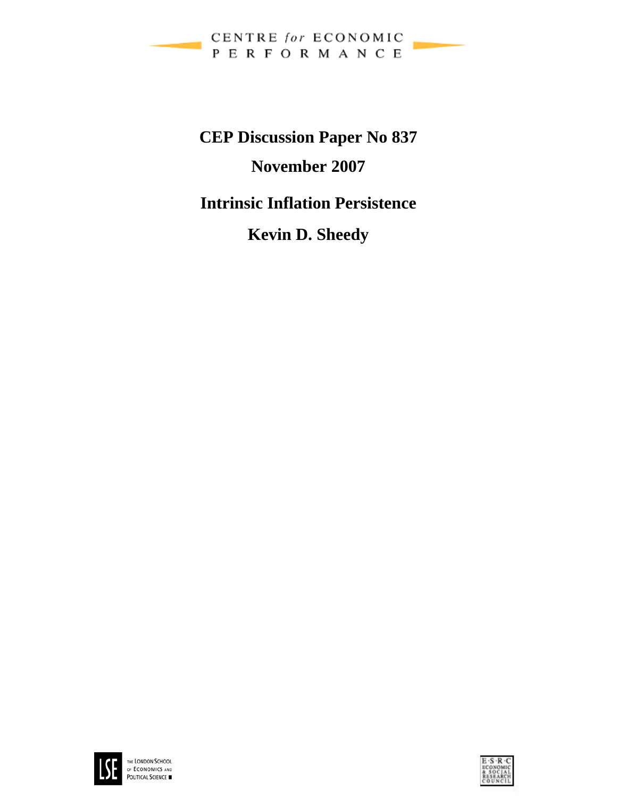

**CEP Discussion Paper No 837 November 2007 Intrinsic Inflation Persistence Kevin D. Sheedy** 



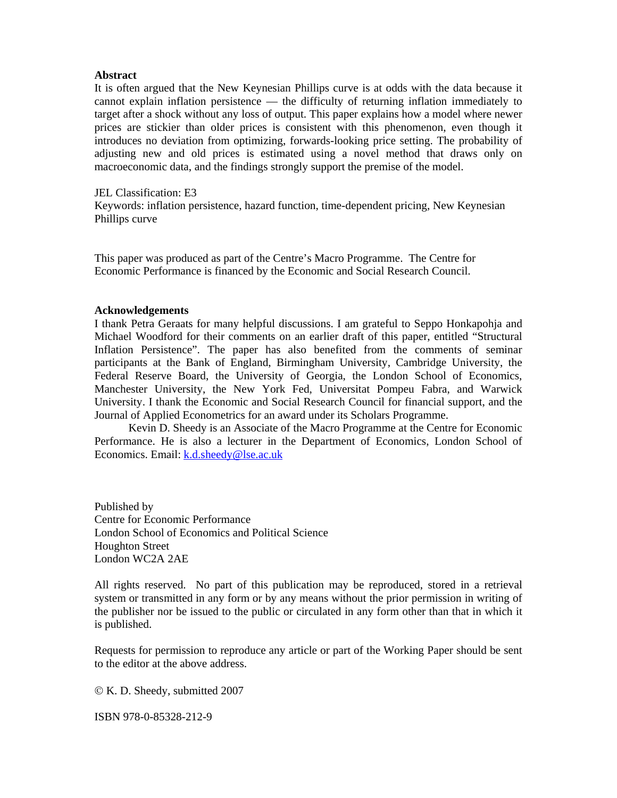#### **Abstract**

It is often argued that the New Keynesian Phillips curve is at odds with the data because it cannot explain inflation persistence — the difficulty of returning inflation immediately to target after a shock without any loss of output. This paper explains how a model where newer prices are stickier than older prices is consistent with this phenomenon, even though it introduces no deviation from optimizing, forwards-looking price setting. The probability of adjusting new and old prices is estimated using a novel method that draws only on macroeconomic data, and the findings strongly support the premise of the model.

#### JEL Classification: E3

Keywords: inflation persistence, hazard function, time-dependent pricing, New Keynesian Phillips curve

This paper was produced as part of the Centre's Macro Programme. The Centre for Economic Performance is financed by the Economic and Social Research Council.

#### **Acknowledgements**

I thank Petra Geraats for many helpful discussions. I am grateful to Seppo Honkapohja and Michael Woodford for their comments on an earlier draft of this paper, entitled "Structural Inflation Persistence". The paper has also benefited from the comments of seminar participants at the Bank of England, Birmingham University, Cambridge University, the Federal Reserve Board, the University of Georgia, the London School of Economics, Manchester University, the New York Fed, Universitat Pompeu Fabra, and Warwick University. I thank the Economic and Social Research Council for financial support, and the Journal of Applied Econometrics for an award under its Scholars Programme.

Kevin D. Sheedy is an Associate of the Macro Programme at the Centre for Economic Performance. He is also a lecturer in the Department of Economics, London School of Economics. Email: k.d.sheedy@lse.ac.uk

Published by Centre for Economic Performance London School of Economics and Political Science Houghton Street London WC2A 2AE

All rights reserved. No part of this publication may be reproduced, stored in a retrieval system or transmitted in any form or by any means without the prior permission in writing of the publisher nor be issued to the public or circulated in any form other than that in which it is published.

Requests for permission to reproduce any article or part of the Working Paper should be sent to the editor at the above address.

© K. D. Sheedy, submitted 2007

ISBN 978-0-85328-212-9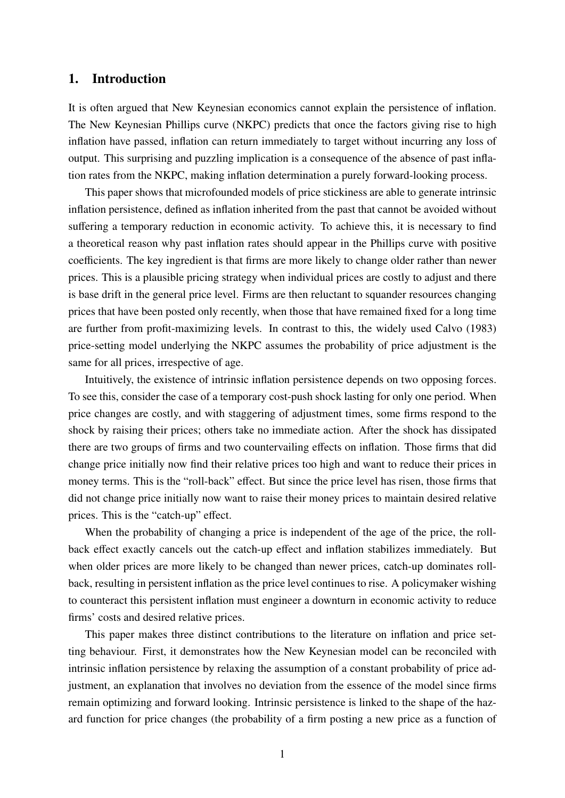## 1. Introduction

It is often argued that New Keynesian economics cannot explain the persistence of inflation. The New Keynesian Phillips curve (NKPC) predicts that once the factors giving rise to high inflation have passed, inflation can return immediately to target without incurring any loss of output. This surprising and puzzling implication is a consequence of the absence of past inflation rates from the NKPC, making inflation determination a purely forward-looking process.

This paper shows that microfounded models of price stickiness are able to generate intrinsic inflation persistence, defined as inflation inherited from the past that cannot be avoided without suffering a temporary reduction in economic activity. To achieve this, it is necessary to find a theoretical reason why past inflation rates should appear in the Phillips curve with positive coefficients. The key ingredient is that firms are more likely to change older rather than newer prices. This is a plausible pricing strategy when individual prices are costly to adjust and there is base drift in the general price level. Firms are then reluctant to squander resources changing prices that have been posted only recently, when those that have remained fixed for a long time are further from profit-maximizing levels. In contrast to this, the widely used Calvo (1983) price-setting model underlying the NKPC assumes the probability of price adjustment is the same for all prices, irrespective of age.

Intuitively, the existence of intrinsic inflation persistence depends on two opposing forces. To see this, consider the case of a temporary cost-push shock lasting for only one period. When price changes are costly, and with staggering of adjustment times, some firms respond to the shock by raising their prices; others take no immediate action. After the shock has dissipated there are two groups of firms and two countervailing effects on inflation. Those firms that did change price initially now find their relative prices too high and want to reduce their prices in money terms. This is the "roll-back" effect. But since the price level has risen, those firms that did not change price initially now want to raise their money prices to maintain desired relative prices. This is the "catch-up" effect.

When the probability of changing a price is independent of the age of the price, the rollback effect exactly cancels out the catch-up effect and inflation stabilizes immediately. But when older prices are more likely to be changed than newer prices, catch-up dominates rollback, resulting in persistent inflation as the price level continues to rise. A policymaker wishing to counteract this persistent inflation must engineer a downturn in economic activity to reduce firms' costs and desired relative prices.

This paper makes three distinct contributions to the literature on inflation and price setting behaviour. First, it demonstrates how the New Keynesian model can be reconciled with intrinsic inflation persistence by relaxing the assumption of a constant probability of price adjustment, an explanation that involves no deviation from the essence of the model since firms remain optimizing and forward looking. Intrinsic persistence is linked to the shape of the hazard function for price changes (the probability of a firm posting a new price as a function of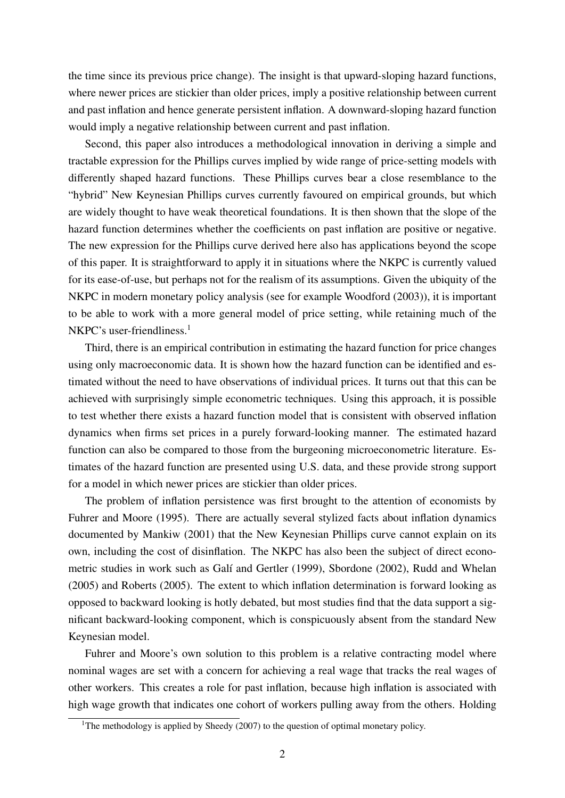the time since its previous price change). The insight is that upward-sloping hazard functions, where newer prices are stickier than older prices, imply a positive relationship between current and past inflation and hence generate persistent inflation. A downward-sloping hazard function would imply a negative relationship between current and past inflation.

Second, this paper also introduces a methodological innovation in deriving a simple and tractable expression for the Phillips curves implied by wide range of price-setting models with differently shaped hazard functions. These Phillips curves bear a close resemblance to the "hybrid" New Keynesian Phillips curves currently favoured on empirical grounds, but which are widely thought to have weak theoretical foundations. It is then shown that the slope of the hazard function determines whether the coefficients on past inflation are positive or negative. The new expression for the Phillips curve derived here also has applications beyond the scope of this paper. It is straightforward to apply it in situations where the NKPC is currently valued for its ease-of-use, but perhaps not for the realism of its assumptions. Given the ubiquity of the NKPC in modern monetary policy analysis (see for example Woodford (2003)), it is important to be able to work with a more general model of price setting, while retaining much of the NKPC's user-friendliness.<sup>1</sup>

Third, there is an empirical contribution in estimating the hazard function for price changes using only macroeconomic data. It is shown how the hazard function can be identified and estimated without the need to have observations of individual prices. It turns out that this can be achieved with surprisingly simple econometric techniques. Using this approach, it is possible to test whether there exists a hazard function model that is consistent with observed inflation dynamics when firms set prices in a purely forward-looking manner. The estimated hazard function can also be compared to those from the burgeoning microeconometric literature. Estimates of the hazard function are presented using U.S. data, and these provide strong support for a model in which newer prices are stickier than older prices.

The problem of inflation persistence was first brought to the attention of economists by Fuhrer and Moore (1995). There are actually several stylized facts about inflation dynamics documented by Mankiw (2001) that the New Keynesian Phillips curve cannot explain on its own, including the cost of disinflation. The NKPC has also been the subject of direct econometric studies in work such as Galí and Gertler (1999), Sbordone (2002), Rudd and Whelan (2005) and Roberts (2005). The extent to which inflation determination is forward looking as opposed to backward looking is hotly debated, but most studies find that the data support a significant backward-looking component, which is conspicuously absent from the standard New Keynesian model.

Fuhrer and Moore's own solution to this problem is a relative contracting model where nominal wages are set with a concern for achieving a real wage that tracks the real wages of other workers. This creates a role for past inflation, because high inflation is associated with high wage growth that indicates one cohort of workers pulling away from the others. Holding

<sup>&</sup>lt;sup>1</sup>The methodology is applied by Sheedy (2007) to the question of optimal monetary policy.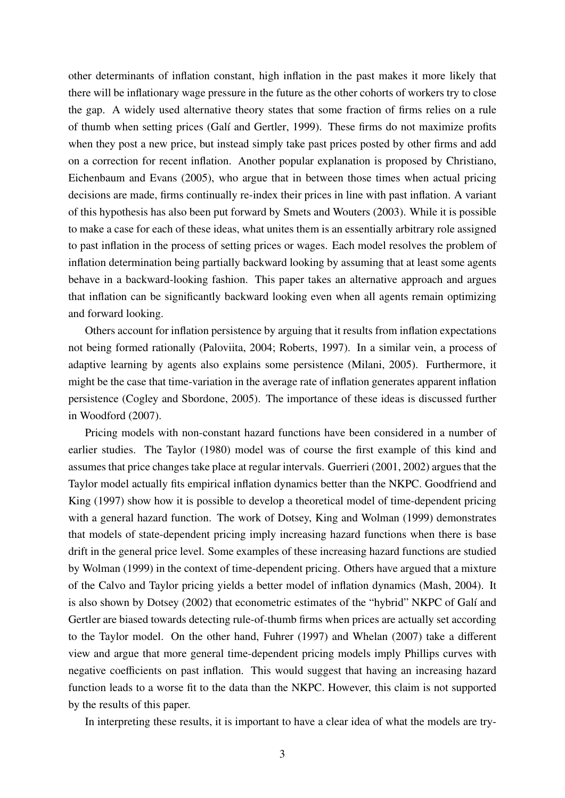other determinants of inflation constant, high inflation in the past makes it more likely that there will be inflationary wage pressure in the future as the other cohorts of workers try to close the gap. A widely used alternative theory states that some fraction of firms relies on a rule of thumb when setting prices (Gal´ı and Gertler, 1999). These firms do not maximize profits when they post a new price, but instead simply take past prices posted by other firms and add on a correction for recent inflation. Another popular explanation is proposed by Christiano, Eichenbaum and Evans (2005), who argue that in between those times when actual pricing decisions are made, firms continually re-index their prices in line with past inflation. A variant of this hypothesis has also been put forward by Smets and Wouters (2003). While it is possible to make a case for each of these ideas, what unites them is an essentially arbitrary role assigned to past inflation in the process of setting prices or wages. Each model resolves the problem of inflation determination being partially backward looking by assuming that at least some agents behave in a backward-looking fashion. This paper takes an alternative approach and argues that inflation can be significantly backward looking even when all agents remain optimizing and forward looking.

Others account for inflation persistence by arguing that it results from inflation expectations not being formed rationally (Paloviita, 2004; Roberts, 1997). In a similar vein, a process of adaptive learning by agents also explains some persistence (Milani, 2005). Furthermore, it might be the case that time-variation in the average rate of inflation generates apparent inflation persistence (Cogley and Sbordone, 2005). The importance of these ideas is discussed further in Woodford (2007).

Pricing models with non-constant hazard functions have been considered in a number of earlier studies. The Taylor (1980) model was of course the first example of this kind and assumes that price changes take place at regular intervals. Guerrieri (2001, 2002) argues that the Taylor model actually fits empirical inflation dynamics better than the NKPC. Goodfriend and King (1997) show how it is possible to develop a theoretical model of time-dependent pricing with a general hazard function. The work of Dotsey, King and Wolman (1999) demonstrates that models of state-dependent pricing imply increasing hazard functions when there is base drift in the general price level. Some examples of these increasing hazard functions are studied by Wolman (1999) in the context of time-dependent pricing. Others have argued that a mixture of the Calvo and Taylor pricing yields a better model of inflation dynamics (Mash, 2004). It is also shown by Dotsey (2002) that econometric estimates of the "hybrid" NKPC of Galí and Gertler are biased towards detecting rule-of-thumb firms when prices are actually set according to the Taylor model. On the other hand, Fuhrer (1997) and Whelan (2007) take a different view and argue that more general time-dependent pricing models imply Phillips curves with negative coefficients on past inflation. This would suggest that having an increasing hazard function leads to a worse fit to the data than the NKPC. However, this claim is not supported by the results of this paper.

In interpreting these results, it is important to have a clear idea of what the models are try-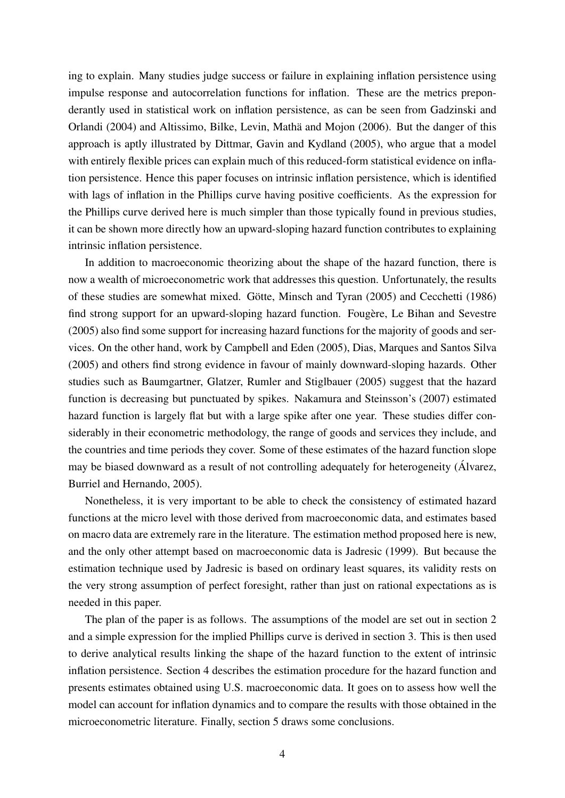ing to explain. Many studies judge success or failure in explaining inflation persistence using impulse response and autocorrelation functions for inflation. These are the metrics preponderantly used in statistical work on inflation persistence, as can be seen from Gadzinski and Orlandi (2004) and Altissimo, Bilke, Levin, Matha and Mojon (2006). But the danger of this ¨ approach is aptly illustrated by Dittmar, Gavin and Kydland (2005), who argue that a model with entirely flexible prices can explain much of this reduced-form statistical evidence on inflation persistence. Hence this paper focuses on intrinsic inflation persistence, which is identified with lags of inflation in the Phillips curve having positive coefficients. As the expression for the Phillips curve derived here is much simpler than those typically found in previous studies, it can be shown more directly how an upward-sloping hazard function contributes to explaining intrinsic inflation persistence.

In addition to macroeconomic theorizing about the shape of the hazard function, there is now a wealth of microeconometric work that addresses this question. Unfortunately, the results of these studies are somewhat mixed. Götte, Minsch and Tyran (2005) and Cecchetti (1986) find strong support for an upward-sloping hazard function. Fougere, Le Bihan and Sevestre (2005) also find some support for increasing hazard functions for the majority of goods and services. On the other hand, work by Campbell and Eden (2005), Dias, Marques and Santos Silva (2005) and others find strong evidence in favour of mainly downward-sloping hazards. Other studies such as Baumgartner, Glatzer, Rumler and Stiglbauer (2005) suggest that the hazard function is decreasing but punctuated by spikes. Nakamura and Steinsson's (2007) estimated hazard function is largely flat but with a large spike after one year. These studies differ considerably in their econometric methodology, the range of goods and services they include, and the countries and time periods they cover. Some of these estimates of the hazard function slope may be biased downward as a result of not controlling adequately for heterogeneity (Alvarez, Burriel and Hernando, 2005).

Nonetheless, it is very important to be able to check the consistency of estimated hazard functions at the micro level with those derived from macroeconomic data, and estimates based on macro data are extremely rare in the literature. The estimation method proposed here is new, and the only other attempt based on macroeconomic data is Jadresic (1999). But because the estimation technique used by Jadresic is based on ordinary least squares, its validity rests on the very strong assumption of perfect foresight, rather than just on rational expectations as is needed in this paper.

The plan of the paper is as follows. The assumptions of the model are set out in section 2 and a simple expression for the implied Phillips curve is derived in section 3. This is then used to derive analytical results linking the shape of the hazard function to the extent of intrinsic inflation persistence. Section 4 describes the estimation procedure for the hazard function and presents estimates obtained using U.S. macroeconomic data. It goes on to assess how well the model can account for inflation dynamics and to compare the results with those obtained in the microeconometric literature. Finally, section 5 draws some conclusions.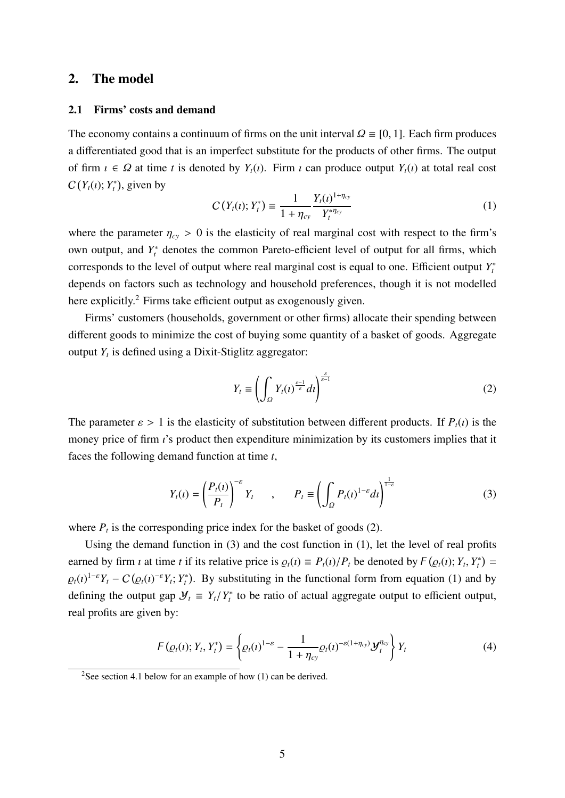## 2. The model

## 2.1 Firms' costs and demand

The economy contains a continuum of firms on the unit interval  $\Omega \equiv [0, 1]$ . Each firm produces a differentiated good that is an imperfect substitute for the products of other firms. The output of firm  $i \in \Omega$  at time *t* is denoted by  $Y_t(i)$ . Firm  $i$  can produce output  $Y_t(i)$  at total real cost  $C(Y_t(i); Y_t^*)$ , given by

$$
C(Y_t(\iota); Y_t^*) \equiv \frac{1}{1 + \eta_{cy}} \frac{Y_t(\iota)^{1 + \eta_{cy}}}{Y_t^{* \eta_{cy}}} \tag{1}
$$

where the parameter  $\eta_{cy} > 0$  is the elasticity of real marginal cost with respect to the firm's own output, and  $Y_t^*$  denotes the common Pareto-efficient level of output for all firms, which corresponds to the level of output where real marginal cost is equal to one. Efficient output *Y* ∗ *t* depends on factors such as technology and household preferences, though it is not modelled here explicitly.<sup>2</sup> Firms take efficient output as exogenously given.

Firms' customers (households, government or other firms) allocate their spending between different goods to minimize the cost of buying some quantity of a basket of goods. Aggregate output  $Y_t$  is defined using a Dixit-Stiglitz aggregator:

$$
Y_t \equiv \left(\int_{\Omega} Y_t(t)^{\frac{\varepsilon - 1}{\varepsilon}} dt\right)^{\frac{\varepsilon}{\varepsilon - 1}}
$$
 (2)

The parameter  $\varepsilon > 1$  is the elasticity of substitution between different products. If  $P_t(i)$  is the money price of firm  $\iota$ 's product then expenditure minimization by its customers implies that it faces the following demand function at time *t*,

$$
Y_t(\iota) = \left(\frac{P_t(\iota)}{P_t}\right)^{-\varepsilon} Y_t \qquad , \qquad P_t \equiv \left(\int_{\Omega} P_t(\iota)^{1-\varepsilon} d\iota\right)^{\frac{1}{1-\varepsilon}} \tag{3}
$$

where  $P_t$  is the corresponding price index for the basket of goods (2).

Using the demand function in (3) and the cost function in (1), let the level of real profits earned by firm *t* at time *t* if its relative price is  $\rho_t(t) \equiv P_t(t)/P_t$  be denoted by  $F(\rho_t(t); Y_t, Y_t^*) =$  $\varrho_t(t)^{1-\varepsilon} Y_t - C(\varrho_t(t)^{-\varepsilon} Y_t; Y_t^*)$ . By substituting in the functional form from equation (1) and by defining the output gap  $\mathcal{Y}_t \equiv Y_t/Y_t^*$  to be ratio of actual aggregate output to efficient output, real profits are given by:

$$
F(\varrho_t(\iota); Y_t, Y_t^*) = \left\{ \varrho_t(\iota)^{1-\varepsilon} - \frac{1}{1+\eta_{cy}} \varrho_t(\iota)^{-\varepsilon(1+\eta_{cy})} \mathcal{Y}_t^{\eta_{cy}} \right\} Y_t
$$
 (4)

<sup>&</sup>lt;sup>2</sup>See section 4.1 below for an example of how  $(1)$  can be derived.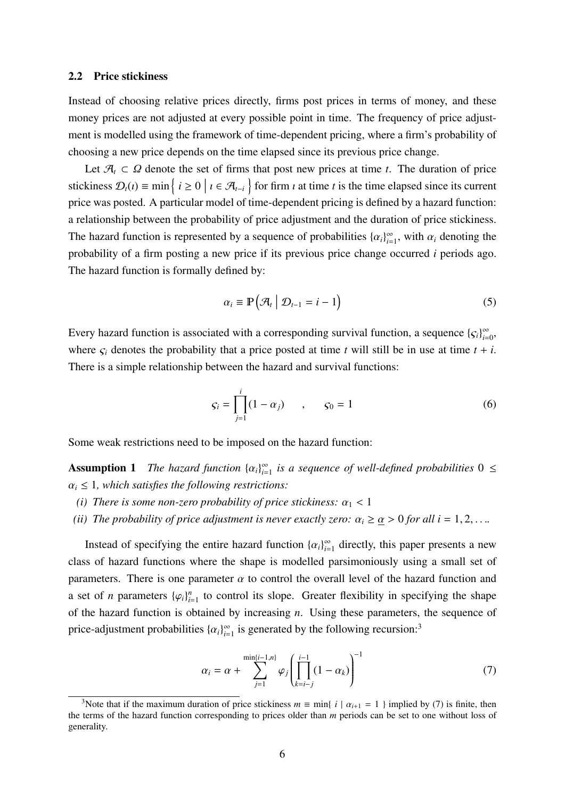#### 2.2 Price stickiness

Instead of choosing relative prices directly, firms post prices in terms of money, and these money prices are not adjusted at every possible point in time. The frequency of price adjustment is modelled using the framework of time-dependent pricing, where a firm's probability of choosing a new price depends on the time elapsed since its previous price change.

Let  $\mathcal{A}_t \subset \Omega$  denote the set of firms that post new prices at time *t*. The duration of price stickiness  $\mathcal{D}_t(i) \equiv \min \{ i \ge 0 \mid i \in \mathcal{A}_{t-i} \}$  for firm *i* at time *t* is the time elapsed since its current price was posted. A particular model of time-dependent pricing is defined by a hazard function: a relationship between the probability of price adjustment and the duration of price stickiness. The hazard function is represented by a sequence of probabilities  $\{\alpha_i\}_{i=1}^{\infty}$  $\sum_{i=1}^{\infty}$ , with  $\alpha_i$  denoting the probability of a firm posting a new price if its previous price change occurred *i* periods ago. The hazard function is formally defined by:

$$
\alpha_i \equiv \mathbb{P}\left(\mathcal{A}_t \mid \mathcal{D}_{t-1} = i - 1\right) \tag{5}
$$

Every hazard function is associated with a corresponding survival function, a sequence  $\{ \zeta_i \}_{i=1}^{\infty}$  $\sum_{i=0}^{\infty}$ where  $\varsigma_i$  denotes the probability that a price posted at time *t* will still be in use at time  $t + i$ . There is a simple relationship between the hazard and survival functions:

$$
S_i = \prod_{j=1}^{i} (1 - \alpha_j) \qquad , \qquad S_0 = 1 \tag{6}
$$

Some weak restrictions need to be imposed on the hazard function:

**Assumption 1** *The hazard function*  $\{\alpha_i\}_{i=1}^{\infty}$  $\sum_{i=1}^{\infty}$  *is a sequence of well-defined probabilities*  $0 \leq$  $\alpha_i \leq 1$ , which satisfies the following restrictions:

- *(i) There is some non-zero probability of price stickiness:*  $\alpha_1 < 1$
- *(ii) The probability of price adjustment is never exactly zero:*  $\alpha_i \geq \underline{\alpha} > 0$  *for all i* = 1, 2, ...

Instead of specifying the entire hazard function  $\{\alpha_i\}_{i=1}^{\infty}$  $\sum_{i=1}^{\infty}$  directly, this paper presents a new class of hazard functions where the shape is modelled parsimoniously using a small set of parameters. There is one parameter  $\alpha$  to control the overall level of the hazard function and a set of *n* parameters  $\{\varphi_i\}_{i}^n$  $\sum_{i=1}^{n}$  to control its slope. Greater flexibility in specifying the shape of the hazard function is obtained by increasing *n*. Using these parameters, the sequence of price-adjustment probabilities  $\{\alpha_i\}_{i=1}^{\infty}$  $\sum_{i=1}^{\infty}$  is generated by the following recursion:<sup>3</sup>

$$
\alpha_i = \alpha + \sum_{j=1}^{\min\{i-1,n\}} \varphi_j \left( \prod_{k=i-j}^{i-1} (1 - \alpha_k) \right)^{-1} \tag{7}
$$

<sup>&</sup>lt;sup>3</sup>Note that if the maximum duration of price stickiness  $m \equiv \min\{i \mid \alpha_{i+1} = 1\}$  implied by (7) is finite, then the terms of the hazard function corresponding to prices older than *m* periods can be set to one without loss of generality.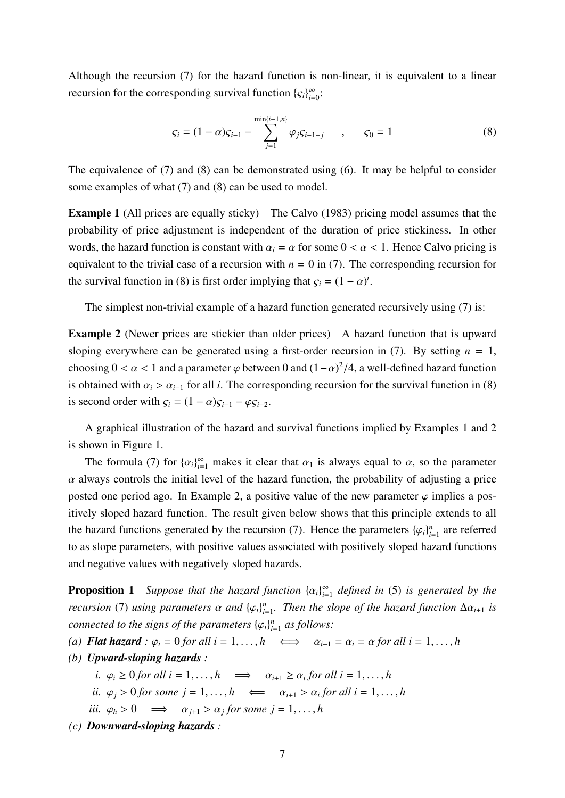Although the recursion (7) for the hazard function is non-linear, it is equivalent to a linear recursion for the corresponding survival function  ${c_i}_{i=1}^{\infty}$  $\sum_{i=0}^{\infty}$ 

$$
\varsigma_i = (1 - \alpha)\varsigma_{i-1} - \sum_{j=1}^{\min\{i-1, n\}} \varphi_j \varsigma_{i-1-j} \qquad , \qquad \varsigma_0 = 1 \tag{8}
$$

The equivalence of (7) and (8) can be demonstrated using (6). It may be helpful to consider some examples of what (7) and (8) can be used to model.

Example 1 (All prices are equally sticky) The Calvo (1983) pricing model assumes that the probability of price adjustment is independent of the duration of price stickiness. In other words, the hazard function is constant with  $\alpha_i = \alpha$  for some  $0 < \alpha < 1$ . Hence Calvo pricing is equivalent to the trivial case of a recursion with  $n = 0$  in (7). The corresponding recursion for the survival function in (8) is first order implying that  $\zeta_i = (1 - \alpha)^i$ .

The simplest non-trivial example of a hazard function generated recursively using (7) is:

Example 2 (Newer prices are stickier than older prices) A hazard function that is upward sloping everywhere can be generated using a first-order recursion in (7). By setting  $n = 1$ , choosing  $0 < \alpha < 1$  and a parameter  $\varphi$  between 0 and  $(1-\alpha)^2/4$ , a well-defined hazard function is obtained with  $\alpha_i > \alpha_{i-1}$  for all *i*. The corresponding recursion for the survival function in (8) is second order with  $\varsigma_i = (1 - \alpha) \varsigma_{i-1} - \varphi \varsigma_{i-2}$ .

A graphical illustration of the hazard and survival functions implied by Examples 1 and 2 is shown in Figure 1.

The formula (7) for  $\{\alpha_i\}_{i=1}^{\infty}$  makes it clear that  $\alpha_1$  is always equal to  $\alpha$ , so the parameter  $\alpha$  always controls the initial level of the hazard function, the probability of adjusting a price posted one period ago. In Example 2, a positive value of the new parameter  $\varphi$  implies a positively sloped hazard function. The result given below shows that this principle extends to all the hazard functions generated by the recursion (7). Hence the parameters  $\{\varphi_i\}_{i=1}^n$  $n_{i=1}^n$  are referred to as slope parameters, with positive values associated with positively sloped hazard functions and negative values with negatively sloped hazards.

**Proposition 1** *Suppose that the hazard function*  $\{\alpha_i\}_{i=1}^{\infty}$ *i*=1 *defined in* (5) *is generated by the recursion* (7) *using parameters*  $\alpha$  *and*  $\{\varphi_i\}_{i=1}^n$ *i*=1 *. Then the slope of the hazard function* ∆α*<sup>i</sup>*+<sup>1</sup> *is connected to the signs of the parameters*  $\{\varphi_i\}_{i=1}^n$ *i*=1 *as follows:*

- *(a) Flat hazard* :  $\varphi_i = 0$  *for all*  $i = 1, ..., h$   $\iff$   $\alpha_{i+1} = \alpha_i = \alpha$  *for all*  $i = 1, ..., h$
- *(b) Upward-sloping hazards :*

*i.*  $\varphi_i \geq 0$  *for all i* = 1, ..., *h*  $\implies$   $\alpha_{i+1} \geq \alpha_i$  *for all i* = 1, ..., *h* 

- *ii.*  $\varphi_j > 0$  *for some*  $j = 1, ..., h \iff \alpha_{i+1} > \alpha_i$  *for all i* = 1, ..., *h*
- *iii.*  $\varphi_h > 0 \implies \alpha_{j+1} > \alpha_j$  for some  $j = 1, ..., h$
- *(c) Downward-sloping hazards :*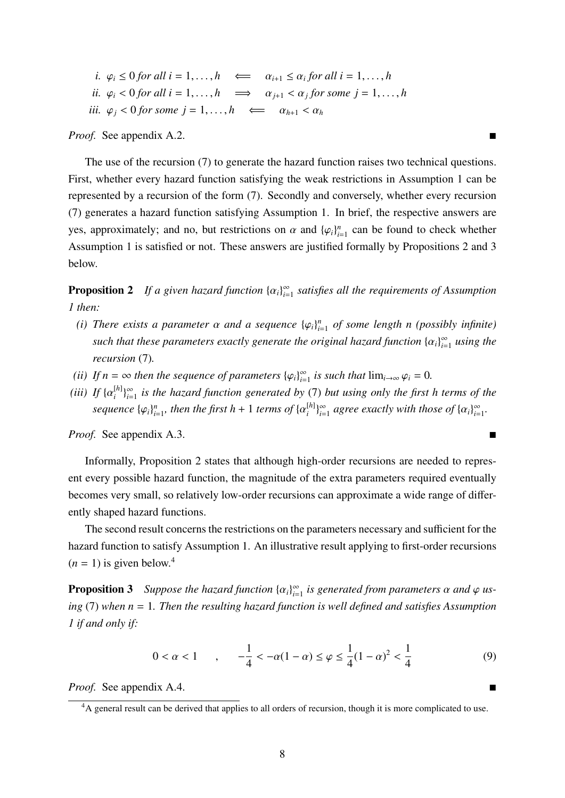*i.*  $\varphi_i \leq 0$  *for all i* = 1, ..., *h*  $\iff \alpha_{i+1} \leq \alpha_i$  *for all i* = 1, ..., *h ii.*  $\varphi_i < 0$  *for all i* = 1, ..., *h*  $\implies$   $\alpha_{j+1} < \alpha_j$  *for some j* = 1, ..., *h iii.*  $\varphi_i < 0$  *for some*  $j = 1, ..., h \iff \alpha_{h+1} < \alpha_h$ 

*Proof.* See appendix A.2. ■

The use of the recursion (7) to generate the hazard function raises two technical questions. First, whether every hazard function satisfying the weak restrictions in Assumption 1 can be represented by a recursion of the form (7). Secondly and conversely, whether every recursion (7) generates a hazard function satisfying Assumption 1. In brief, the respective answers are yes, approximately; and no, but restrictions on  $\alpha$  and  $\{\varphi_i\}_{i=1}^n$  $\sum_{i=1}^{n}$  can be found to check whether Assumption 1 is satisfied or not. These answers are justified formally by Propositions 2 and 3 below.

**Proposition 2** If a given hazard function  $\{\alpha_i\}_{i=1}^{\infty}$ *i*=1 *satisfies all the requirements of Assumption 1 then:*

- *(i) There exists a parameter*  $\alpha$  *and a sequence*  $\{\varphi_i\}_{i=1}^n$ *i*=1 *of some length n (possibly infinite) such that these parameters exactly generate the original hazard function*  $\{\alpha_i\}_{i=1}^{\infty}$ *i*=1 *using the recursion* (7)*.*
- *(ii) If*  $n = \infty$  *then the sequence of parameters*  $\{\varphi_i\}_{i=1}^{\infty}$  $\sum_{i=1}^{\infty}$  *is such that*  $\lim_{i\to\infty} \varphi_i = 0$ *.*
- *(iii) If*  $\{\alpha_i^{[h]} \}$  $\begin{bmatrix} h \\ i \end{bmatrix}$   $\begin{bmatrix} \infty \\ i \end{bmatrix}$ *i*=1 *is the hazard function generated by* (7) *but using only the first h terms of the sequence*  $\{\varphi_i\}_{i=1}^n$  $\sum_{i=1}^n$ , then the first  $h+1$  terms of  $\{\alpha_i^{[h]}\}$  $\begin{bmatrix} h \\ i \end{bmatrix}$   $\begin{bmatrix} \infty \\ i = 1 \end{bmatrix}$  $\sum_{i=1}^{\infty}$  agree exactly with those of  $\{\alpha_i\}_{i=1}^{\infty}$  $\sum_{i=1}^{\infty}$

*Proof.* See appendix A.3.

Informally, Proposition 2 states that although high-order recursions are needed to represent every possible hazard function, the magnitude of the extra parameters required eventually becomes very small, so relatively low-order recursions can approximate a wide range of differently shaped hazard functions.

The second result concerns the restrictions on the parameters necessary and sufficient for the hazard function to satisfy Assumption 1. An illustrative result applying to first-order recursions  $(n = 1)$  is given below.<sup>4</sup>

**Proposition 3** Suppose the hazard function  $\{\alpha_i\}_{i=1}^{\infty}$  $\sum_{i=1}^{\infty}$  *is generated from parameters*  $\alpha$  *and*  $\varphi$  *using* (7) *when n* = 1*. Then the resulting hazard function is well defined and satisfies Assumption 1 if and only if:*

$$
0 < \alpha < 1 \qquad , \qquad -\frac{1}{4} < -\alpha(1 - \alpha) \le \varphi \le \frac{1}{4}(1 - \alpha)^2 < \frac{1}{4} \tag{9}
$$

*Proof.* See appendix A.4.

<sup>&</sup>lt;sup>4</sup>A general result can be derived that applies to all orders of recursion, though it is more complicated to use.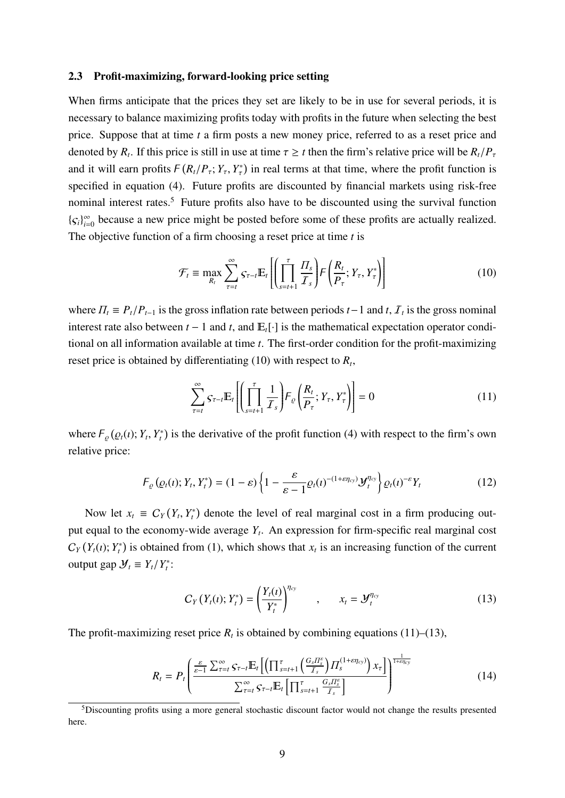#### 2.3 Profit-maximizing, forward-looking price setting

When firms anticipate that the prices they set are likely to be in use for several periods, it is necessary to balance maximizing profits today with profits in the future when selecting the best price. Suppose that at time *t* a firm posts a new money price, referred to as a reset price and denoted by  $R_t$ . If this price is still in use at time  $\tau \geq t$  then the firm's relative price will be  $R_t/P_{\tau}$ and it will earn profits  $F(R_t/P_\tau; Y_\tau, Y_\tau^*)$  in real terms at that time, where the profit function is specified in equation (4). Future profits are discounted by financial markets using risk-free nominal interest rates.<sup>5</sup> Future profits also have to be discounted using the survival function  ${S_i}_{i=0}^{\infty}$  $\sum_{i=0}^{\infty}$  because a new price might be posted before some of these profits are actually realized. The objective function of a firm choosing a reset price at time *t* is

$$
\mathcal{F}_t \equiv \max_{R_t} \sum_{\tau=t}^{\infty} \varsigma_{\tau-t} \mathbb{E}_t \left[ \left( \prod_{s=t+1}^{\tau} \frac{H_s}{\mathcal{I}_s} \right) \! F \left( \frac{R_t}{P_{\tau}}; Y_{\tau}, Y_{\tau}^* \right) \right] \tag{10}
$$

where  $\Pi_t \equiv P_t/P_{t-1}$  is the gross inflation rate between periods  $t-1$  and  $t$ ,  $\mathcal{I}_t$  is the gross nominal interest rate also between  $t - 1$  and  $t$ , and  $E_t[\cdot]$  is the mathematical expectation operator conditional on all information available at time *t*. The first-order condition for the profit-maximizing reset price is obtained by differentiating (10) with respect to *R<sup>t</sup>* ,

$$
\sum_{\tau=t}^{\infty} S_{\tau-t} \mathbb{E}_t \left[ \left( \prod_{s=t+1}^{\tau} \frac{1}{\mathcal{I}_s} \right) F_{\varrho} \left( \frac{R_t}{P_{\tau}}; Y_{\tau}, Y_{\tau}^* \right) \right] = 0 \tag{11}
$$

where  $F_{\varrho}(\varrho_t(\iota); Y_t, Y_t^*)$  is the derivative of the profit function (4) with respect to the firm's own relative price:

$$
F_{\varrho}(\varrho_t(\iota); Y_t, Y_t^*) = (1 - \varepsilon) \left\{ 1 - \frac{\varepsilon}{\varepsilon - 1} \varrho_t(\iota)^{-(1 + \varepsilon \eta_{cy})} \mathcal{Y}_t^{\eta_{cy}} \right\} \varrho_t(\iota)^{-\varepsilon} Y_t
$$
(12)

Now let  $x_t \equiv C_Y(Y_t, Y_t^*)$  denote the level of real marginal cost in a firm producing output equal to the economy-wide average *Y<sup>t</sup>* . An expression for firm-specific real marginal cost  $C_Y(Y_t(i); Y_t^*)$  is obtained from (1), which shows that  $x_t$  is an increasing function of the current output gap  $\mathcal{Y}_t \equiv Y_t/Y_t^*$ :

$$
C_Y(Y_t(t); Y_t^*) = \left(\frac{Y_t(t)}{Y_t^*}\right)^{\eta_{cy}}, \qquad x_t = \mathcal{Y}_t^{\eta_{cy}}
$$
 (13)

The profit-maximizing reset price  $R_t$  is obtained by combining equations (11)–(13),

$$
R_{t} = P_{t} \left( \frac{\frac{\varepsilon}{\varepsilon - 1} \sum_{\tau = t}^{\infty} \mathcal{S}_{\tau - t} \mathbb{E}_{t} \left[ \left( \prod_{s = t + 1}^{\tau} \left( \frac{G_{s} H_{s}^{e}}{I_{s}} \right) \prod_{s}^{(1 + \varepsilon \eta_{cy})} \right) x_{\tau} \right] \right)^{\frac{1}{1 + \varepsilon \eta_{cy}}} \left( 14 \right)
$$

<sup>5</sup>Discounting profits using a more general stochastic discount factor would not change the results presented here.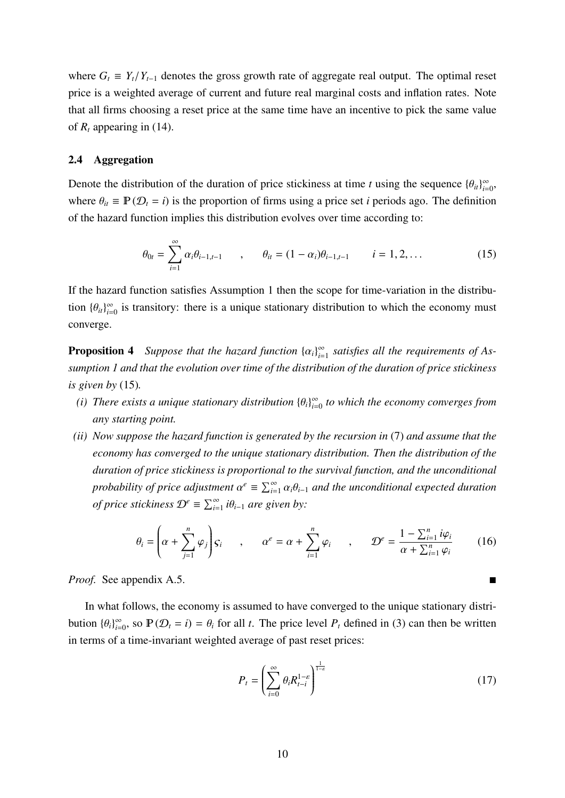where  $G_t \equiv Y_t/Y_{t-1}$  denotes the gross growth rate of aggregate real output. The optimal reset price is a weighted average of current and future real marginal costs and inflation rates. Note that all firms choosing a reset price at the same time have an incentive to pick the same value of  $R_t$  appearing in (14).

## 2.4 Aggregation

Denote the distribution of the duration of price stickiness at time *t* using the sequence  ${\{\theta_{it}\}}_{i=1}^{\infty}$  $\sum_{i=0}^{\infty}$ where  $\theta_{it} \equiv \mathbb{P}(\mathcal{D}_t = i)$  is the proportion of firms using a price set *i* periods ago. The definition of the hazard function implies this distribution evolves over time according to:

$$
\theta_{0t} = \sum_{i=1}^{\infty} \alpha_i \theta_{i-1,t-1} \qquad , \qquad \theta_{it} = (1 - \alpha_i) \theta_{i-1,t-1} \qquad i = 1, 2, \dots \tag{15}
$$

If the hazard function satisfies Assumption 1 then the scope for time-variation in the distribution  $\{\theta_{it}\}_{i=1}^{\infty}$  $\sum_{i=0}^{\infty}$  is transitory: there is a unique stationary distribution to which the economy must converge.

**Proposition 4** *Suppose that the hazard function*  $\{\alpha_i\}_{i=1}^{\infty}$  $\sum_{i=1}^{\infty}$  satisfies all the requirements of As*sumption 1 and that the evolution over time of the distribution of the duration of price stickiness is given by* (15)*.*

- *(i) There exists a unique stationary distribution*  $\{\theta_i\}_{i=1}^{\infty}$ *i*=0 *to which the economy converges from any starting point.*
- *(ii) Now suppose the hazard function is generated by the recursion in* (7) *and assume that the economy has converged to the unique stationary distribution. Then the distribution of the duration of price stickiness is proportional to the survival function, and the unconditional probability of price adjustment*  $\alpha^e \equiv \sum_{i=1}^{\infty} \alpha_i \theta_{i-1}$  *and the unconditional expected duration of price stickiness*  $\mathcal{D}^e \equiv \sum_{i=1}^{\infty} i \theta_{i-1}$  are given by:

$$
\theta_i = \left(\alpha + \sum_{j=1}^n \varphi_j\right) S_i \qquad , \qquad \alpha^e = \alpha + \sum_{i=1}^n \varphi_i \qquad , \qquad \mathcal{D}^e = \frac{1 - \sum_{i=1}^n i \varphi_i}{\alpha + \sum_{i=1}^n \varphi_i} \qquad (16)
$$

*Proof.* See appendix A.5.

In what follows, the economy is assumed to have converged to the unique stationary distribution  $\{\theta_i\}_{i=1}^{\infty}$  $\sum_{i=0}^{\infty}$ , so  $\mathbb{P}(\mathcal{D}_t = i) = \theta_i$  for all *t*. The price level  $P_t$  defined in (3) can then be written in terms of a time-invariant weighted average of past reset prices:

$$
P_t = \left(\sum_{i=0}^{\infty} \theta_i R_{t-i}^{1-\varepsilon}\right)^{\frac{1}{1-\varepsilon}}
$$
(17)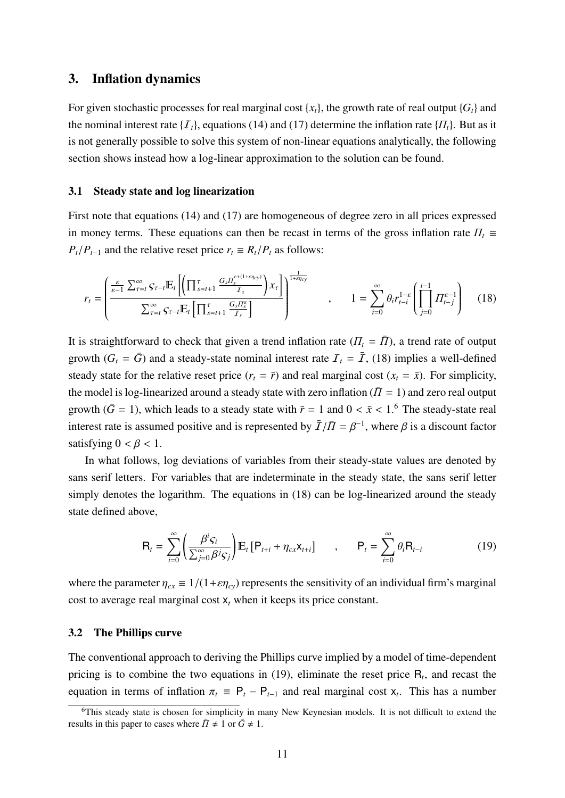## 3. Inflation dynamics

For given stochastic processes for real marginal cost  $\{x_t\}$ , the growth rate of real output  $\{G_t\}$  and the nominal interest rate  $\{I_t\}$ , equations (14) and (17) determine the inflation rate  $\{I_t\}$ . But as it is not generally possible to solve this system of non-linear equations analytically, the following section shows instead how a log-linear approximation to the solution can be found.

## 3.1 Steady state and log linearization

First note that equations (14) and (17) are homogeneous of degree zero in all prices expressed in money terms. These equations can then be recast in terms of the gross inflation rate  $\Pi_t$  $P_t/P_{t-1}$  and the relative reset price  $r_t \equiv R_t/P_t$  as follows:

$$
r_t = \left(\frac{\frac{\varepsilon}{\varepsilon-1} \sum_{\tau=t}^{\infty} \mathcal{S}_{\tau-t} \mathbb{E}_t \left[ \left( \prod_{s=t+1}^{\tau} \frac{G_s \Pi_s^{\varepsilon+(1+\varepsilon \eta_{cy})}}{I_s} \right) x_{\tau} \right]}{\sum_{\tau=t}^{\infty} \mathcal{S}_{\tau-t} \mathbb{E}_t \left[ \prod_{s=t+1}^{\tau} \frac{G_s \Pi_s^{\varepsilon}}{I_s} \right]} \right)^{\frac{1}{1+\varepsilon \eta_{cy}}} , \qquad 1 = \sum_{i=0}^{\infty} \theta_i r_{t-i}^{1-\varepsilon} \left( \prod_{j=0}^{i-1} \Pi_{t-j}^{\varepsilon-1} \right) \tag{18}
$$

It is straightforward to check that given a trend inflation rate  $(\Pi_t = \overline{\Pi})$ , a trend rate of output growth  $(G_t = \bar{G})$  and a steady-state nominal interest rate  $\mathcal{I}_t = \bar{\mathcal{I}}$ , (18) implies a well-defined steady state for the relative reset price  $(r_t = \bar{r})$  and real marginal cost  $(x_t = \bar{x})$ . For simplicity, the model is log-linearized around a steady state with zero inflation ( $\overline{I} = 1$ ) and zero real output growth ( $\bar{G}$  = 1), which leads to a steady state with  $\bar{r}$  = 1 and 0 <  $\bar{x}$  < 1.<sup>6</sup> The steady-state real interest rate is assumed positive and is represented by  $\bar{I}/\bar{I} = \beta^{-1}$ , where  $\beta$  is a discount factor satisfying  $0 < \beta < 1$ .

In what follows, log deviations of variables from their steady-state values are denoted by sans serif letters. For variables that are indeterminate in the steady state, the sans serif letter simply denotes the logarithm. The equations in (18) can be log-linearized around the steady state defined above,

$$
\mathsf{R}_{t} = \sum_{i=0}^{\infty} \left( \frac{\beta^{i} \mathsf{S}_{i}}{\sum_{j=0}^{\infty} \beta^{j} \mathsf{S}_{j}} \right) \mathbb{E}_{t} \left[ \mathsf{P}_{t+i} + \eta_{cx} \mathsf{X}_{t+i} \right] \quad , \quad \mathsf{P}_{t} = \sum_{i=0}^{\infty} \theta_{i} \mathsf{R}_{t-i} \tag{19}
$$

where the parameter  $\eta_{cx} \equiv 1/(1+\epsilon \eta_{cy})$  represents the sensitivity of an individual firm's marginal cost to average real marginal cost  $x_t$  when it keeps its price constant.

### 3.2 The Phillips curve

The conventional approach to deriving the Phillips curve implied by a model of time-dependent pricing is to combine the two equations in  $(19)$ , eliminate the reset price  $R_t$ , and recast the equation in terms of inflation  $\pi_t \equiv P_t - P_{t-1}$  and real marginal cost  $x_t$ . This has a number

<sup>&</sup>lt;sup>6</sup>This steady state is chosen for simplicity in many New Keynesian models. It is not difficult to extend the results in this paper to cases where  $\bar{\Pi} \neq 1$  or  $\bar{G} \neq 1$ .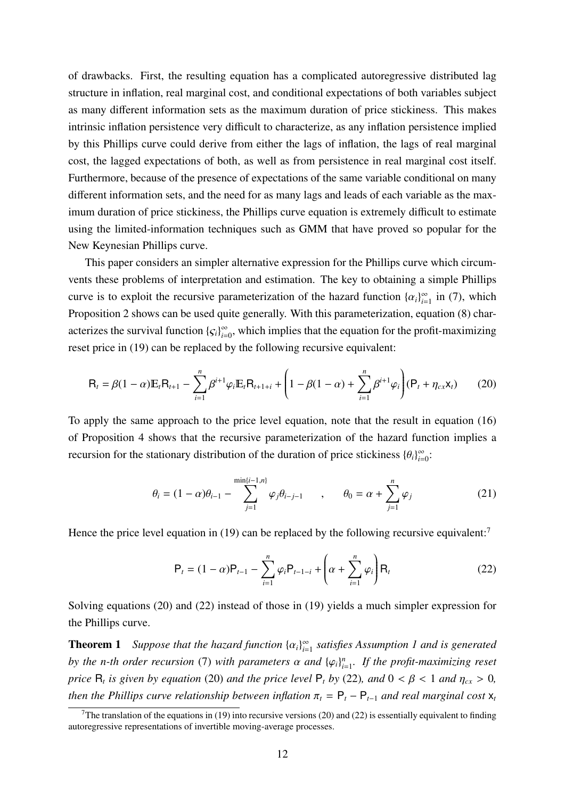of drawbacks. First, the resulting equation has a complicated autoregressive distributed lag structure in inflation, real marginal cost, and conditional expectations of both variables subject as many different information sets as the maximum duration of price stickiness. This makes intrinsic inflation persistence very difficult to characterize, as any inflation persistence implied by this Phillips curve could derive from either the lags of inflation, the lags of real marginal cost, the lagged expectations of both, as well as from persistence in real marginal cost itself. Furthermore, because of the presence of expectations of the same variable conditional on many different information sets, and the need for as many lags and leads of each variable as the maximum duration of price stickiness, the Phillips curve equation is extremely difficult to estimate using the limited-information techniques such as GMM that have proved so popular for the New Keynesian Phillips curve.

This paper considers an simpler alternative expression for the Phillips curve which circumvents these problems of interpretation and estimation. The key to obtaining a simple Phillips curve is to exploit the recursive parameterization of the hazard function  $\{\alpha_i\}_{i=1}^{\infty}$  $\sum_{i=1}^{\infty}$  in (7), which Proposition 2 shows can be used quite generally. With this parameterization, equation (8) characterizes the survival function  $\{\varsigma_i\}_{i=1}^{\infty}$  $\sum_{i=0}^{\infty}$ , which implies that the equation for the profit-maximizing reset price in (19) can be replaced by the following recursive equivalent:

$$
R_t = \beta(1-\alpha)E_t R_{t+1} - \sum_{i=1}^n \beta^{i+1} \varphi_i E_t R_{t+1+i} + \left(1 - \beta(1-\alpha) + \sum_{i=1}^n \beta^{i+1} \varphi_i\right) (P_t + \eta_{cx} x_t) \tag{20}
$$

To apply the same approach to the price level equation, note that the result in equation (16) of Proposition 4 shows that the recursive parameterization of the hazard function implies a recursion for the stationary distribution of the duration of price stickiness  ${\{\theta_i\}}_{i=1}^{\infty}$  $\sum_{i=0}^{\infty}$ 

$$
\theta_i = (1 - \alpha)\theta_{i-1} - \sum_{j=1}^{\min\{i-1, n\}} \varphi_j \theta_{i-j-1} \qquad , \qquad \theta_0 = \alpha + \sum_{j=1}^n \varphi_j \tag{21}
$$

Hence the price level equation in (19) can be replaced by the following recursive equivalent:<sup>7</sup>

$$
P_{t} = (1 - \alpha)P_{t-1} - \sum_{i=1}^{n} \varphi_{i}P_{t-1-i} + \left(\alpha + \sum_{i=1}^{n} \varphi_{i}\right)R_{t}
$$
(22)

Solving equations (20) and (22) instead of those in (19) yields a much simpler expression for the Phillips curve.

**Theorem 1** Suppose that the hazard function  $\{\alpha_i\}_{i=1}^{\infty}$ *i*=1 *satisfies Assumption 1 and is generated by the n-th order recursion* (7) *with parameters*  $\alpha$  *and*  $\{\varphi_i\}_{i=1}^n$ *i*=1 *. If the profit-maximizing reset price*  $R_t$  *is given by equation* (20) *and the price level*  $P_t$  *by* (22)*, and*  $0 < \beta < 1$  *and*  $\eta_{cx} > 0$ *, then the Phillips curve relationship between inflation*  $\pi_t = P_t - P_{t-1}$  *and real marginal cost*  $x_t$ 

<sup>&</sup>lt;sup>7</sup>The translation of the equations in (19) into recursive versions (20) and (22) is essentially equivalent to finding autoregressive representations of invertible moving-average processes.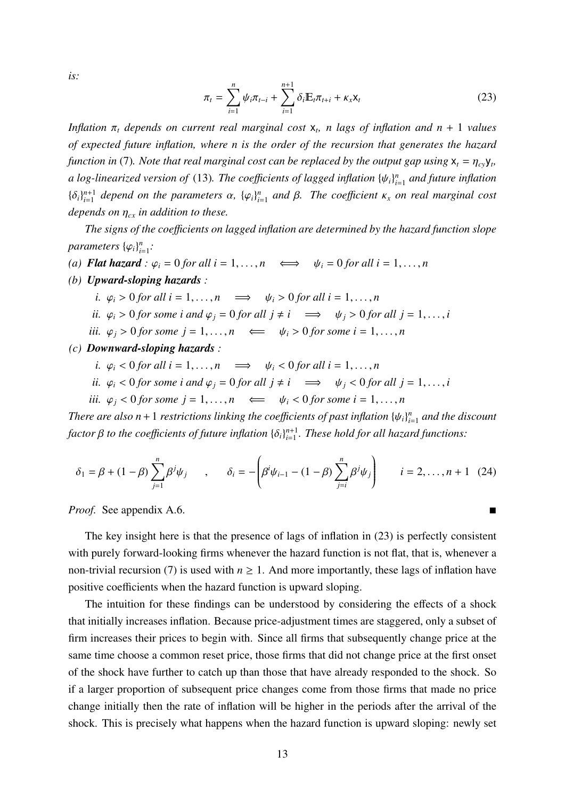*is:*

$$
\pi_t = \sum_{i=1}^n \psi_i \pi_{t-i} + \sum_{i=1}^{n+1} \delta_i \mathbb{E}_t \pi_{t+i} + \kappa_x \mathsf{x}_t \tag{23}
$$

*Inflation* π*<sup>t</sup> depends on current real marginal cost* x*<sup>t</sup> , n lags of inflation and n* + 1 *values of expected future inflation, where n is the order of the recursion that generates the hazard function in* (7). Note that real marginal cost can be replaced by the output gap using  $x_t = \eta_{cy}y_t$ , *a log-linearized version of* (13). The coefficients of lagged inflation  $\{\psi_i\}_{i}^n$ *i*=1 *and future inflation*  ${\{\delta_i\}}_{i=1}^{n+1}$  $_{i=1}^{n+1}$  depend on the parameters  $\alpha$ ,  $\{\varphi_i\}_{i=1}^n$ *i*=1 *and* β*. The coe*ffi*cient* κ*<sup>x</sup> on real marginal cost depends on* η*cx in addition to these.*

*The signs of the coe*ffi*cients on lagged inflation are determined by the hazard function slope*  $parameters$   $\{\varphi_i\}_{i}^{n}$ *i*=1 *:*

(a) **Flat hazard** : 
$$
\varphi_i = 0
$$
 for all  $i = 1, ..., n$   $\iff$   $\psi_i = 0$  for all  $i = 1, ..., n$ 

*(b) Upward-sloping hazards :*

*i.*  $\varphi_i > 0$  *for all i* = 1, ..., *n*  $\implies \psi_i > 0$  *for all i* = 1, ..., *n* 

- *ii.*  $\varphi_i > 0$  *for some i and*  $\varphi_j = 0$  *for all*  $j \neq i \implies \psi_j > 0$  *for all*  $j = 1, ..., i$
- *iii.*  $\varphi_i > 0$  *for some j* = 1, ..., *n*  $\iff$   $\psi_i > 0$  *for some i* = 1, ..., *n*

*(c) Downward-sloping hazards :*

*i.*  $\varphi_i < 0$  *for all i* = 1, ..., *n*  $\implies$   $\psi_i < 0$  *for all i* = 1, ..., *n* 

*ii.* 
$$
\varphi_i < 0
$$
 for some *i* and  $\varphi_j = 0$  for all  $j \neq i \implies \psi_j < 0$  for all  $j = 1, ..., i$ 

*iii.*  $\varphi_i < 0$  for some  $j = 1, ..., n$   $\qquad \Longleftarrow \quad \psi_i < 0$  for some  $i = 1, ..., n$ 

*There are also n* + 1 *restrictions linking the coefficients of past inflation*  $\{\psi_i\}_{i}^n$ *i*=1 *and the discount factor*  $\beta$  *to the coefficients of future inflation*  $\{\delta_i\}_{i=1}^{n+1}$ *i*=1 *. These hold for all hazard functions:*

$$
\delta_1 = \beta + (1 - \beta) \sum_{j=1}^n \beta^j \psi_j \qquad , \qquad \delta_i = -\left( \beta^i \psi_{i-1} - (1 - \beta) \sum_{j=i}^n \beta^j \psi_j \right) \qquad i = 2, \dots, n+1 \quad (24)
$$

*Proof.* See appendix A.6. ■

The key insight here is that the presence of lags of inflation in (23) is perfectly consistent with purely forward-looking firms whenever the hazard function is not flat, that is, whenever a non-trivial recursion (7) is used with  $n \ge 1$ . And more importantly, these lags of inflation have positive coefficients when the hazard function is upward sloping.

The intuition for these findings can be understood by considering the effects of a shock that initially increases inflation. Because price-adjustment times are staggered, only a subset of firm increases their prices to begin with. Since all firms that subsequently change price at the same time choose a common reset price, those firms that did not change price at the first onset of the shock have further to catch up than those that have already responded to the shock. So if a larger proportion of subsequent price changes come from those firms that made no price change initially then the rate of inflation will be higher in the periods after the arrival of the shock. This is precisely what happens when the hazard function is upward sloping: newly set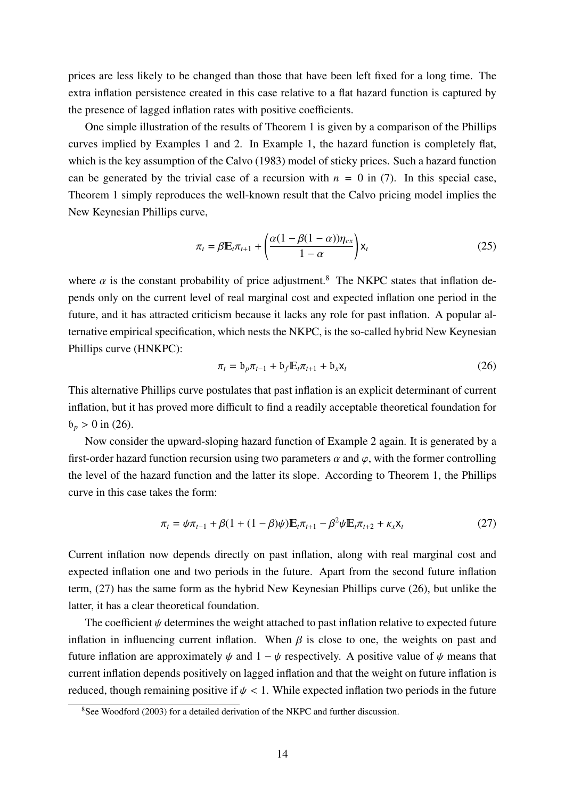prices are less likely to be changed than those that have been left fixed for a long time. The extra inflation persistence created in this case relative to a flat hazard function is captured by the presence of lagged inflation rates with positive coefficients.

One simple illustration of the results of Theorem 1 is given by a comparison of the Phillips curves implied by Examples 1 and 2. In Example 1, the hazard function is completely flat, which is the key assumption of the Calvo (1983) model of sticky prices. Such a hazard function can be generated by the trivial case of a recursion with  $n = 0$  in (7). In this special case, Theorem 1 simply reproduces the well-known result that the Calvo pricing model implies the New Keynesian Phillips curve,

$$
\pi_t = \beta \mathbb{E}_t \pi_{t+1} + \left(\frac{\alpha (1 - \beta (1 - \alpha)) \eta_{cx}}{1 - \alpha}\right) \mathsf{x}_t
$$
\n(25)

where  $\alpha$  is the constant probability of price adjustment.<sup>8</sup> The NKPC states that inflation depends only on the current level of real marginal cost and expected inflation one period in the future, and it has attracted criticism because it lacks any role for past inflation. A popular alternative empirical specification, which nests the NKPC, is the so-called hybrid New Keynesian Phillips curve (HNKPC):

$$
\pi_t = \mathfrak{b}_p \pi_{t-1} + \mathfrak{b}_f \mathbb{E}_t \pi_{t+1} + \mathfrak{b}_x \mathsf{x}_t \tag{26}
$$

This alternative Phillips curve postulates that past inflation is an explicit determinant of current inflation, but it has proved more difficult to find a readily acceptable theoretical foundation for  $b_p > 0$  in (26).

Now consider the upward-sloping hazard function of Example 2 again. It is generated by a first-order hazard function recursion using two parameters  $\alpha$  and  $\varphi$ , with the former controlling the level of the hazard function and the latter its slope. According to Theorem 1, the Phillips curve in this case takes the form:

$$
\pi_t = \psi \pi_{t-1} + \beta (1 + (1 - \beta)\psi) \mathbb{E}_t \pi_{t+1} - \beta^2 \psi \mathbb{E}_t \pi_{t+2} + \kappa_x \mathsf{x}_t \tag{27}
$$

Current inflation now depends directly on past inflation, along with real marginal cost and expected inflation one and two periods in the future. Apart from the second future inflation term, (27) has the same form as the hybrid New Keynesian Phillips curve (26), but unlike the latter, it has a clear theoretical foundation.

The coefficient  $\psi$  determines the weight attached to past inflation relative to expected future inflation in influencing current inflation. When  $\beta$  is close to one, the weights on past and future inflation are approximately  $\psi$  and  $1 - \psi$  respectively. A positive value of  $\psi$  means that current inflation depends positively on lagged inflation and that the weight on future inflation is reduced, though remaining positive if  $\psi$  < 1. While expected inflation two periods in the future

<sup>&</sup>lt;sup>8</sup>See Woodford (2003) for a detailed derivation of the NKPC and further discussion.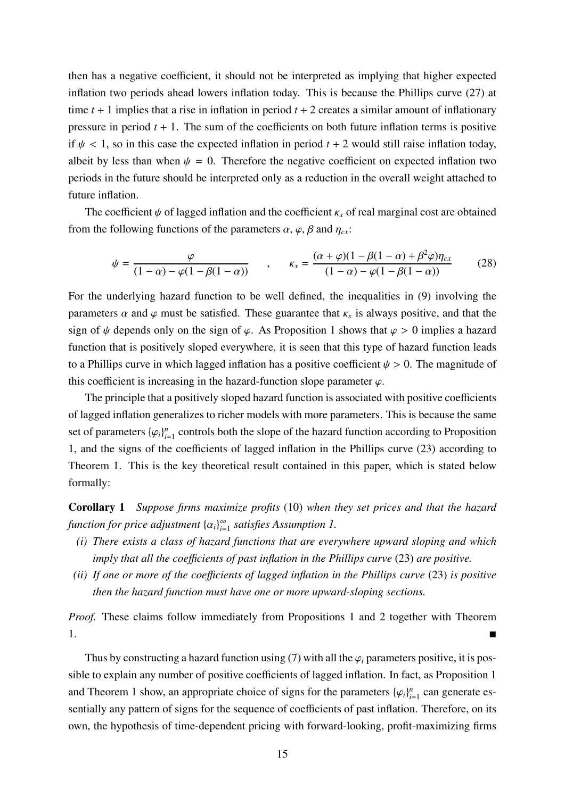then has a negative coefficient, it should not be interpreted as implying that higher expected inflation two periods ahead lowers inflation today. This is because the Phillips curve (27) at time  $t + 1$  implies that a rise in inflation in period  $t + 2$  creates a similar amount of inflationary pressure in period  $t + 1$ . The sum of the coefficients on both future inflation terms is positive if  $\psi$  < 1, so in this case the expected inflation in period  $t + 2$  would still raise inflation today, albeit by less than when  $\psi = 0$ . Therefore the negative coefficient on expected inflation two periods in the future should be interpreted only as a reduction in the overall weight attached to future inflation.

The coefficient  $\psi$  of lagged inflation and the coefficient  $\kappa_x$  of real marginal cost are obtained from the following functions of the parameters  $\alpha$ ,  $\varphi$ ,  $\beta$  and  $\eta_{cx}$ :

$$
\psi = \frac{\varphi}{(1-\alpha) - \varphi(1-\beta(1-\alpha))} , \qquad \kappa_x = \frac{(\alpha + \varphi)(1-\beta(1-\alpha) + \beta^2 \varphi)\eta_{cx}}{(1-\alpha) - \varphi(1-\beta(1-\alpha))}
$$
(28)

For the underlying hazard function to be well defined, the inequalities in (9) involving the parameters  $\alpha$  and  $\varphi$  must be satisfied. These guarantee that  $\kappa_x$  is always positive, and that the sign of  $\psi$  depends only on the sign of  $\varphi$ . As Proposition 1 shows that  $\varphi > 0$  implies a hazard function that is positively sloped everywhere, it is seen that this type of hazard function leads to a Phillips curve in which lagged inflation has a positive coefficient  $\psi > 0$ . The magnitude of this coefficient is increasing in the hazard-function slope parameter  $\varphi$ .

The principle that a positively sloped hazard function is associated with positive coefficients of lagged inflation generalizes to richer models with more parameters. This is because the same set of parameters  $\{\varphi_i\}_{i=1}^n$  $\sum_{i=1}^{n}$  controls both the slope of the hazard function according to Proposition 1, and the signs of the coefficients of lagged inflation in the Phillips curve (23) according to Theorem 1. This is the key theoretical result contained in this paper, which is stated below formally:

Corollary 1 *Suppose firms maximize profits* (10) *when they set prices and that the hazard function for price adjustment* {α*i*} ∞ *i*=1 *satisfies Assumption 1.*

- *(i) There exists a class of hazard functions that are everywhere upward sloping and which imply that all the coe*ffi*cients of past inflation in the Phillips curve* (23) *are positive.*
- *(ii) If one or more of the coe*ffi*cients of lagged inflation in the Phillips curve* (23) *is positive then the hazard function must have one or more upward-sloping sections.*

*Proof.* These claims follow immediately from Propositions 1 and 2 together with Theorem 1.

Thus by constructing a hazard function using (7) with all the  $\varphi_i$  parameters positive, it is possible to explain any number of positive coefficients of lagged inflation. In fact, as Proposition 1 and Theorem 1 show, an appropriate choice of signs for the parameters  ${\varphi_i}_{i}$  $_{i=1}^n$  can generate essentially any pattern of signs for the sequence of coefficients of past inflation. Therefore, on its own, the hypothesis of time-dependent pricing with forward-looking, profit-maximizing firms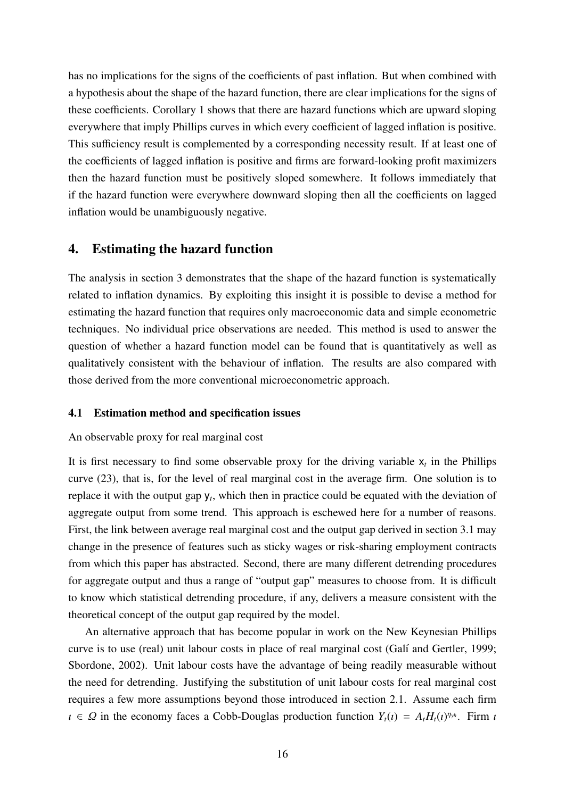has no implications for the signs of the coefficients of past inflation. But when combined with a hypothesis about the shape of the hazard function, there are clear implications for the signs of these coefficients. Corollary 1 shows that there are hazard functions which are upward sloping everywhere that imply Phillips curves in which every coefficient of lagged inflation is positive. This sufficiency result is complemented by a corresponding necessity result. If at least one of the coefficients of lagged inflation is positive and firms are forward-looking profit maximizers then the hazard function must be positively sloped somewhere. It follows immediately that if the hazard function were everywhere downward sloping then all the coefficients on lagged inflation would be unambiguously negative.

## 4. Estimating the hazard function

The analysis in section 3 demonstrates that the shape of the hazard function is systematically related to inflation dynamics. By exploiting this insight it is possible to devise a method for estimating the hazard function that requires only macroeconomic data and simple econometric techniques. No individual price observations are needed. This method is used to answer the question of whether a hazard function model can be found that is quantitatively as well as qualitatively consistent with the behaviour of inflation. The results are also compared with those derived from the more conventional microeconometric approach.

## 4.1 Estimation method and specification issues

#### An observable proxy for real marginal cost

It is first necessary to find some observable proxy for the driving variable  $x_t$  in the Phillips curve (23), that is, for the level of real marginal cost in the average firm. One solution is to replace it with the output gap  $y_t$ , which then in practice could be equated with the deviation of aggregate output from some trend. This approach is eschewed here for a number of reasons. First, the link between average real marginal cost and the output gap derived in section 3.1 may change in the presence of features such as sticky wages or risk-sharing employment contracts from which this paper has abstracted. Second, there are many different detrending procedures for aggregate output and thus a range of "output gap" measures to choose from. It is difficult to know which statistical detrending procedure, if any, delivers a measure consistent with the theoretical concept of the output gap required by the model.

An alternative approach that has become popular in work on the New Keynesian Phillips curve is to use (real) unit labour costs in place of real marginal cost (Galí and Gertler, 1999; Sbordone, 2002). Unit labour costs have the advantage of being readily measurable without the need for detrending. Justifying the substitution of unit labour costs for real marginal cost requires a few more assumptions beyond those introduced in section 2.1. Assume each firm  $\iota \in \Omega$  in the economy faces a Cobb-Douglas production function  $Y_t(\iota) = A_t H_t(\iota)^{\eta_{y^h}}$ . Firm  $\iota$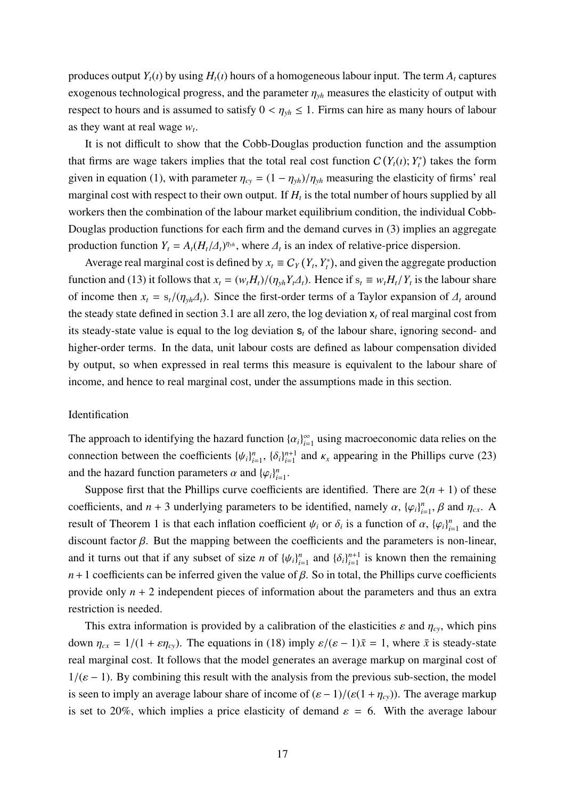produces output  $Y_t(i)$  by using  $H_t(i)$  hours of a homogeneous labour input. The term  $A_t$  captures exogenous technological progress, and the parameter  $\eta_{vh}$  measures the elasticity of output with respect to hours and is assumed to satisfy  $0 < \eta_{ph} \le 1$ . Firms can hire as many hours of labour as they want at real wage  $w_t$ .

It is not difficult to show that the Cobb-Douglas production function and the assumption that firms are wage takers implies that the total real cost function  $C(Y_t(i); Y_t^*)$  takes the form given in equation (1), with parameter  $\eta_{cy} = (1 - \eta_{yh})/\eta_{yh}$  measuring the elasticity of firms' real marginal cost with respect to their own output. If  $H_t$  is the total number of hours supplied by all workers then the combination of the labour market equilibrium condition, the individual Cobb-Douglas production functions for each firm and the demand curves in (3) implies an aggregate production function  $Y_t = A_t (H_t/\Delta_t)^{\eta_{y_t}}$ , where  $\Delta_t$  is an index of relative-price dispersion.

Average real marginal cost is defined by  $x_t \equiv C_Y(Y_t, Y_t^*)$ , and given the aggregate production function and (13) it follows that  $x_t = (w_t H_t)/(\eta_{yh} Y_t \Delta_t)$ . Hence if  $s_t \equiv w_t H_t/Y_t$  is the labour share of income then  $x_t = s_t/(\eta_{vh} \Delta_t)$ . Since the first-order terms of a Taylor expansion of  $\Delta_t$  around the steady state defined in section 3.1 are all zero, the log deviation  $x_t$  of real marginal cost from its steady-state value is equal to the log deviation s*<sup>t</sup>* of the labour share, ignoring second- and higher-order terms. In the data, unit labour costs are defined as labour compensation divided by output, so when expressed in real terms this measure is equivalent to the labour share of income, and hence to real marginal cost, under the assumptions made in this section.

#### **Identification**

The approach to identifying the hazard function  $\{\alpha_i\}_{i=1}^{\infty}$  $\sum_{i=1}^{\infty}$  using macroeconomic data relies on the connection between the coefficients  $\{\psi_i\}_{i=1}^n$  $_{i=1}^n$ ,  $\{\delta_i\}_{i=1}^{n+1}$  $\sum_{i=1}^{n+1}$  and  $\kappa_x$  appearing in the Phillips curve (23) and the hazard function parameters  $\alpha$  and  $\{\varphi_i\}_{i=1}^n$  $\frac{n}{i=1}$ .

Suppose first that the Phillips curve coefficients are identified. There are  $2(n + 1)$  of these coefficients, and  $n + 3$  underlying parameters to be identified, namely  $\alpha$ ,  $\{\varphi_i\}_{i=1}^n$  $n_{i=1}^n$ ,  $\beta$  and  $\eta_{cx}$ . A result of Theorem 1 is that each inflation coefficient  $\psi_i$  or  $\delta_i$  is a function of  $\alpha$ ,  $\{\varphi_i\}_{i=1}^n$  $\binom{n}{i=1}$  and the discount factor  $\beta$ . But the mapping between the coefficients and the parameters is non-linear, and it turns out that if any subset of size *n* of  $\{\psi_i\}_{i=1}^n$  $_{i=1}^{n}$  and  $\{\delta_i\}_{i=1}^{n+1}$  $i=1 \atop i=1$  is known then the remaining  $n+1$  coefficients can be inferred given the value of  $\beta$ . So in total, the Phillips curve coefficients provide only *n* + 2 independent pieces of information about the parameters and thus an extra restriction is needed.

This extra information is provided by a calibration of the elasticities  $\varepsilon$  and  $\eta_{cv}$ , which pins down  $\eta_{cx} = 1/(1 + \varepsilon \eta_{cy})$ . The equations in (18) imply  $\varepsilon/(\varepsilon - 1)\bar{x} = 1$ , where  $\bar{x}$  is steady-state real marginal cost. It follows that the model generates an average markup on marginal cost of  $1/(\varepsilon - 1)$ . By combining this result with the analysis from the previous sub-section, the model is seen to imply an average labour share of income of  $(\varepsilon - 1)/(\varepsilon(1 + \eta_{cy}))$ . The average markup is set to 20%, which implies a price elasticity of demand  $\varepsilon = 6$ . With the average labour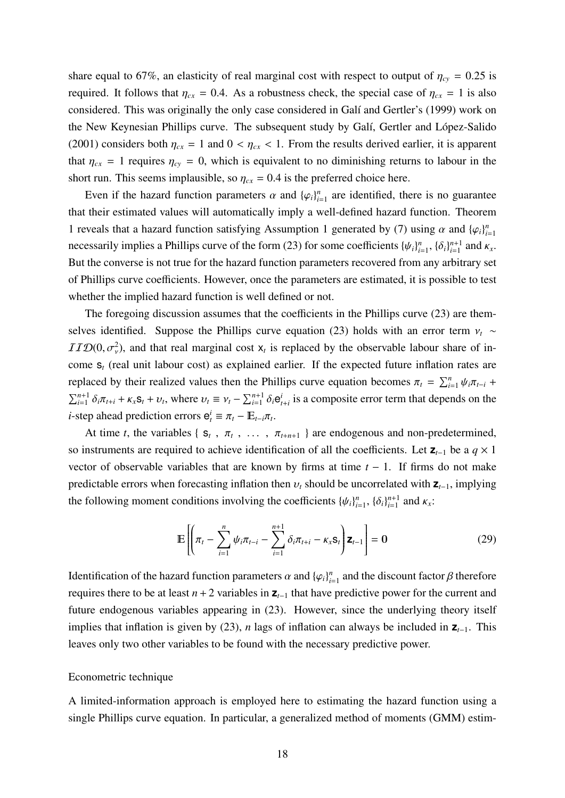share equal to 67%, an elasticity of real marginal cost with respect to output of  $\eta_{cy} = 0.25$  is required. It follows that  $\eta_{cx} = 0.4$ . As a robustness check, the special case of  $\eta_{cx} = 1$  is also considered. This was originally the only case considered in Galí and Gertler's (1999) work on the New Keynesian Phillips curve. The subsequent study by Galí, Gertler and López-Salido (2001) considers both  $\eta_{cx} = 1$  and  $0 < \eta_{cx} < 1$ . From the results derived earlier, it is apparent that  $\eta_{cx} = 1$  requires  $\eta_{cy} = 0$ , which is equivalent to no diminishing returns to labour in the short run. This seems implausible, so  $\eta_{cx} = 0.4$  is the preferred choice here.

Even if the hazard function parameters  $\alpha$  and  $\{\varphi_i\}_{i=1}^n$  $\sum_{i=1}^{n}$  are identified, there is no guarantee that their estimated values will automatically imply a well-defined hazard function. Theorem 1 reveals that a hazard function satisfying Assumption 1 generated by (7) using  $\alpha$  and  $\{\varphi_i\}_{i=1}^n$ *i*=1 necessarily implies a Phillips curve of the form (23) for some coefficients  $\{\psi_i\}_{i=1}^n$  $_{i=1}^n$ ,  $\{\delta_i\}_{i=1}^{n+1}$  $\int_{i=1}^{n+1}$  and  $\kappa_x$ . But the converse is not true for the hazard function parameters recovered from any arbitrary set of Phillips curve coefficients. However, once the parameters are estimated, it is possible to test whether the implied hazard function is well defined or not.

The foregoing discussion assumes that the coefficients in the Phillips curve (23) are themselves identified. Suppose the Phillips curve equation (23) holds with an error term  $v_t \sim$  $IIID(0, \sigma_v^2)$ , and that real marginal cost  $x_t$  is replaced by the observable labour share of income s*<sup>t</sup>* (real unit labour cost) as explained earlier. If the expected future inflation rates are replaced by their realized values then the Phillips curve equation becomes  $\pi_t = \sum_{i=1}^n \psi_i \pi_{t-i}$  $\sum_{i=1}^{n+1} \delta_i \pi_{t+i} + \kappa_x \mathbf{s}_t + \nu_t$ , where  $\nu_t \equiv \nu_t - \sum_{i=1}^{n+1} \delta_i \mathbf{e}_{t+i}^i$  is a composite error term that depends on the *i*-step ahead prediction errors  $e_t^i \equiv \pi_t - \mathbb{E}_{t-i}\pi_t$ .

At time *t*, the variables { $S_t$ ,  $\pi_t$ , ...,  $\pi_{t+n+1}$ } are endogenous and non-predetermined, so instruments are required to achieve identification of all the coefficients. Let **z***t*−<sup>1</sup> be a *q* × 1 vector of observable variables that are known by firms at time *t* − 1. If firms do not make predictable errors when forecasting inflation then  $v_t$  should be uncorrelated with  $\mathbf{z}_{t-1}$ , implying the following moment conditions involving the coefficients  $\{\psi_i\}_{i=1}^n$  $\sum_{i=1}^{n}$ ,  $\{\delta_i\}_{i=1}^{n+1}$  $\prod_{i=1}^{n+1}$  and  $\kappa_x$ :

$$
\mathbb{E}\left[\left(\pi_{t} - \sum_{i=1}^{n} \psi_{i} \pi_{t-i} - \sum_{i=1}^{n+1} \delta_{i} \pi_{t+i} - \kappa_{x} \mathbf{s}_{t}\right) \mathbf{z}_{t-1}\right] = \mathbf{0}
$$
\n(29)

Identification of the hazard function parameters  $\alpha$  and  $\{\varphi_i\}_{i=1}^n$  $\sum_{i=1}^{n}$  and the discount factor  $\beta$  therefore requires there to be at least  $n + 2$  variables in  $\mathbf{z}_{t-1}$  that have predictive power for the current and future endogenous variables appearing in (23). However, since the underlying theory itself implies that inflation is given by (23), *n* lags of inflation can always be included in **z***t*−1. This leaves only two other variables to be found with the necessary predictive power.

#### Econometric technique

A limited-information approach is employed here to estimating the hazard function using a single Phillips curve equation. In particular, a generalized method of moments (GMM) estim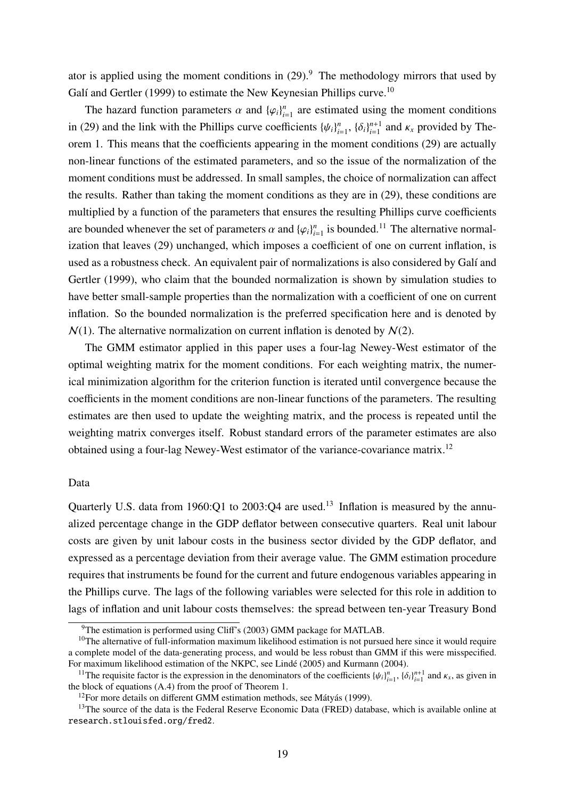ator is applied using the moment conditions in  $(29)$ .<sup>9</sup> The methodology mirrors that used by Galí and Gertler (1999) to estimate the New Keynesian Phillips curve.<sup>10</sup>

The hazard function parameters  $\alpha$  and  $\{\varphi_i\}_{i=1}^n$  $\sum_{i=1}^{n}$  are estimated using the moment conditions in (29) and the link with the Phillips curve coefficients  $\{\psi_i\}_{i=1}^n$  $_{i=1}^n$ ,  $\{\delta_i\}_{i=1}^{n+1}$  $_{i=1}^{n+1}$  and  $\kappa_x$  provided by Theorem 1. This means that the coefficients appearing in the moment conditions (29) are actually non-linear functions of the estimated parameters, and so the issue of the normalization of the moment conditions must be addressed. In small samples, the choice of normalization can affect the results. Rather than taking the moment conditions as they are in (29), these conditions are multiplied by a function of the parameters that ensures the resulting Phillips curve coefficients are bounded whenever the set of parameters  $\alpha$  and  $\{\varphi_i\}_{i=1}^n$  $\sum_{i=1}^{n}$  is bounded.<sup>11</sup> The alternative normalization that leaves (29) unchanged, which imposes a coefficient of one on current inflation, is used as a robustness check. An equivalent pair of normalizations is also considered by Galí and Gertler (1999), who claim that the bounded normalization is shown by simulation studies to have better small-sample properties than the normalization with a coefficient of one on current inflation. So the bounded normalization is the preferred specification here and is denoted by  $N(1)$ . The alternative normalization on current inflation is denoted by  $N(2)$ .

The GMM estimator applied in this paper uses a four-lag Newey-West estimator of the optimal weighting matrix for the moment conditions. For each weighting matrix, the numerical minimization algorithm for the criterion function is iterated until convergence because the coefficients in the moment conditions are non-linear functions of the parameters. The resulting estimates are then used to update the weighting matrix, and the process is repeated until the weighting matrix converges itself. Robust standard errors of the parameter estimates are also obtained using a four-lag Newey-West estimator of the variance-covariance matrix.<sup>12</sup>

## Data

Quarterly U.S. data from 1960:Q1 to 2003:Q4 are used.<sup>13</sup> Inflation is measured by the annualized percentage change in the GDP deflator between consecutive quarters. Real unit labour costs are given by unit labour costs in the business sector divided by the GDP deflator, and expressed as a percentage deviation from their average value. The GMM estimation procedure requires that instruments be found for the current and future endogenous variables appearing in the Phillips curve. The lags of the following variables were selected for this role in addition to lags of inflation and unit labour costs themselves: the spread between ten-year Treasury Bond

 $9$ The estimation is performed using Cliff's (2003) GMM package for MATLAB.

 $10$ The alternative of full-information maximum likelihood estimation is not pursued here since it would require a complete model of the data-generating process, and would be less robust than GMM if this were misspecified. For maximum likelihood estimation of the NKPC, see Lindé (2005) and Kurmann (2004).

<sup>&</sup>lt;sup>11</sup>The requisite factor is the expression in the denominators of the coefficients  $\{\psi_i\}_{i=1}^n$ ,  $\{\delta_i\}_{i=1}^{n+1}$  and  $\kappa_x$ , as given in the block of equations (A.4) from the proof of Theorem 1.

 $12$ For more details on different GMM estimation methods, see Mátyás (1999).

<sup>&</sup>lt;sup>13</sup>The source of the data is the Federal Reserve Economic Data (FRED) database, which is available online at research.stlouisfed.org/fred2.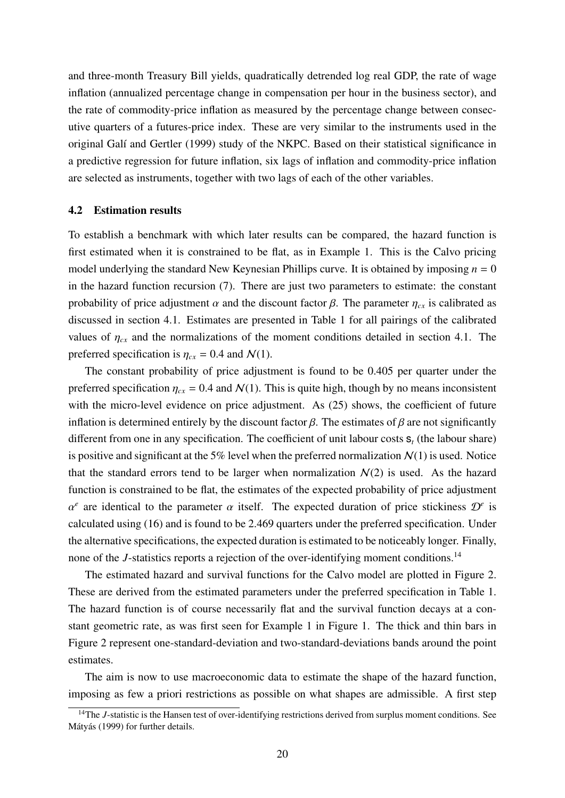and three-month Treasury Bill yields, quadratically detrended log real GDP, the rate of wage inflation (annualized percentage change in compensation per hour in the business sector), and the rate of commodity-price inflation as measured by the percentage change between consecutive quarters of a futures-price index. These are very similar to the instruments used in the original Galí and Gertler (1999) study of the NKPC. Based on their statistical significance in a predictive regression for future inflation, six lags of inflation and commodity-price inflation are selected as instruments, together with two lags of each of the other variables.

#### 4.2 Estimation results

To establish a benchmark with which later results can be compared, the hazard function is first estimated when it is constrained to be flat, as in Example 1. This is the Calvo pricing model underlying the standard New Keynesian Phillips curve. It is obtained by imposing  $n = 0$ in the hazard function recursion (7). There are just two parameters to estimate: the constant probability of price adjustment  $\alpha$  and the discount factor  $\beta$ . The parameter  $\eta_{cx}$  is calibrated as discussed in section 4.1. Estimates are presented in Table 1 for all pairings of the calibrated values of  $\eta_{cx}$  and the normalizations of the moment conditions detailed in section 4.1. The preferred specification is  $\eta_{cx} = 0.4$  and  $\mathcal{N}(1)$ .

The constant probability of price adjustment is found to be 0.405 per quarter under the preferred specification  $\eta_{cx} = 0.4$  and  $\mathcal{N}(1)$ . This is quite high, though by no means inconsistent with the micro-level evidence on price adjustment. As (25) shows, the coefficient of future inflation is determined entirely by the discount factor  $\beta$ . The estimates of  $\beta$  are not significantly different from one in any specification. The coefficient of unit labour costs s*<sup>t</sup>* (the labour share) is positive and significant at the 5% level when the preferred normalization  $N(1)$  is used. Notice that the standard errors tend to be larger when normalization  $N(2)$  is used. As the hazard function is constrained to be flat, the estimates of the expected probability of price adjustment  $\alpha^e$  are identical to the parameter  $\alpha$  itself. The expected duration of price stickiness  $\mathcal{D}^e$  is calculated using (16) and is found to be 2.469 quarters under the preferred specification. Under the alternative specifications, the expected duration is estimated to be noticeably longer. Finally, none of the *J*-statistics reports a rejection of the over-identifying moment conditions.<sup>14</sup>

The estimated hazard and survival functions for the Calvo model are plotted in Figure 2. These are derived from the estimated parameters under the preferred specification in Table 1. The hazard function is of course necessarily flat and the survival function decays at a constant geometric rate, as was first seen for Example 1 in Figure 1. The thick and thin bars in Figure 2 represent one-standard-deviation and two-standard-deviations bands around the point estimates.

The aim is now to use macroeconomic data to estimate the shape of the hazard function, imposing as few a priori restrictions as possible on what shapes are admissible. A first step

<sup>&</sup>lt;sup>14</sup>The *J*-statistic is the Hansen test of over-identifying restrictions derived from surplus moment conditions. See Mátyás (1999) for further details.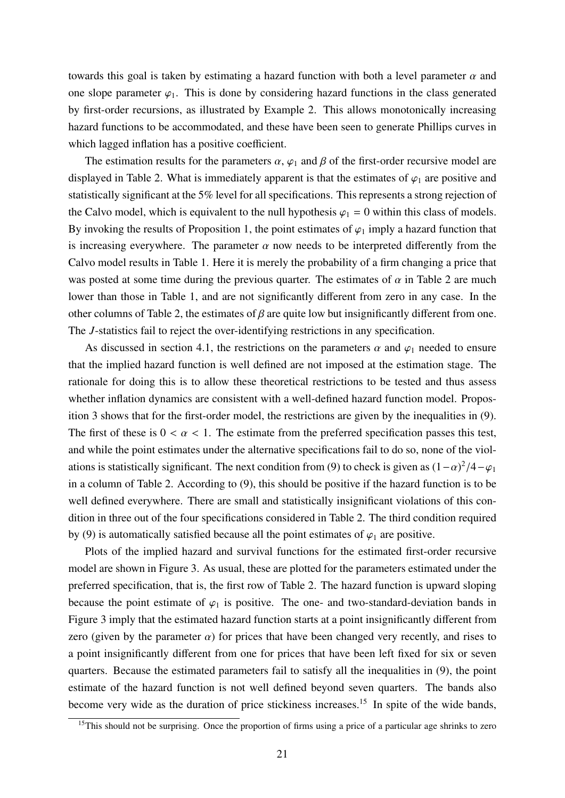towards this goal is taken by estimating a hazard function with both a level parameter  $\alpha$  and one slope parameter  $\varphi_1$ . This is done by considering hazard functions in the class generated by first-order recursions, as illustrated by Example 2. This allows monotonically increasing hazard functions to be accommodated, and these have been seen to generate Phillips curves in which lagged inflation has a positive coefficient.

The estimation results for the parameters  $\alpha$ ,  $\varphi_1$  and  $\beta$  of the first-order recursive model are displayed in Table 2. What is immediately apparent is that the estimates of  $\varphi_1$  are positive and statistically significant at the 5% level for all specifications. This represents a strong rejection of the Calvo model, which is equivalent to the null hypothesis  $\varphi_1 = 0$  within this class of models. By invoking the results of Proposition 1, the point estimates of  $\varphi_1$  imply a hazard function that is increasing everywhere. The parameter  $\alpha$  now needs to be interpreted differently from the Calvo model results in Table 1. Here it is merely the probability of a firm changing a price that was posted at some time during the previous quarter. The estimates of  $\alpha$  in Table 2 are much lower than those in Table 1, and are not significantly different from zero in any case. In the other columns of Table 2, the estimates of  $\beta$  are quite low but insignificantly different from one. The *J*-statistics fail to reject the over-identifying restrictions in any specification.

As discussed in section 4.1, the restrictions on the parameters  $\alpha$  and  $\varphi_1$  needed to ensure that the implied hazard function is well defined are not imposed at the estimation stage. The rationale for doing this is to allow these theoretical restrictions to be tested and thus assess whether inflation dynamics are consistent with a well-defined hazard function model. Proposition 3 shows that for the first-order model, the restrictions are given by the inequalities in (9). The first of these is  $0 < \alpha < 1$ . The estimate from the preferred specification passes this test, and while the point estimates under the alternative specifications fail to do so, none of the violations is statistically significant. The next condition from (9) to check is given as  $(1-\alpha)^2/4-\varphi_1$ in a column of Table 2. According to (9), this should be positive if the hazard function is to be well defined everywhere. There are small and statistically insignificant violations of this condition in three out of the four specifications considered in Table 2. The third condition required by (9) is automatically satisfied because all the point estimates of  $\varphi_1$  are positive.

Plots of the implied hazard and survival functions for the estimated first-order recursive model are shown in Figure 3. As usual, these are plotted for the parameters estimated under the preferred specification, that is, the first row of Table 2. The hazard function is upward sloping because the point estimate of  $\varphi_1$  is positive. The one- and two-standard-deviation bands in Figure 3 imply that the estimated hazard function starts at a point insignificantly different from zero (given by the parameter  $\alpha$ ) for prices that have been changed very recently, and rises to a point insignificantly different from one for prices that have been left fixed for six or seven quarters. Because the estimated parameters fail to satisfy all the inequalities in (9), the point estimate of the hazard function is not well defined beyond seven quarters. The bands also become very wide as the duration of price stickiness increases.<sup>15</sup> In spite of the wide bands,

<sup>&</sup>lt;sup>15</sup>This should not be surprising. Once the proportion of firms using a price of a particular age shrinks to zero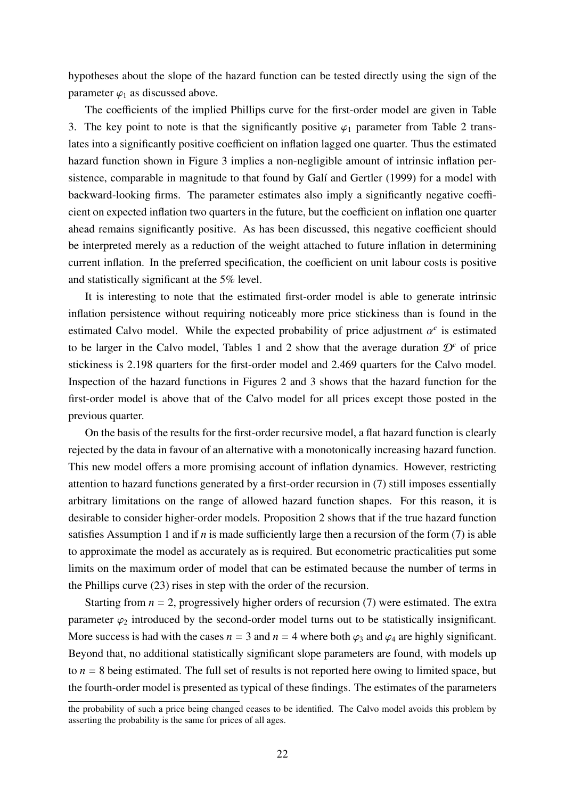hypotheses about the slope of the hazard function can be tested directly using the sign of the parameter  $\varphi_1$  as discussed above.

The coefficients of the implied Phillips curve for the first-order model are given in Table 3. The key point to note is that the significantly positive  $\varphi_1$  parameter from Table 2 translates into a significantly positive coefficient on inflation lagged one quarter. Thus the estimated hazard function shown in Figure 3 implies a non-negligible amount of intrinsic inflation persistence, comparable in magnitude to that found by Galí and Gertler (1999) for a model with backward-looking firms. The parameter estimates also imply a significantly negative coefficient on expected inflation two quarters in the future, but the coefficient on inflation one quarter ahead remains significantly positive. As has been discussed, this negative coefficient should be interpreted merely as a reduction of the weight attached to future inflation in determining current inflation. In the preferred specification, the coefficient on unit labour costs is positive and statistically significant at the 5% level.

It is interesting to note that the estimated first-order model is able to generate intrinsic inflation persistence without requiring noticeably more price stickiness than is found in the estimated Calvo model. While the expected probability of price adjustment  $\alpha^e$  is estimated to be larger in the Calvo model, Tables 1 and 2 show that the average duration  $\mathcal{D}^e$  of price stickiness is 2.198 quarters for the first-order model and 2.469 quarters for the Calvo model. Inspection of the hazard functions in Figures 2 and 3 shows that the hazard function for the first-order model is above that of the Calvo model for all prices except those posted in the previous quarter.

On the basis of the results for the first-order recursive model, a flat hazard function is clearly rejected by the data in favour of an alternative with a monotonically increasing hazard function. This new model offers a more promising account of inflation dynamics. However, restricting attention to hazard functions generated by a first-order recursion in (7) still imposes essentially arbitrary limitations on the range of allowed hazard function shapes. For this reason, it is desirable to consider higher-order models. Proposition 2 shows that if the true hazard function satisfies Assumption 1 and if *n* is made sufficiently large then a recursion of the form (7) is able to approximate the model as accurately as is required. But econometric practicalities put some limits on the maximum order of model that can be estimated because the number of terms in the Phillips curve (23) rises in step with the order of the recursion.

Starting from  $n = 2$ , progressively higher orders of recursion (7) were estimated. The extra parameter  $\varphi_2$  introduced by the second-order model turns out to be statistically insignificant. More success is had with the cases  $n = 3$  and  $n = 4$  where both  $\varphi_3$  and  $\varphi_4$  are highly significant. Beyond that, no additional statistically significant slope parameters are found, with models up to  $n = 8$  being estimated. The full set of results is not reported here owing to limited space, but the fourth-order model is presented as typical of these findings. The estimates of the parameters

the probability of such a price being changed ceases to be identified. The Calvo model avoids this problem by asserting the probability is the same for prices of all ages.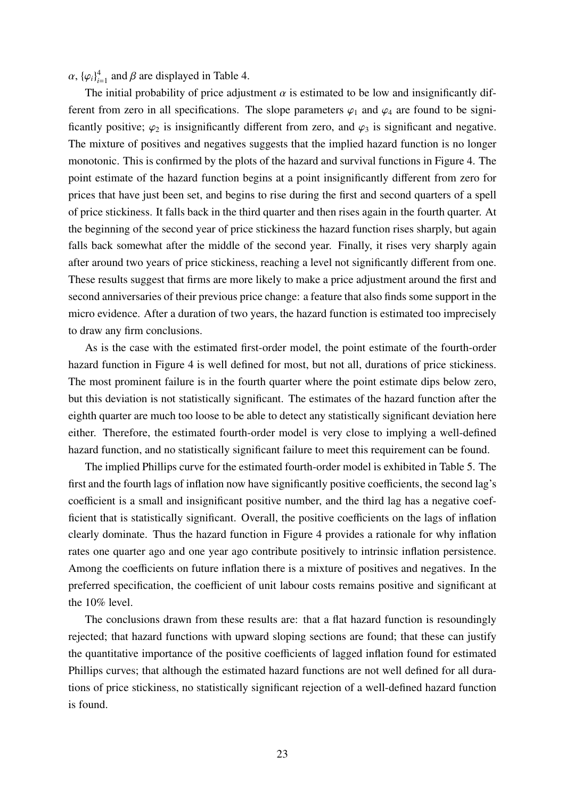$\alpha$ ,  ${\{\varphi_i\}}_{i=1}^4$  and  $\beta$  are displayed in Table 4.

The initial probability of price adjustment  $\alpha$  is estimated to be low and insignificantly different from zero in all specifications. The slope parameters  $\varphi_1$  and  $\varphi_4$  are found to be significantly positive;  $\varphi_2$  is insignificantly different from zero, and  $\varphi_3$  is significant and negative. The mixture of positives and negatives suggests that the implied hazard function is no longer monotonic. This is confirmed by the plots of the hazard and survival functions in Figure 4. The point estimate of the hazard function begins at a point insignificantly different from zero for prices that have just been set, and begins to rise during the first and second quarters of a spell of price stickiness. It falls back in the third quarter and then rises again in the fourth quarter. At the beginning of the second year of price stickiness the hazard function rises sharply, but again falls back somewhat after the middle of the second year. Finally, it rises very sharply again after around two years of price stickiness, reaching a level not significantly different from one. These results suggest that firms are more likely to make a price adjustment around the first and second anniversaries of their previous price change: a feature that also finds some support in the micro evidence. After a duration of two years, the hazard function is estimated too imprecisely to draw any firm conclusions.

As is the case with the estimated first-order model, the point estimate of the fourth-order hazard function in Figure 4 is well defined for most, but not all, durations of price stickiness. The most prominent failure is in the fourth quarter where the point estimate dips below zero, but this deviation is not statistically significant. The estimates of the hazard function after the eighth quarter are much too loose to be able to detect any statistically significant deviation here either. Therefore, the estimated fourth-order model is very close to implying a well-defined hazard function, and no statistically significant failure to meet this requirement can be found.

The implied Phillips curve for the estimated fourth-order model is exhibited in Table 5. The first and the fourth lags of inflation now have significantly positive coefficients, the second lag's coefficient is a small and insignificant positive number, and the third lag has a negative coefficient that is statistically significant. Overall, the positive coefficients on the lags of inflation clearly dominate. Thus the hazard function in Figure 4 provides a rationale for why inflation rates one quarter ago and one year ago contribute positively to intrinsic inflation persistence. Among the coefficients on future inflation there is a mixture of positives and negatives. In the preferred specification, the coefficient of unit labour costs remains positive and significant at the 10% level.

The conclusions drawn from these results are: that a flat hazard function is resoundingly rejected; that hazard functions with upward sloping sections are found; that these can justify the quantitative importance of the positive coefficients of lagged inflation found for estimated Phillips curves; that although the estimated hazard functions are not well defined for all durations of price stickiness, no statistically significant rejection of a well-defined hazard function is found.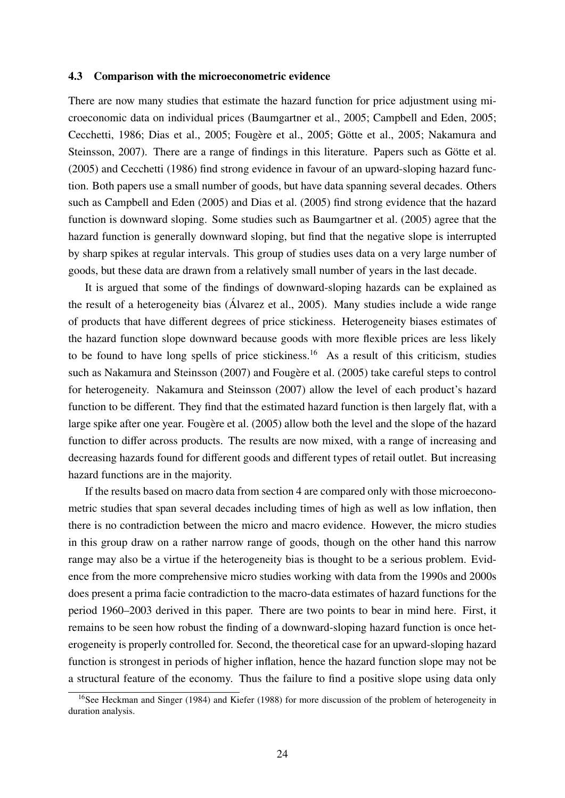#### 4.3 Comparison with the microeconometric evidence

There are now many studies that estimate the hazard function for price adjustment using microeconomic data on individual prices (Baumgartner et al., 2005; Campbell and Eden, 2005; Cecchetti, 1986; Dias et al., 2005; Fougère et al., 2005; Götte et al., 2005; Nakamura and Steinsson, 2007). There are a range of findings in this literature. Papers such as Götte et al. (2005) and Cecchetti (1986) find strong evidence in favour of an upward-sloping hazard function. Both papers use a small number of goods, but have data spanning several decades. Others such as Campbell and Eden (2005) and Dias et al. (2005) find strong evidence that the hazard function is downward sloping. Some studies such as Baumgartner et al. (2005) agree that the hazard function is generally downward sloping, but find that the negative slope is interrupted by sharp spikes at regular intervals. This group of studies uses data on a very large number of goods, but these data are drawn from a relatively small number of years in the last decade.

It is argued that some of the findings of downward-sloping hazards can be explained as the result of a heterogeneity bias (Alvarez et al., 2005). Many studies include a wide range ´ of products that have different degrees of price stickiness. Heterogeneity biases estimates of the hazard function slope downward because goods with more flexible prices are less likely to be found to have long spells of price stickiness.<sup>16</sup> As a result of this criticism, studies such as Nakamura and Steinsson (2007) and Fougère et al. (2005) take careful steps to control for heterogeneity. Nakamura and Steinsson (2007) allow the level of each product's hazard function to be different. They find that the estimated hazard function is then largely flat, with a large spike after one year. Fougère et al. (2005) allow both the level and the slope of the hazard function to differ across products. The results are now mixed, with a range of increasing and decreasing hazards found for different goods and different types of retail outlet. But increasing hazard functions are in the majority.

If the results based on macro data from section 4 are compared only with those microeconometric studies that span several decades including times of high as well as low inflation, then there is no contradiction between the micro and macro evidence. However, the micro studies in this group draw on a rather narrow range of goods, though on the other hand this narrow range may also be a virtue if the heterogeneity bias is thought to be a serious problem. Evidence from the more comprehensive micro studies working with data from the 1990s and 2000s does present a prima facie contradiction to the macro-data estimates of hazard functions for the period 1960–2003 derived in this paper. There are two points to bear in mind here. First, it remains to be seen how robust the finding of a downward-sloping hazard function is once heterogeneity is properly controlled for. Second, the theoretical case for an upward-sloping hazard function is strongest in periods of higher inflation, hence the hazard function slope may not be a structural feature of the economy. Thus the failure to find a positive slope using data only

<sup>&</sup>lt;sup>16</sup>See Heckman and Singer (1984) and Kiefer (1988) for more discussion of the problem of heterogeneity in duration analysis.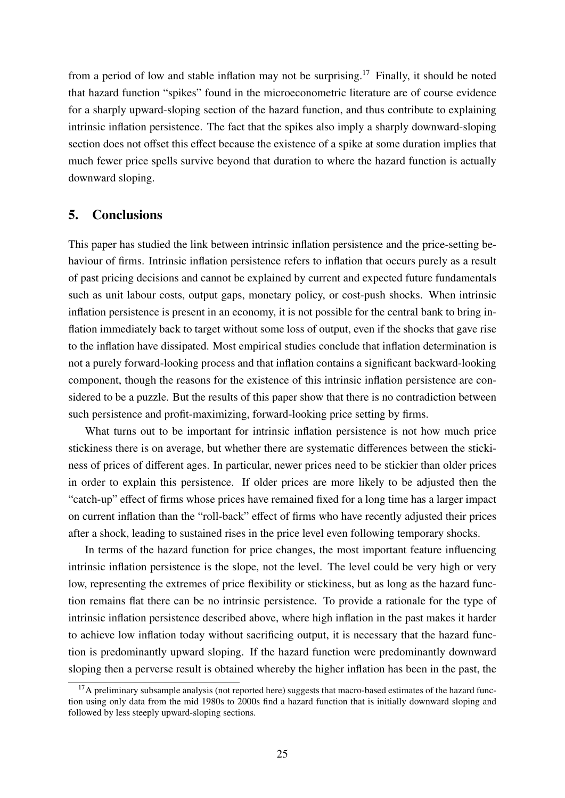from a period of low and stable inflation may not be surprising.<sup>17</sup> Finally, it should be noted that hazard function "spikes" found in the microeconometric literature are of course evidence for a sharply upward-sloping section of the hazard function, and thus contribute to explaining intrinsic inflation persistence. The fact that the spikes also imply a sharply downward-sloping section does not offset this effect because the existence of a spike at some duration implies that much fewer price spells survive beyond that duration to where the hazard function is actually downward sloping.

## 5. Conclusions

This paper has studied the link between intrinsic inflation persistence and the price-setting behaviour of firms. Intrinsic inflation persistence refers to inflation that occurs purely as a result of past pricing decisions and cannot be explained by current and expected future fundamentals such as unit labour costs, output gaps, monetary policy, or cost-push shocks. When intrinsic inflation persistence is present in an economy, it is not possible for the central bank to bring inflation immediately back to target without some loss of output, even if the shocks that gave rise to the inflation have dissipated. Most empirical studies conclude that inflation determination is not a purely forward-looking process and that inflation contains a significant backward-looking component, though the reasons for the existence of this intrinsic inflation persistence are considered to be a puzzle. But the results of this paper show that there is no contradiction between such persistence and profit-maximizing, forward-looking price setting by firms.

What turns out to be important for intrinsic inflation persistence is not how much price stickiness there is on average, but whether there are systematic differences between the stickiness of prices of different ages. In particular, newer prices need to be stickier than older prices in order to explain this persistence. If older prices are more likely to be adjusted then the "catch-up" effect of firms whose prices have remained fixed for a long time has a larger impact on current inflation than the "roll-back" effect of firms who have recently adjusted their prices after a shock, leading to sustained rises in the price level even following temporary shocks.

In terms of the hazard function for price changes, the most important feature influencing intrinsic inflation persistence is the slope, not the level. The level could be very high or very low, representing the extremes of price flexibility or stickiness, but as long as the hazard function remains flat there can be no intrinsic persistence. To provide a rationale for the type of intrinsic inflation persistence described above, where high inflation in the past makes it harder to achieve low inflation today without sacrificing output, it is necessary that the hazard function is predominantly upward sloping. If the hazard function were predominantly downward sloping then a perverse result is obtained whereby the higher inflation has been in the past, the

<sup>&</sup>lt;sup>17</sup>A preliminary subsample analysis (not reported here) suggests that macro-based estimates of the hazard function using only data from the mid 1980s to 2000s find a hazard function that is initially downward sloping and followed by less steeply upward-sloping sections.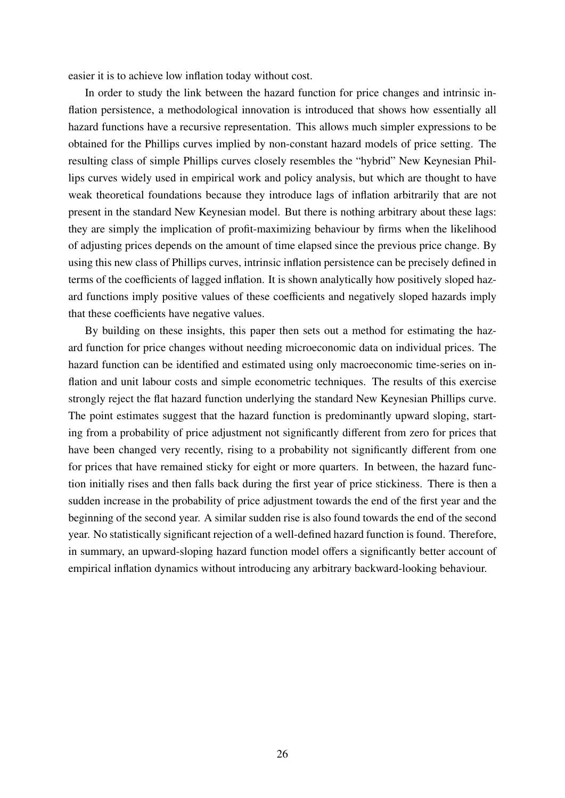easier it is to achieve low inflation today without cost.

In order to study the link between the hazard function for price changes and intrinsic inflation persistence, a methodological innovation is introduced that shows how essentially all hazard functions have a recursive representation. This allows much simpler expressions to be obtained for the Phillips curves implied by non-constant hazard models of price setting. The resulting class of simple Phillips curves closely resembles the "hybrid" New Keynesian Phillips curves widely used in empirical work and policy analysis, but which are thought to have weak theoretical foundations because they introduce lags of inflation arbitrarily that are not present in the standard New Keynesian model. But there is nothing arbitrary about these lags: they are simply the implication of profit-maximizing behaviour by firms when the likelihood of adjusting prices depends on the amount of time elapsed since the previous price change. By using this new class of Phillips curves, intrinsic inflation persistence can be precisely defined in terms of the coefficients of lagged inflation. It is shown analytically how positively sloped hazard functions imply positive values of these coefficients and negatively sloped hazards imply that these coefficients have negative values.

By building on these insights, this paper then sets out a method for estimating the hazard function for price changes without needing microeconomic data on individual prices. The hazard function can be identified and estimated using only macroeconomic time-series on inflation and unit labour costs and simple econometric techniques. The results of this exercise strongly reject the flat hazard function underlying the standard New Keynesian Phillips curve. The point estimates suggest that the hazard function is predominantly upward sloping, starting from a probability of price adjustment not significantly different from zero for prices that have been changed very recently, rising to a probability not significantly different from one for prices that have remained sticky for eight or more quarters. In between, the hazard function initially rises and then falls back during the first year of price stickiness. There is then a sudden increase in the probability of price adjustment towards the end of the first year and the beginning of the second year. A similar sudden rise is also found towards the end of the second year. No statistically significant rejection of a well-defined hazard function is found. Therefore, in summary, an upward-sloping hazard function model offers a significantly better account of empirical inflation dynamics without introducing any arbitrary backward-looking behaviour.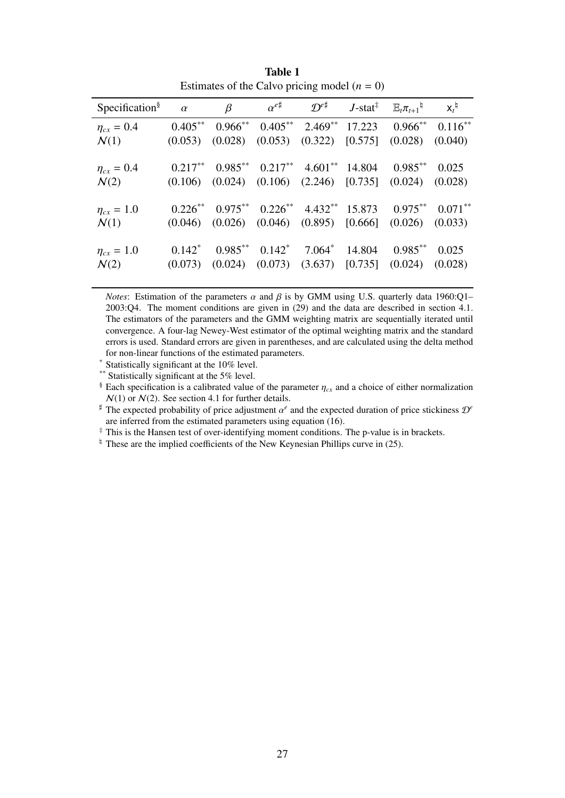| Specification <sup>§</sup>            | $\alpha$   | $\beta$                                                                   | $\alpha^{e\sharp}$ D <sup>e#</sup>                           | $J$ -stat $^{\ddagger}$ | $\mathbb{E}_{t} \pi_{t+1}$ <sup>4</sup> | $X_t^{\natural}$ |
|---------------------------------------|------------|---------------------------------------------------------------------------|--------------------------------------------------------------|-------------------------|-----------------------------------------|------------------|
| $\eta_{cx} = 0.4$                     | $0.405***$ |                                                                           | $0.966^{**}$ $0.405^{**}$ $2.469^{**}$ $17.223$ $0.966^{**}$ |                         |                                         | $0.116***$       |
| $\mathcal{N}(1)$                      |            | $(0.053)$ $(0.028)$                                                       | $(0.053)$ $(0.322)$ $[0.575]$                                |                         | (0.028)                                 | (0.040)          |
| $\eta_{cx} = 0.4$                     |            | $0.217***$ $0.985***$ $0.217***$ $4.601**$ $14.804$ $0.985**$             |                                                              |                         |                                         | 0.025            |
| $\mathcal{N}(2)$                      |            | $(0.106)$ $(0.024)$ $(0.106)$ $(2.246)$ $[0.735]$ $(0.024)$ $(0.028)$     |                                                              |                         |                                         |                  |
| $\eta_{cx} = 1.0$                     |            | $0.226^{**}$ $0.975^{**}$ $0.226^{**}$ $4.432^{**}$ $15.873$ $0.975^{**}$ |                                                              |                         |                                         | $0.071***$       |
| $\mathcal{N}(1)$                      |            | $(0.046)$ $(0.026)$ $(0.046)$ $(0.895)$ $[0.666]$ $(0.026)$ $(0.033)$     |                                                              |                         |                                         |                  |
|                                       | $0.142^*$  |                                                                           | $0.985^{**}$ $0.142^{*}$ $7.064^{*}$ $14.804$ $0.985^{**}$   |                         |                                         | 0.025            |
| $\eta_{cx} = 1.0$<br>$\mathcal{N}(2)$ |            | $(0.073)$ $(0.024)$ $(0.073)$ $(3.637)$ $[0.735]$ $(0.024)$ $(0.028)$     |                                                              |                         |                                         |                  |
|                                       |            |                                                                           |                                                              |                         |                                         |                  |

Table 1 Estimates of the Calvo pricing model  $(n = 0)$ 

*Notes*: Estimation of the parameters  $\alpha$  and  $\beta$  is by GMM using U.S. quarterly data 1960:Q1– 2003:Q4. The moment conditions are given in (29) and the data are described in section 4.1. The estimators of the parameters and the GMM weighting matrix are sequentially iterated until convergence. A four-lag Newey-West estimator of the optimal weighting matrix and the standard errors is used. Standard errors are given in parentheses, and are calculated using the delta method for non-linear functions of the estimated parameters.

\* Statistically significant at the 10% level.

\*\* Statistically significant at the 5% level.

§ Each specification is a calibrated value of the parameter  $\eta_{cx}$  and a choice of either normalization  $N(1)$  or  $N(2)$ . See section 4.1 for further details.

] The expected probability of price adjustment α *e* and the expected duration of price stickiness D*<sup>e</sup>* are inferred from the estimated parameters using equation (16).

‡ This is the Hansen test of over-identifying moment conditions. The p-value is in brackets.

 $\frac{1}{2}$  These are the implied coefficients of the New Keynesian Phillips curve in (25).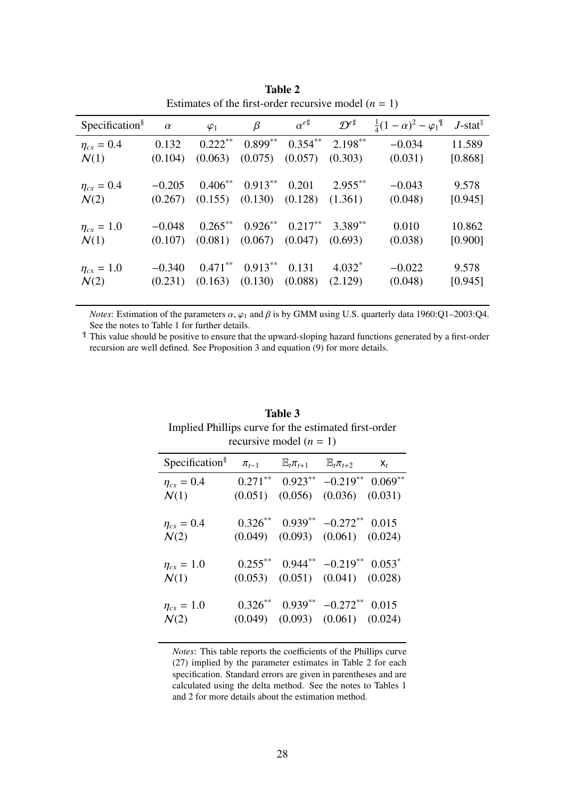| Specification <sup>§</sup> | $\alpha$ | $\varphi_1$ | $\beta$    | $\alpha^{e\sharp}$ | $\mathcal{D}^{e\sharp}$ | $\frac{1}{4}(1-\alpha)^2 - \varphi_1$ <sup>¶</sup> | $J$ -stat <sup><math>\ddagger</math></sup> |
|----------------------------|----------|-------------|------------|--------------------|-------------------------|----------------------------------------------------|--------------------------------------------|
| $\eta_{cx} = 0.4$          | 0.132    | $0.222***$  | $0.899**$  | $0.354***$         | $2.198***$              | $-0.034$                                           | 11.589                                     |
| $\mathcal{N}(1)$           | (0.104)  | (0.063)     | (0.075)    | (0.057)            | (0.303)                 | (0.031)                                            | [0.868]                                    |
|                            |          |             |            |                    |                         |                                                    |                                            |
| $\eta_{cx}=0.4$            | $-0.205$ | $0.406***$  | $0.913***$ | 0.201              | $2.955***$              | $-0.043$                                           | 9.578                                      |
| $\mathcal{N}(2)$           | (0.267)  | (0.155)     | (0.130)    | (0.128)            | (1.361)                 | (0.048)                                            | [0.945]                                    |
|                            |          |             |            |                    |                         |                                                    |                                            |
| $\eta_{cx} = 1.0$          | $-0.048$ | $0.265***$  | $0.926***$ | $0.217***$         | $3.389**$               | 0.010                                              | 10.862                                     |
| $\mathcal{N}(1)$           | (0.107)  | (0.081)     | (0.067)    | (0.047)            | (0.693)                 | (0.038)                                            | [0.900]                                    |
|                            |          |             |            |                    |                         |                                                    |                                            |
| $\eta_{cx} = 1.0$          | $-0.340$ | $0.471***$  | $0.913***$ | 0.131              | $4.032*$                | $-0.022$                                           | 9.578                                      |
| $\mathcal{N}(2)$           | (0.231)  | (0.163)     | (0.130)    | (0.088)            | (2.129)                 | (0.048)                                            | [0.945]                                    |
|                            |          |             |            |                    |                         |                                                    |                                            |

Table 2 Estimates of the first-order recursive model  $(n = 1)$ 

*Notes*: Estimation of the parameters  $\alpha$ ,  $\varphi_1$  and  $\beta$  is by GMM using U.S. quarterly data 1960:Q1-2003:Q4. See the notes to Table 1 for further details.

¶ This value should be positive to ensure that the upward-sloping hazard functions generated by a first-order recursion are well defined. See Proposition 3 and equation (9) for more details.

| $\pi_{t-1}$ |  | $X_t$                                                                                                                                                                                                                                                                                                                                                                                                                                                                                 |
|-------------|--|---------------------------------------------------------------------------------------------------------------------------------------------------------------------------------------------------------------------------------------------------------------------------------------------------------------------------------------------------------------------------------------------------------------------------------------------------------------------------------------|
|             |  |                                                                                                                                                                                                                                                                                                                                                                                                                                                                                       |
|             |  |                                                                                                                                                                                                                                                                                                                                                                                                                                                                                       |
|             |  |                                                                                                                                                                                                                                                                                                                                                                                                                                                                                       |
|             |  |                                                                                                                                                                                                                                                                                                                                                                                                                                                                                       |
|             |  |                                                                                                                                                                                                                                                                                                                                                                                                                                                                                       |
|             |  |                                                                                                                                                                                                                                                                                                                                                                                                                                                                                       |
|             |  |                                                                                                                                                                                                                                                                                                                                                                                                                                                                                       |
|             |  |                                                                                                                                                                                                                                                                                                                                                                                                                                                                                       |
|             |  |                                                                                                                                                                                                                                                                                                                                                                                                                                                                                       |
|             |  |                                                                                                                                                                                                                                                                                                                                                                                                                                                                                       |
|             |  |                                                                                                                                                                                                                                                                                                                                                                                                                                                                                       |
|             |  | recursive model $(n = 1)$<br>$\mathbb{E}_{t}$ $\pi_{t+1}$ $\mathbb{E}_{t}$ $\pi_{t+2}$<br>$0.271^{**}$ $0.923^{**}$ $-0.219^{**}$ $0.069^{**}$<br>$(0.051)$ $(0.056)$ $(0.036)$ $(0.031)$<br>$0.326^{**}$ $0.939^{**}$ $-0.272^{**}$ $0.015$<br>$(0.049)$ $(0.093)$ $(0.061)$ $(0.024)$<br>$0.255^{**}$ $0.944^{**}$ $-0.219^{**}$ $0.053^*$<br>$(0.053)$ $(0.051)$ $(0.041)$ $(0.028)$<br>$0.326^{**}$ $0.939^{**}$ $-0.272^{**}$ $0.015$<br>$(0.049)$ $(0.093)$ $(0.061)$ $(0.024)$ |

Table 3 Implied Phillips curve for the estimated first-order recursive model (*n* = 1)

*Notes*: This table reports the coefficients of the Phillips curve (27) implied by the parameter estimates in Table 2 for each specification. Standard errors are given in parentheses and are calculated using the delta method. See the notes to Tables 1 and 2 for more details about the estimation method.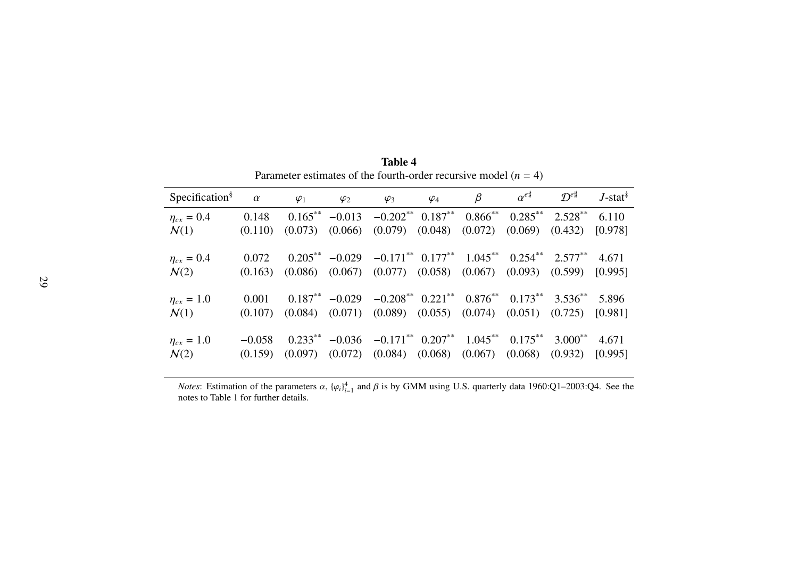| Specification <sup>§</sup> | $\alpha$ | $\varphi_1$ | $\varphi_2$ | $\varphi_3$                                                                             | $\varphi_4$                       | $\beta$      | $\alpha^{e\sharp}$ | $\mathcal{D}^{e\sharp}$ | $J$ -stat <sup>‡</sup> |
|----------------------------|----------|-------------|-------------|-----------------------------------------------------------------------------------------|-----------------------------------|--------------|--------------------|-------------------------|------------------------|
| $\eta_{cx}=0.4$            | 0.148    | $0.165***$  | $-0.013$    |                                                                                         | $-0.202^{**}$ 0.187 <sup>**</sup> | $0.866^{**}$ | $0.285***$         | $2.528**$               | 6.110                  |
| $\mathcal{N}(1)$           | (0.110)  | (0.073)     | (0.066)     |                                                                                         | $(0.079)$ $(0.048)$ $(0.072)$     |              | (0.069)            | (0.432)                 | [0.978]                |
|                            |          |             |             |                                                                                         |                                   |              |                    |                         |                        |
| $\eta_{cx}=0.4$            | 0.072    |             |             | $0.205^{**}$ $-0.029$ $-0.171^{**}$ $0.177^{**}$ $1.045^{**}$ $0.254^{**}$ $2.577^{**}$ |                                   |              |                    |                         | 4.671                  |
| $\mathcal{N}(2)$           | (0.163)  |             |             | $(0.086)$ $(0.067)$ $(0.077)$ $(0.058)$ $(0.067)$ $(0.093)$ $(0.599)$                   |                                   |              |                    |                         | [0.995]                |
|                            |          |             |             |                                                                                         |                                   |              |                    |                         |                        |
| $\eta_{cx} = 1.0$          | 0.001    |             |             | $0.187^{**}$ $-0.029$ $-0.208^{**}$ $0.221^{**}$ $0.876^{**}$ $0.173^{**}$ $3.536^{**}$ |                                   |              |                    |                         | 5.896                  |
| $\mathcal{N}(1)$           | (0.107)  | (0.084)     |             | $(0.071)$ $(0.089)$ $(0.055)$ $(0.074)$ $(0.051)$                                       |                                   |              |                    | (0.725)                 | [0.981]                |
|                            |          |             |             |                                                                                         |                                   |              |                    |                         |                        |
| $\eta_{cx} = 1.0$          | $-0.058$ |             |             | $0.233^{**}$ -0.036 -0.171** $0.207^{**}$ 1.045**                                       |                                   |              | $0.175***$         | $3.000***$              | 4.671                  |
| $\mathcal{N}(2)$           | (0.159)  | (0.097)     |             | $(0.072)$ $(0.084)$ $(0.068)$ $(0.067)$                                                 |                                   |              | (0.068)            | (0.932)                 | [0.995]                |
|                            |          |             |             |                                                                                         |                                   |              |                    |                         |                        |

Table 4Parameter estimates of the fourth-order recursive model (*<sup>n</sup>* <sup>=</sup> 4)

*Notes*: Estimation of the parameters  $\alpha$ ,  ${\{\varphi_i\}}_{i=1}^4$  and  $\beta$  is by GMM using U.S. quarterly data 1960:Q1–2003:Q4. See the notes to Table 1 for further details.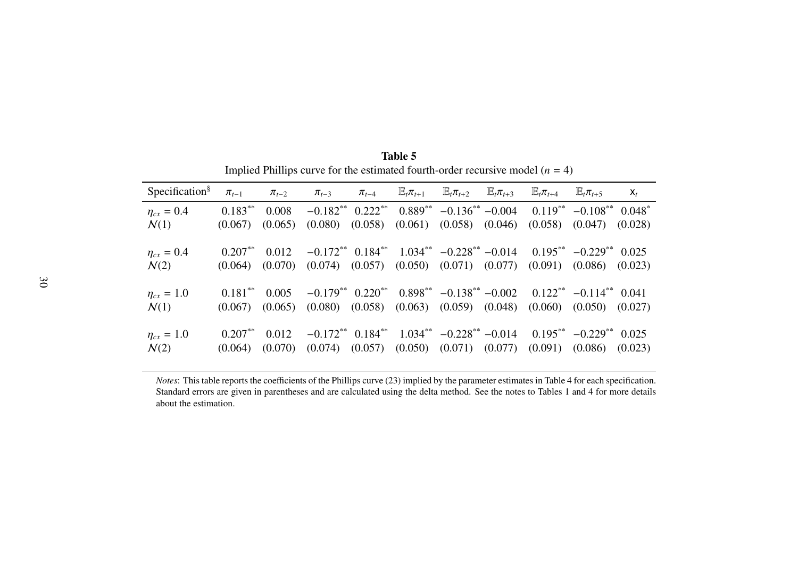| Specification <sup>§</sup> | $\pi_{t-1}$ | $\pi_{t-2}$ | $\pi_{t-3}$                    | $\pi_{t-4}$ | $\mathbb{E}_{t} \pi_{t+1}$ | $\mathbb{E}_{t} \pi_{t+2}$                                     | $\mathbb{E}_{t}$ $\pi_{t+3}$ | $\mathbb{E}_{t} \pi_{t+4}$              | $\mathbb{E}_{t}$ $\pi_{t+5}$ | $\mathsf{X}_t$ |
|----------------------------|-------------|-------------|--------------------------------|-------------|----------------------------|----------------------------------------------------------------|------------------------------|-----------------------------------------|------------------------------|----------------|
| $\eta_{cx} = 0.4$          | $0.183***$  | 0.008       | $-0.182**$                     | $0.222***$  | $0.889***$                 | $-0.136^{**}$ $-0.004$                                         |                              | $0.119***$                              | $-0.108***$                  | $0.048*$       |
| $\mathcal{N}(1)$           | (0.067)     | (0.065)     | (0.080)                        | (0.058)     | (0.061)                    | (0.058)                                                        | (0.046)                      | (0.058)                                 | (0.047)                      | (0.028)        |
| $\eta_{cx} = 0.4$          | $0.207**$   | 0.012       | $-0.172**$ 0.184**             |             |                            | $1.034^{**}$ $-0.228^{**}$ $-0.014$                            |                              |                                         | $0.195***$ $-0.229***$       | 0.025          |
| $\mathcal{N}(2)$           | (0.064)     | (0.070)     | $(0.074)$ $(0.057)$            |             |                            | $(0.050)$ $(0.071)$ $(0.077)$                                  |                              | (0.091)                                 | (0.086)                      | (0.023)        |
| $\eta_{cx} = 1.0$          | $0.181***$  | 0.005       |                                |             |                            | $-0.179^{**}$ $0.220^{**}$ $0.898^{**}$ $-0.138^{**}$ $-0.002$ |                              | $0.122^{**}$ -0.114 <sup>**</sup> 0.041 |                              |                |
| $\mathcal{N}(1)$           | (0.067)     | (0.065)     |                                |             |                            | $(0.080)$ $(0.058)$ $(0.063)$ $(0.059)$ $(0.048)$              |                              |                                         | $(0.060)$ $(0.050)$          | (0.027)        |
| $\eta_{cx} = 1.0$          | $0.207**$   | 0.012       | $-0.172**$ 0.184 <sup>**</sup> |             |                            | $1.034^{**}$ $-0.228^{**}$ $-0.014$                            |                              |                                         | $0.195***$ $-0.229***$       | 0.025          |
| $\mathcal{N}(2)$           | (0.064)     | (0.070)     | (0.074)                        | (0.057)     |                            | $(0.050)$ $(0.071)$ $(0.077)$                                  |                              | (0.091)                                 | (0.086)                      | (0.023)        |

Table 5Implied Phillips curve for the estimated fourth-order recursive model (*<sup>n</sup>* <sup>=</sup> 4)

*Notes*: This table reports the coefficients of the Phillips curve (23) implied by the parameter estimates in Table 4 for each specification. Standard errors are given in parentheses and are calculated using the delta method. See the notes to Tables 1 and 4 for more detailsabout the estimation.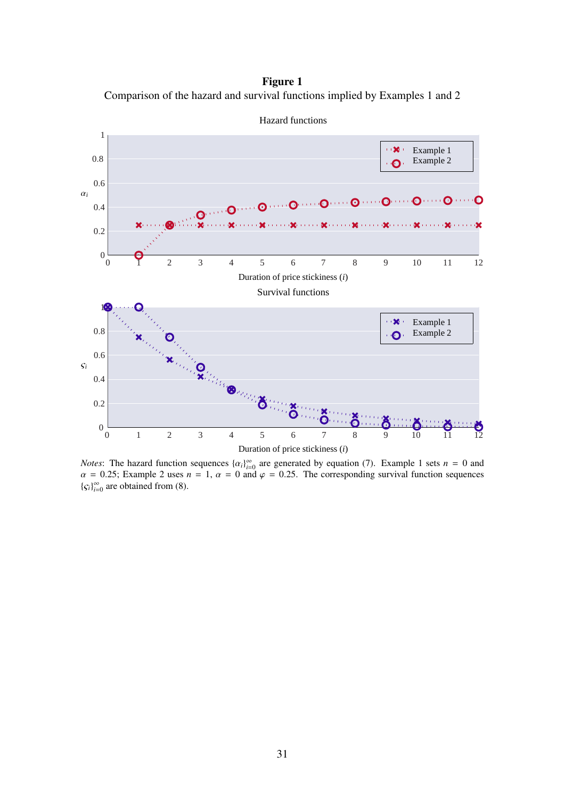Figure 1 Comparison of the hazard and survival functions implied by Examples 1 and 2



*Notes*: The hazard function sequences  $\{\alpha_i\}_{i=0}^{\infty}$  are generated by equation (7). Example 1 sets  $n = 0$  and  $\alpha = 0.25$ ; Example 2 uses  $n = 1$ ,  $\alpha = 0$  and  $\varphi = 0.25$ . The corresponding survival function sequences  ${c_i}_{i=0}^{\infty}$  are obtained from (8).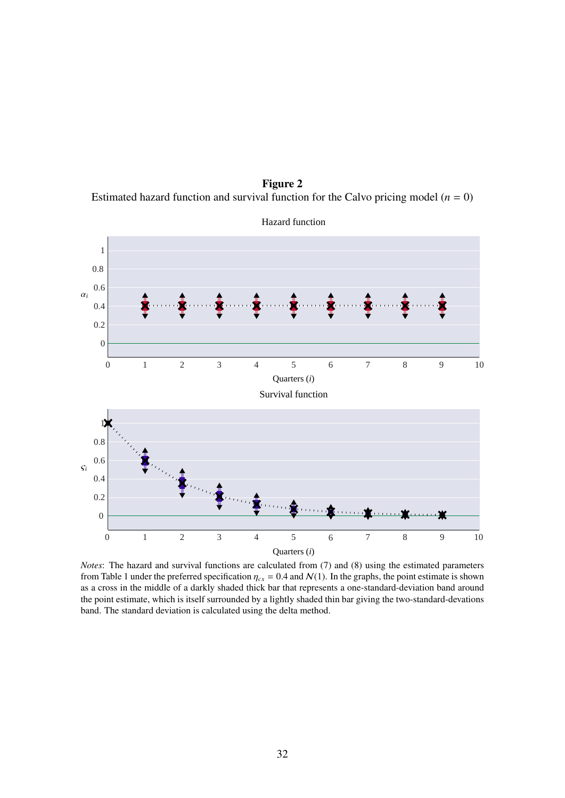Figure 2 Estimated hazard function and survival function for the Calvo pricing model  $(n = 0)$ 



Hazard function

*Notes*: The hazard and survival functions are calculated from (7) and (8) using the estimated parameters from Table 1 under the preferred specification  $\eta_{cx} = 0.4$  and  $\mathcal{N}(1)$ . In the graphs, the point estimate is shown as a cross in the middle of a darkly shaded thick bar that represents a one-standard-deviation band around the point estimate, which is itself surrounded by a lightly shaded thin bar giving the two-standard-devations band. The standard deviation is calculated using the delta method.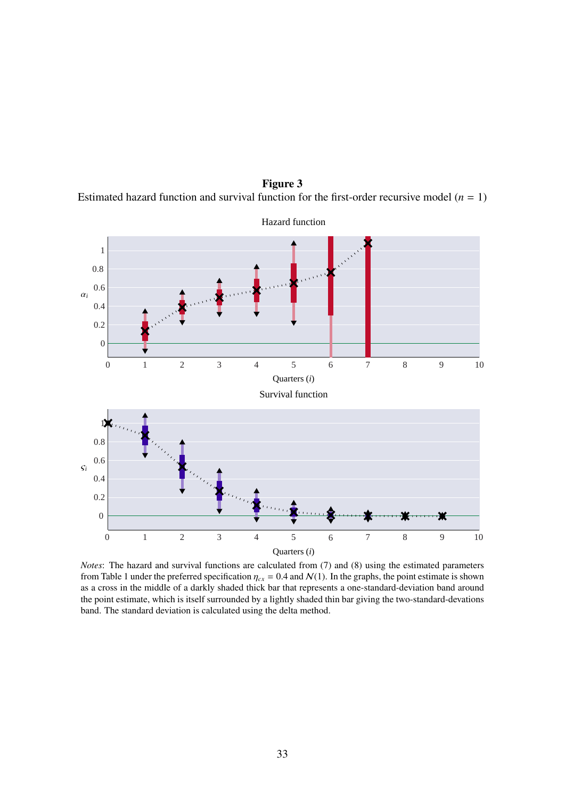1 0.8 0.6 α*i* 0.4 0.2 0 0 1 2 3 4 5 6 7 8 9 10 Quarters (*i*) Survival function 1 0.8 0.6 ς*i* 0.4 0.2 0 Ж 0 1 2 3 4 5 6 7 8 9 10 Quarters (*i*)

Figure 3

Hazard function

Estimated hazard function and survival function for the first-order recursive model  $(n = 1)$ 

*Notes*: The hazard and survival functions are calculated from (7) and (8) using the estimated parameters from Table 1 under the preferred specification  $\eta_{cx} = 0.4$  and  $\mathcal{N}(1)$ . In the graphs, the point estimate is shown as a cross in the middle of a darkly shaded thick bar that represents a one-standard-deviation band around the point estimate, which is itself surrounded by a lightly shaded thin bar giving the two-standard-devations band. The standard deviation is calculated using the delta method.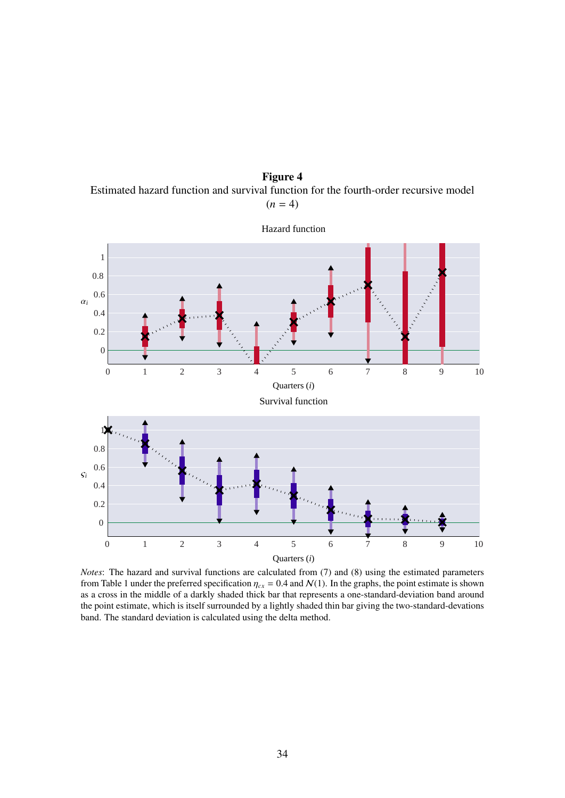Figure 4 Estimated hazard function and survival function for the fourth-order recursive model  $(n = 4)$ 



*Notes*: The hazard and survival functions are calculated from (7) and (8) using the estimated parameters from Table 1 under the preferred specification  $\eta_{cx} = 0.4$  and  $\mathcal{N}(1)$ . In the graphs, the point estimate is shown as a cross in the middle of a darkly shaded thick bar that represents a one-standard-deviation band around the point estimate, which is itself surrounded by a lightly shaded thin bar giving the two-standard-devations band. The standard deviation is calculated using the delta method.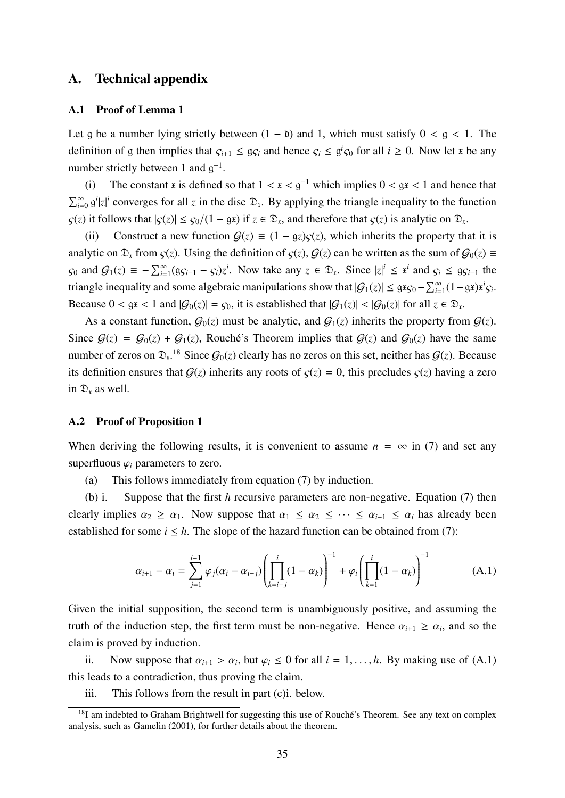## A. Technical appendix

### A.1 Proof of Lemma 1

Let g be a number lying strictly between  $(1 - b)$  and 1, which must satisfy  $0 < g < 1$ . The definition of g then implies that  $\varsigma_{i+1} \leq g\varsigma_i$  and hence  $\varsigma_i \leq g^i\varsigma_0$  for all  $i \geq 0$ . Now let x be any number strictly between 1 and  $g^{-1}$ .

(i) The constant x is defined so that  $1 < x < g^{-1}$  which implies  $0 < gx < 1$  and hence that  $\sum_{i=0}^{\infty} g^i |z|^i$  converges for all *z* in the disc  $\mathfrak{D}_x$ . By applying the triangle inequality to the function  $\zeta(z)$  it follows that  $|\zeta(z)| \leq \zeta_0/(1 - \mathfrak{g}z)$  if  $z \in \mathfrak{D}_z$ , and therefore that  $\zeta(z)$  is analytic on  $\mathfrak{D}_x$ .

(ii) Construct a new function  $G(z) \equiv (1 - \alpha z) c(z)$ , which inherits the property that it is analytic on  $\mathfrak{D}_x$  from  $\zeta(z)$ . Using the definition of  $\zeta(z)$ ,  $\mathcal{G}(z)$  can be written as the sum of  $\zeta(0) \equiv$  $\mathcal{G}_0$  and  $\mathcal{G}_1(z) \equiv -\sum_{i=1}^{\infty} (g\mathcal{G}_{i-1} - \mathcal{G}_i)z^i$ . Now take any  $z \in \mathfrak{D}_x$ . Since  $|z|^i \leq x^i$  and  $\mathcal{G}_i \leq g\mathcal{G}_{i-1}$  the triangle inequality and some algebraic manipulations show that  $|G_1(z)| \leq g x_{G_0} - \sum_{i=1}^{\infty} (1 - gx)x^i G_i$ . Because  $0 < \text{g}x < 1$  and  $|\mathcal{G}_0(z)| = \zeta_0$ , it is established that  $|\mathcal{G}_1(z)| < |\mathcal{G}_0(z)|$  for all  $z \in \mathcal{D}_x$ .

As a constant function,  $G_0(z)$  must be analytic, and  $G_1(z)$  inherits the property from  $G(z)$ . Since  $G(z) = G_0(z) + G_1(z)$ , Rouché's Theorem implies that  $G(z)$  and  $G_0(z)$  have the same number of zeros on  $\mathfrak{D}_x$ .<sup>18</sup> Since  $\mathcal{G}_0(z)$  clearly has no zeros on this set, neither has  $\mathcal{G}(z)$ . Because its definition ensures that  $G(z)$  inherits any roots of  $\zeta(z) = 0$ , this precludes  $\zeta(z)$  having a zero in  $\mathcal{D}_x$  as well.

## A.2 Proof of Proposition 1

When deriving the following results, it is convenient to assume  $n = \infty$  in (7) and set any superfluous  $\varphi_i$  parameters to zero.

(a) This follows immediately from equation (7) by induction.

(b) i. Suppose that the first *h* recursive parameters are non-negative. Equation (7) then clearly implies  $\alpha_2 \ge \alpha_1$ . Now suppose that  $\alpha_1 \le \alpha_2 \le \cdots \le \alpha_{i-1} \le \alpha_i$  has already been established for some  $i \leq h$ . The slope of the hazard function can be obtained from (7):

$$
\alpha_{i+1} - \alpha_i = \sum_{j=1}^{i-1} \varphi_j (\alpha_i - \alpha_{i-j}) \left( \prod_{k=i-j}^i (1 - \alpha_k) \right)^{-1} + \varphi_i \left( \prod_{k=1}^i (1 - \alpha_k) \right)^{-1} \tag{A.1}
$$

Given the initial supposition, the second term is unambiguously positive, and assuming the truth of the induction step, the first term must be non-negative. Hence  $\alpha_{i+1} \geq \alpha_i$ , and so the claim is proved by induction.

ii. Now suppose that  $\alpha_{i+1} > \alpha_i$ , but  $\varphi_i \leq 0$  for all  $i = 1, ..., h$ . By making use of (A.1) this leads to a contradiction, thus proving the claim.

iii. This follows from the result in part (c)i. below.

 $18$ I am indebted to Graham Brightwell for suggesting this use of Rouché's Theorem. See any text on complex analysis, such as Gamelin (2001), for further details about the theorem.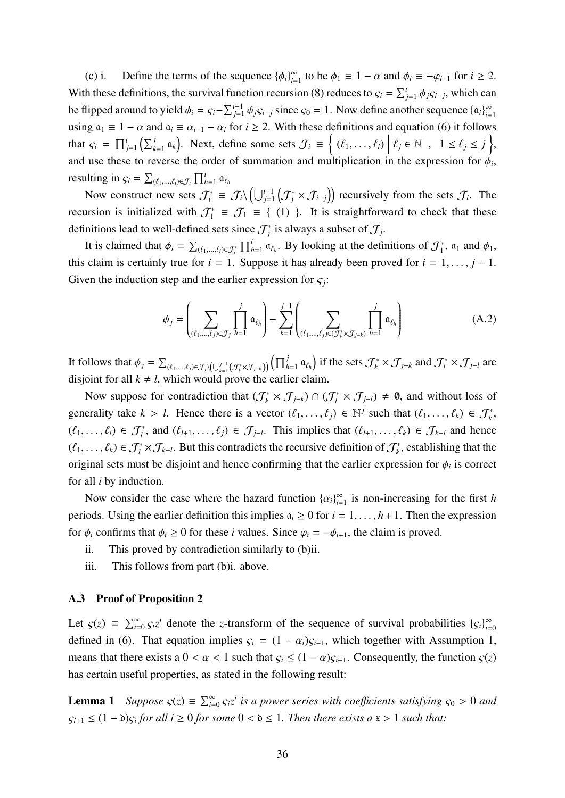(c) i. Define the terms of the sequence  $\{\phi_i\}_{i=1}^{\infty}$  $\sum_{i=1}^{\infty}$  to be  $\phi_1 \equiv 1 - \alpha$  and  $\phi_i \equiv -\varphi_{i-1}$  for  $i \ge 2$ . With these definitions, the survival function recursion (8) reduces to  $\zeta_i = \sum_{j=1}^i \phi_j \zeta_{i-j}$ , which can be flipped around to yield  $\phi_i = \zeta_i - \sum_{j=1}^{i-1} \phi_j \zeta_{i-j}$  since  $\zeta_0 = 1$ . Now define another sequence  $\{\alpha_i\}_{i=1}^{\infty}$ *i*=1 using  $a_1 \equiv 1 - \alpha$  and  $a_i \equiv \alpha_{i-1} - \alpha_i$  for  $i \ge 2$ . With these definitions and equation (6) it follows that  $\varsigma_i = \prod_{j=1}^i \left( \sum_{k=1}^j \mathfrak{a}_k \right)$ . Next, define some sets  $\mathcal{J}_i \equiv \left\{ (\ell_1, \ldots, \ell_i) \middle| \right\}$  $\ell_j \in \mathbb{N}$ ,  $1 \leq \ell_j \leq j$ , and use these to reverse the order of summation and multiplication in the expression for  $\phi_i$ , resulting in  $\varsigma_i = \sum_{(\ell_1,\ldots,\ell_i)\in\mathcal{J}_i} \prod_{h=1}^i \mathfrak{a}_{\ell_h}$ 

Now construct new sets  $\mathcal{J}_i^* = \mathcal{J}_i \setminus \left( \bigcup_{j=1}^{i-1} \left( \mathcal{J}_j^* \times \mathcal{J}_{i-j} \right) \right)$  recursively from the sets  $\mathcal{J}_i$ . The recursion is initialized with  $\mathcal{J}_1^* = \mathcal{J}_1 = \{ (1) \}$ . It is straightforward to check that these definitions lead to well-defined sets since  $\mathcal{J}^*_j$  is always a subset of  $\mathcal{J}_j$ .

It is claimed that  $\phi_i = \sum_{(\ell_1,\dots,\ell_i)\in\mathcal{J}^*_i} \prod_{h=1}^i a_{\ell_h}$ . By looking at the definitions of  $\mathcal{J}^*_1$ ,  $a_1$  and  $\phi_1$ , this claim is certainly true for  $i = 1$ . Suppose it has already been proved for  $i = 1, ..., j - 1$ . Given the induction step and the earlier expression for  $\zeta_j$ :

$$
\phi_j = \left(\sum_{(\ell_1,\ldots,\ell_j)\in\mathcal{J}_j} \prod_{h=1}^j \mathfrak{a}_{\ell_h}\right) - \sum_{k=1}^{j-1} \left(\sum_{(\ell_1,\ldots,\ell_j)\in(\mathcal{J}_k^* \times \mathcal{J}_{j-k})} \prod_{h=1}^j \mathfrak{a}_{\ell_h}\right) \tag{A.2}
$$

It follows that  $\phi_j = \sum_{(\ell_1,\dots,\ell_j)\in\mathcal{J}_j\setminus\left(\bigcup_{k=1}^{j-1}(\mathcal{J}_k^*\times\mathcal{J}_{j-k})\right)}\left(\prod_{h=1}^j\mathfrak{a}_{\ell_h}\right)$  if the sets  $\mathcal{J}_k^*\times\mathcal{J}_{j-k}$  and  $\mathcal{J}_l^*\times\mathcal{J}_{j-l}$  are disjoint for all  $k \neq l$ , which would prove the earlier claim.

Now suppose for contradiction that  $(\mathcal{J}_k^* \times \mathcal{J}_{j-k}) \cap (\mathcal{J}_l^* \times \mathcal{J}_{j-l}) \neq \emptyset$ , and without loss of generality take  $k > l$ . Hence there is a vector  $(\ell_1, \ldots, \ell_j) \in \mathbb{N}^j$  such that  $(\ell_1, \ldots, \ell_k) \in \mathcal{J}_k^*$ ,  $(\ell_1, \ldots, \ell_l) \in \mathcal{J}_l^*$ , and  $(\ell_{l+1}, \ldots, \ell_j) \in \mathcal{J}_{j-l}$ . This implies that  $(\ell_{l+1}, \ldots, \ell_k) \in \mathcal{J}_{k-l}$  and hence  $(\ell_1, \ldots, \ell_k) \in \mathcal{J}_l^* \times \mathcal{J}_{k-l}$ . But this contradicts the recursive definition of  $\mathcal{J}_k^*$ , establishing that the original sets must be disjoint and hence confirming that the earlier expression for  $\phi_i$  is correct for all *i* by induction.

Now consider the case where the hazard function  $\{\alpha_i\}_{i=1}^{\infty}$  $\sum_{i=1}^{\infty}$  is non-increasing for the first *h* periods. Using the earlier definition this implies  $a_i \geq 0$  for  $i = 1, \ldots, h+1$ . Then the expression for  $\phi_i$  confirms that  $\phi_i \geq 0$  for these *i* values. Since  $\varphi_i = -\phi_{i+1}$ , the claim is proved.

- ii. This proved by contradiction similarly to (b)ii.
- iii. This follows from part (b)i. above.

### A.3 Proof of Proposition 2

Let  $\zeta(z) \equiv \sum_{i=0}^{\infty} \zeta_i z^i$  denote the *z*-transform of the sequence of survival probabilities  $\{\zeta_i\}_{i=0}^{\infty}$ *i*=0 defined in (6). That equation implies  $\varsigma_i = (1 - \alpha_i)\varsigma_{i-1}$ , which together with Assumption 1, means that there exists a  $0 < \alpha < 1$  such that  $\varsigma_i \le (1 - \alpha)\varsigma_{i-1}$ . Consequently, the function  $\varsigma(z)$ has certain useful properties, as stated in the following result:

**Lemma 1** Suppose  $\varsigma(z) \equiv \sum_{i=0}^{\infty} \varsigma_i z^i$  is a power series with coefficients satisfying  $\varsigma_0 > 0$  and  $\zeta_{i+1} \leq (1 - \delta)\zeta_i$  *for all i*  $\geq 0$  *for some*  $0 < \delta \leq 1$ *. Then there exists a*  $\mathbf{x} > 1$  *such that:*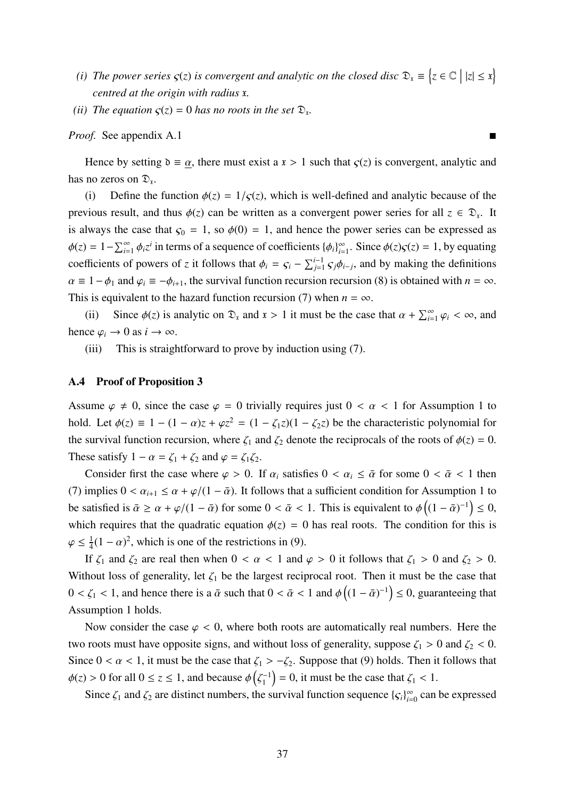- *(i)* The power series  $\varsigma(z)$  is convergent and analytic on the closed disc  $\mathfrak{D}_x \equiv \{z \in \mathbb{C} \mid |z| \leq x\}$ *centred at the origin with radius* x*.*
- (*ii*) *The equation*  $\varsigma(z) = 0$  *has no roots in the set*  $\mathfrak{D}_z$ *.*

*Proof.* See appendix A.1

Hence by setting  $\delta \equiv \alpha$ , there must exist a  $x > 1$  such that  $\zeta(z)$  is convergent, analytic and has no zeros on  $\mathfrak{D}_x$ .

(i) Define the function  $\phi(z) = 1/\zeta(z)$ , which is well-defined and analytic because of the previous result, and thus  $\phi(z)$  can be written as a convergent power series for all  $z \in \mathcal{D}_x$ . It is always the case that  $\varsigma_0 = 1$ , so  $\phi(0) = 1$ , and hence the power series can be expressed as  $\phi(z) = 1 - \sum_{i=1}^{\infty} \phi_i z^i$  in terms of a sequence of coefficients  $\{\phi_i\}_{i=1}^{\infty}$  $\sum_{i=1}^{\infty}$ . Since  $\phi(z)g(z) = 1$ , by equating coefficients of powers of *z* it follows that  $\phi_i = \zeta_i - \sum_{j=1}^{i-1} \zeta_j \phi_{i-j}$ , and by making the definitions  $\alpha \equiv 1 - \phi_1$  and  $\varphi_i \equiv -\phi_{i+1}$ , the survival function recursion recursion (8) is obtained with  $n = \infty$ . This is equivalent to the hazard function recursion (7) when  $n = \infty$ .

(ii) Since  $\phi(z)$  is analytic on  $\mathfrak{D}_x$  and  $x > 1$  it must be the case that  $\alpha + \sum_{i=1}^{\infty} \varphi_i < \infty$ , and hence  $\varphi_i \to 0$  as  $i \to \infty$ .

(iii) This is straightforward to prove by induction using (7).

## A.4 Proof of Proposition 3

Assume  $\varphi \neq 0$ , since the case  $\varphi = 0$  trivially requires just  $0 < \alpha < 1$  for Assumption 1 to hold. Let  $\phi(z) \equiv 1 - (1 - \alpha)z + \varphi z^2 = (1 - \zeta_1 z)(1 - \zeta_2 z)$  be the characteristic polynomial for the survival function recursion, where  $\zeta_1$  and  $\zeta_2$  denote the reciprocals of the roots of  $\phi(z) = 0$ . These satisfy  $1 - \alpha = \zeta_1 + \zeta_2$  and  $\varphi = \zeta_1 \zeta_2$ .

Consider first the case where  $\varphi > 0$ . If  $\alpha_i$  satisfies  $0 < \alpha_i \leq \bar{\alpha}$  for some  $0 < \bar{\alpha} < 1$  then (7) implies  $0 < \alpha_{i+1} \leq \alpha + \varphi/(1 - \bar{\alpha})$ . It follows that a sufficient condition for Assumption 1 to be satisfied is  $\bar{\alpha} \ge \alpha + \varphi/(1 - \bar{\alpha})$  for some  $0 < \bar{\alpha} < 1$ . This is equivalent to  $\phi((1 - \bar{\alpha})^{-1}) \le 0$ , which requires that the quadratic equation  $\phi(z) = 0$  has real roots. The condition for this is  $\varphi \leq \frac{1}{4}$  $\frac{1}{4}(1-\alpha)^2$ , which is one of the restrictions in (9).

If  $\zeta_1$  and  $\zeta_2$  are real then when  $0 < \alpha < 1$  and  $\varphi > 0$  it follows that  $\zeta_1 > 0$  and  $\zeta_2 > 0$ . Without loss of generality, let  $\zeta_1$  be the largest reciprocal root. Then it must be the case that  $0 < \zeta_1 < 1$ , and hence there is a  $\bar{\alpha}$  such that  $0 < \bar{\alpha} < 1$  and  $\phi((1 - \bar{\alpha})^{-1}) \leq 0$ , guaranteeing that Assumption 1 holds.

Now consider the case  $\varphi$  < 0, where both roots are automatically real numbers. Here the two roots must have opposite signs, and without loss of generality, suppose  $\zeta_1 > 0$  and  $\zeta_2 < 0$ . Since  $0 < \alpha < 1$ , it must be the case that  $\zeta_1 > -\zeta_2$ . Suppose that (9) holds. Then it follows that  $\phi(z) > 0$  for all  $0 \le z \le 1$ , and because  $\phi\left(\zeta_1^{-1}\right)$  $\binom{-1}{1}$  = 0, it must be the case that  $\zeta_1$  < 1.

Since  $\zeta_1$  and  $\zeta_2$  are distinct numbers, the survival function sequence  $\{\zeta_i\}_{i=1}^{\infty}$  $\sum_{i=0}^{\infty}$  can be expressed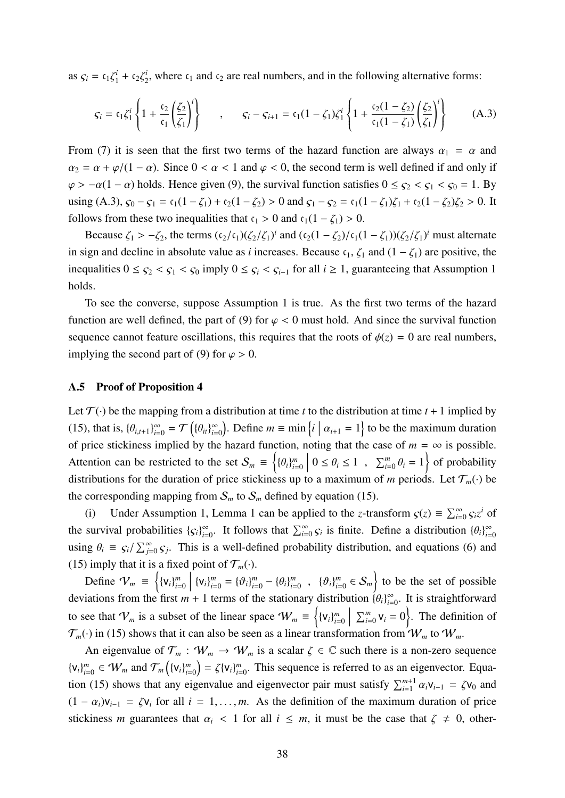as  $\zeta_i = c_1 \zeta_1^i + c_2 \zeta_2^i$  $\zeta_2^i$ , where  $\zeta_1$  and  $\zeta_2$  are real numbers, and in the following alternative forms:

$$
\varsigma_{i} = c_{1}\zeta_{1}^{i}\left\{1+\frac{c_{2}}{c_{1}}\left(\frac{\zeta_{2}}{\zeta_{1}}\right)^{i}\right\} \quad , \quad \varsigma_{i} - \varsigma_{i+1} = c_{1}(1-\zeta_{1})\zeta_{1}^{i}\left\{1+\frac{c_{2}(1-\zeta_{2})}{c_{1}(1-\zeta_{1})}\left(\frac{\zeta_{2}}{\zeta_{1}}\right)^{i}\right\} \quad (A.3)
$$

From (7) it is seen that the first two terms of the hazard function are always  $\alpha_1 = \alpha$  and  $\alpha_2 = \alpha + \varphi/(1 - \alpha)$ . Since  $0 < \alpha < 1$  and  $\varphi < 0$ , the second term is well defined if and only if  $\varphi > -\alpha(1-\alpha)$  holds. Hence given (9), the survival function satisfies  $0 \leq \varsigma_2 < \varsigma_1 < \varsigma_0 = 1$ . By using (A.3),  $\varsigma_0 - \varsigma_1 = \varsigma_1(1 - \zeta_1) + \varsigma_2(1 - \zeta_2) > 0$  and  $\varsigma_1 - \varsigma_2 = \varsigma_1(1 - \zeta_1)\zeta_1 + \varsigma_2(1 - \zeta_2)\zeta_2 > 0$ . It follows from these two inequalities that  $c_1 > 0$  and  $c_1(1 - \zeta_1) > 0$ .

Because  $\zeta_1 > -\zeta_2$ , the terms  $(c_2/c_1)(\zeta_2/\zeta_1)^i$  and  $(c_2(1-\zeta_2)/c_1(1-\zeta_1))(\zeta_2/\zeta_1)^i$  must alternate in sign and decline in absolute value as *i* increases. Because  $c_1$ ,  $\zeta_1$  and  $(1 - \zeta_1)$  are positive, the inequalities  $0 \leq \varsigma_2 < \varsigma_1 < \varsigma_0$  imply  $0 \leq \varsigma_i < \varsigma_{i-1}$  for all  $i \geq 1$ , guaranteeing that Assumption 1 holds.

To see the converse, suppose Assumption 1 is true. As the first two terms of the hazard function are well defined, the part of (9) for  $\varphi$  < 0 must hold. And since the survival function sequence cannot feature oscillations, this requires that the roots of  $\phi(z) = 0$  are real numbers, implying the second part of (9) for  $\varphi > 0$ .

#### A.5 Proof of Proposition 4

Let  $\mathcal{T}(\cdot)$  be the mapping from a distribution at time *t* to the distribution at time *t* + 1 implied by (15), that is,  $\{\theta_{i,t+1}\}_{i=0}^{\infty} = \mathcal{T}\left(\{\theta_{it}\}_{i=1}^{\infty}\right)$  $\sum_{i=0}^{\infty}$ ). Define *m* = min  $\left\{i \mid \alpha_{i+1} = 1\right\}$  to be the maximum duration of price stickiness implied by the hazard function, noting that the case of  $m = \infty$  is possible. Attention can be restricted to the set  $S_m \equiv \left\{ {\theta_i} \right\}_{i=1}^m$ *i*=0  $\begin{array}{c} \begin{array}{c} \begin{array}{c} \end{array} \\ \begin{array}{c} \end{array} \end{array} \end{array}$  $0 \le \theta_i \le 1$ ,  $\sum_{i=0}^m \theta_i = 1$  of probability distributions for the duration of price stickiness up to a maximum of *m* periods. Let  $\mathcal{T}_m(\cdot)$  be the corresponding mapping from  $S_m$  to  $S_m$  defined by equation (15).

(i) Under Assumption 1, Lemma 1 can be applied to the *z*-transform  $\zeta(z) \equiv \sum_{i=0}^{\infty} \zeta_i z^i$  of the survival probabilities  $\{ \varsigma_i \}_{i=1}^{\infty}$  $\sum_{i=0}^{\infty}$ . It follows that  $\sum_{i=0}^{\infty} S_i$  is finite. Define a distribution  $\{\theta_i\}_{i=0}^{\infty}$ *i*=0 using  $\theta_i \equiv \frac{\zeta_i}{\sum_{j=0}^{\infty} \zeta_j}$ . This is a well-defined probability distribution, and equations (6) and (15) imply that it is a fixed point of  $\mathcal{T}_m(\cdot)$ .

Define  $V_m \equiv \left\{ \{v_i\}_{i=1}^m \right\}$ *i*=0  $\left\{ \{v_i\}_{i=0}^m = \{\vartheta_i\}_{i=0}^m - \{\theta_i\}_{i=0}^m \right\}$  $\sum_{i=0}^m$ ,  $\{\vartheta_i\}_{i=0}^m$  $\binom{m}{i=0} \in S_m$  to be the set of possible deviations from the first  $m + 1$  terms of the stationary distribution  ${\{\theta_i\}}_{i=1}^{\infty}$  $\sum_{i=0}^{\infty}$ . It is straightforward to see that  $V_m$  is a subset of the linear space  $W_m \equiv \{(v_i)\}_{i=1}^m$ *i*=0  $\begin{array}{c} \n \downarrow \\ \n \downarrow \n \end{array}$  $\sum_{i=0}^{m}$   $v_i = 0$ . The definition of  $\mathcal{T}_m(\cdot)$  in (15) shows that it can also be seen as a linear transformation from  $\mathcal{W}_m$  to  $\mathcal{W}_m$ .

An eigenvalue of  $\mathcal{T}_m$ :  $\mathcal{W}_m \to \mathcal{W}_m$  is a scalar  $\zeta \in \mathbb{C}$  such there is a non-zero sequence  ${v_i}_{i=1}^m$  $_{i=0}^{m} \in W_m$  and  $\mathcal{T}_m \left( \{ \mathsf{v}_i \}_{i=1}^m \right)$  $\binom{m}{i=0}$  =  $\zeta \{V_i\}_{i=1}^m$  $_{i=0}^{m}$ . This sequence is referred to as an eigenvector. Equation (15) shows that any eigenvalue and eigenvector pair must satisfy  $\sum_{i=1}^{m+1} \alpha_i v_{i-1} = \zeta v_0$  and  $(1 - \alpha_i)v_{i-1} = \zeta v_i$  for all  $i = 1, \ldots, m$ . As the definition of the maximum duration of price stickiness *m* guarantees that  $\alpha_i$  < 1 for all  $i \leq m$ , it must be the case that  $\zeta \neq 0$ , other-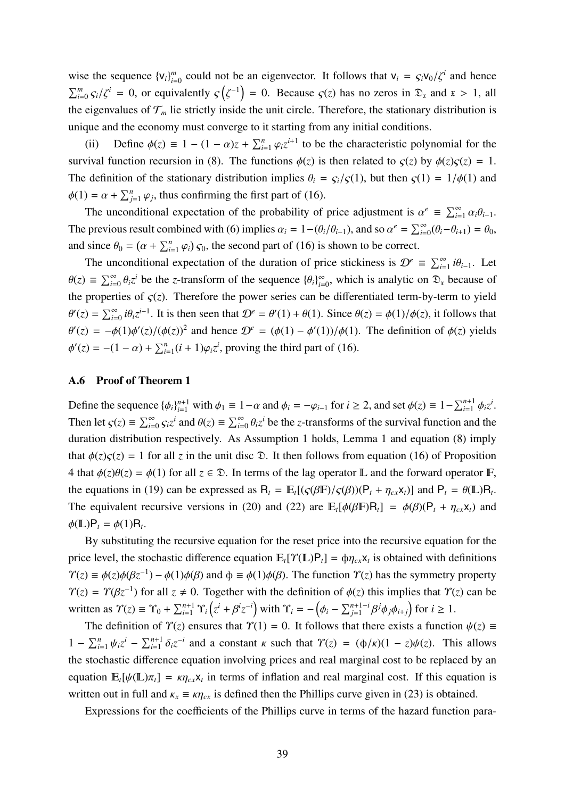wise the sequence  ${v_i}_{i=1}^m$  $\int_{i=0}^{m}$  could not be an eigenvector. It follows that  $v_i = \frac{\zeta_i v_0}{\zeta^i}$  and hence  $\sum_{i=0}^{m} \frac{\zeta_i}{\zeta_i^i} = 0$ , or equivalently  $\zeta(\zeta^{-1}) = 0$ . Because  $\zeta(z)$  has no zeros in  $\mathfrak{D}_x$  and  $x > 1$ , all the eigenvalues of  $\mathcal{T}_m$  lie strictly inside the unit circle. Therefore, the stationary distribution is unique and the economy must converge to it starting from any initial conditions.

(ii) Define  $\phi(z) \equiv 1 - (1 - \alpha)z + \sum_{i=1}^{n} \varphi_i z^{i+1}$  to be the characteristic polynomial for the survival function recursion in (8). The functions  $\phi(z)$  is then related to  $\zeta(z)$  by  $\phi(z)\zeta(z) = 1$ . The definition of the stationary distribution implies  $\theta_i = \frac{\zeta_i}{\zeta(1)}$ , but then  $\zeta(1) = \frac{1}{\phi(1)}$  and  $\phi(1) = \alpha + \sum_{j=1}^{n} \varphi_j$ , thus confirming the first part of (16).

The unconditional expectation of the probability of price adjustment is  $\alpha^e \equiv \sum_{i=1}^{\infty} \alpha_i \theta_{i-1}$ . The previous result combined with (6) implies  $\alpha_i = 1 - (\theta_i/\theta_{i-1})$ , and so  $\alpha^e = \sum_{i=0}^{\infty} (\theta_i - \theta_{i+1}) = \theta_0$ , and since  $\theta_0 = (\alpha + \sum_{i=1}^n \varphi_i) s_0$ , the second part of (16) is shown to be correct.

The unconditional expectation of the duration of price stickiness is  $\mathcal{D}^e \equiv \sum_{i=1}^{\infty} i \theta_{i-1}$ . Let  $\theta(z) \equiv \sum_{i=0}^{\infty} \theta_i z^i$  be the *z*-transform of the sequence  $\{\theta_i\}_{i=0}^{\infty}$  $\sum_{i=0}^{\infty}$ , which is analytic on  $\mathfrak{D}_x$  because of the properties of  $\zeta(z)$ . Therefore the power series can be differentiated term-by-term to yield  $\theta'(z) = \sum_{i=0}^{\infty} i \theta_i z^{i-1}$ . It is then seen that  $\mathcal{D}^e = \theta'(1) + \theta(1)$ . Since  $\theta(z) = \phi(1)/\phi(z)$ , it follows that  $\theta'(z) = -\phi(1)\phi'(z)/(\phi(z))^2$  and hence  $\mathcal{D}^e = (\phi(1) - \phi'(1))/\phi(1)$ . The definition of  $\phi(z)$  yields  $\phi'(z) = -(1 - \alpha) + \sum_{i=1}^{n} (i + 1)\varphi_i z^i$ , proving the third part of (16).

### A.6 Proof of Theorem 1

Define the sequence  $\{\phi_i\}_{i=1}^{n+1}$  with  $\phi_1 \equiv 1 - \alpha$  and  $\phi_i = -\varphi_{i-1}$  for  $i \ge 2$ , and set  $\phi(z) \equiv 1 - \sum_{i=1}^{n+1} \phi_i z^i$ . Then let  $\zeta(z) \equiv \sum_{i=0}^{\infty} \zeta_i z^i$  and  $\theta(z) \equiv \sum_{i=0}^{\infty} \theta_i z^i$  be the *z*-transforms of the survival function and the duration distribution respectively. As Assumption 1 holds, Lemma 1 and equation (8) imply that  $\phi(z)$ <sub>S</sub> $(z)$  = 1 for all *z* in the unit disc  $\mathcal{D}$ . It then follows from equation (16) of Proposition 4 that  $\phi(z)\theta(z) = \phi(1)$  for all  $z \in \mathcal{D}$ . In terms of the lag operator **L** and the forward operator **F**, the equations in (19) can be expressed as  $R_t = \mathbb{E}_t[(\varsigma(\beta \mathbb{F})/\varsigma(\beta))(\mathsf{P}_t + \eta_{cx}x_t)]$  and  $\mathsf{P}_t = \theta(\mathbb{L})R_t$ . The equivalent recursive versions in (20) and (22) are  $E_t[\phi(\beta F)R_t] = \phi(\beta)(P_t + \eta_{cx}x_t)$  and  $\phi(\mathbb{L})\mathsf{P}_t = \phi(1)\mathsf{R}_t.$ 

By substituting the recursive equation for the reset price into the recursive equation for the price level, the stochastic difference equation  $\mathbb{E}_t[\Upsilon(\mathbb{L})\mathsf{P}_t] = \phi \eta_{cx} x_t$  is obtained with definitions  $\Upsilon(z) \equiv \phi(z)\phi(\beta z^{-1}) - \phi(1)\phi(\beta)$  and  $\phi \equiv \phi(1)\phi(\beta)$ . The function  $\Upsilon(z)$  has the symmetry property  $\Upsilon(z) = \Upsilon(\beta z^{-1})$  for all  $z \neq 0$ . Together with the definition of  $\phi(z)$  this implies that  $\Upsilon(z)$  can be written as  $\Upsilon(z) \equiv \Upsilon_0 + \sum_{i=1}^{n+1} \Upsilon_i (z^i + \beta^i z^{-i})$  with  $\Upsilon_i = -(\phi_i - \sum_{j=1}^{n+1-i} \beta^j \phi_j \phi_{i+j})$  for  $i \ge 1$ .

The definition of  $\Upsilon(z)$  ensures that  $\Upsilon(1) = 0$ . It follows that there exists a function  $\psi(z) \equiv$ 1 −  $\sum_{i=1}^n ψ_i z^i$  −  $\sum_{i=1}^{n+1} δ_i z^{-i}$  and a constant κ such that  $\Upsilon(z) = (φ/κ)(1 - z)ψ(z)$ . This allows the stochastic difference equation involving prices and real marginal cost to be replaced by an equation  $\mathbb{E}_t[\psi(\mathbb{L})\pi_t] = \kappa \eta_{cx} x_t$  in terms of inflation and real marginal cost. If this equation is written out in full and  $\kappa_x \equiv \kappa \eta_{cx}$  is defined then the Phillips curve given in (23) is obtained.

Expressions for the coefficients of the Phillips curve in terms of the hazard function para-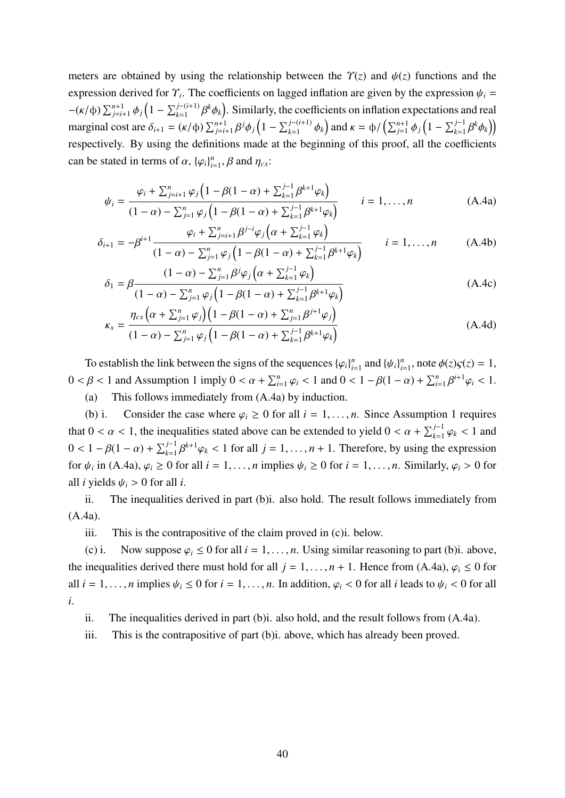meters are obtained by using the relationship between the  $\gamma(z)$  and  $\psi(z)$  functions and the expression derived for  $\Upsilon_i$ . The coefficients on lagged inflation are given by the expression  $\psi_i$  =  $-(\kappa/\phi)\sum_{j=i+1}^{n+1}\phi_j\left(1-\sum_{k=1}^{j-(i+1)}\beta^k\phi_k\right)$ . Similarly, the coefficients on inflation expectations and real marginal cost are  $\delta_{i+1} = (\kappa/\phi) \sum_{j=i+1}^{n+1} \beta^j \phi_j \left(1 - \sum_{k=1}^{j-(i+1)} \phi_k \right)$  and  $\kappa = \phi / \left( \sum_{j=1}^{n+1} \phi_j \left(1 - \sum_{k=1}^{j-1} \beta^k \phi_k \right) \right)$ respectively. By using the definitions made at the beginning of this proof, all the coefficients can be stated in terms of  $\alpha$ ,  $\{\varphi_i\}_{i=1}^n$  $n_{i=1}^n$ ,  $\beta$  and  $\eta_{cx}$ :

$$
\psi_{i} = \frac{\varphi_{i} + \sum_{j=i+1}^{n} \varphi_{j} \left( 1 - \beta (1 - \alpha) + \sum_{k=1}^{j-1} \beta^{k+1} \varphi_{k} \right)}{(1 - \alpha) - \sum_{j=1}^{n} \varphi_{j} \left( 1 - \beta (1 - \alpha) + \sum_{k=1}^{j-1} \beta^{k+1} \varphi_{k} \right)} \qquad i = 1, ..., n
$$
\n(A.4a)

$$
\delta_{i+1} = -\beta^{i+1} \frac{\varphi_i + \sum_{j=i+1}^n \beta^{j-i} \varphi_j \left( \alpha + \sum_{k=1}^{j-1} \varphi_k \right)}{(1-\alpha) - \sum_{j=1}^n \varphi_j \left( 1 - \beta(1-\alpha) + \sum_{k=1}^{j-1} \beta^{k+1} \varphi_k \right)} \qquad i = 1, ..., n \qquad (A.4b)
$$

$$
\delta_1 = \beta \frac{(1 - \alpha) - \sum_{j=1}^n \beta^j \varphi_j \left( \alpha + \sum_{k=1}^{j-1} \varphi_k \right)}{(1 - \alpha) - \sum_{j=1}^n \varphi_j \left( 1 - \beta (1 - \alpha) + \sum_{k=1}^{j-1} \beta^{k+1} \varphi_k \right)}
$$
(A.4c)

$$
\kappa_{x} = \frac{\eta_{cx} \left( \alpha + \sum_{j=1}^{n} \varphi_{j} \right) \left( 1 - \beta (1 - \alpha) + \sum_{j=1}^{n} \beta^{j+1} \varphi_{j} \right)}{(1 - \alpha) - \sum_{j=1}^{n} \varphi_{j} \left( 1 - \beta (1 - \alpha) + \sum_{k=1}^{j-1} \beta^{k+1} \varphi_{k} \right)}
$$
(A.4d)

To establish the link between the signs of the sequences  $\{\varphi_i\}_{i=1}^n$  $\sum_{i=1}^n$  and  $\{\psi_i\}_{i}^n$  $_{i=1}^n$ , note  $\phi(z)\varsigma(z) = 1$ ,  $0 < \beta < 1$  and Assumption 1 imply  $0 < \alpha + \sum_{i=1}^{n} \varphi_i < 1$  and  $0 < 1 - \beta(1 - \alpha) + \sum_{i=1}^{n} \beta^{i+1} \varphi_i < 1$ .

(a) This follows immediately from (A.4a) by induction.

(b) i. Consider the case where  $\varphi_i \geq 0$  for all  $i = 1, \ldots, n$ . Since Assumption 1 requires that  $0 < \alpha < 1$ , the inequalities stated above can be extended to yield  $0 < \alpha + \sum_{k=1}^{j-1} \varphi_k < 1$  and  $0 < 1 - \beta(1 - \alpha) + \sum_{k=1}^{j-1} \beta^{k+1} \varphi_k < 1$  for all  $j = 1, \dots, n+1$ . Therefore, by using the expression for  $\psi_i$  in (A.4a),  $\varphi_i \ge 0$  for all  $i = 1, ..., n$  implies  $\psi_i \ge 0$  for  $i = 1, ..., n$ . Similarly,  $\varphi_i > 0$  for all *i* yields  $\psi_i > 0$  for all *i*.

ii. The inequalities derived in part (b)i. also hold. The result follows immediately from (A.4a).

iii. This is the contrapositive of the claim proved in (c)i. below.

(c) i. Now suppose  $\varphi_i \leq 0$  for all  $i = 1, ..., n$ . Using similar reasoning to part (b)i. above, the inequalities derived there must hold for all  $j = 1, ..., n + 1$ . Hence from (A.4a),  $\varphi_i \leq 0$  for all  $i = 1, \ldots, n$  implies  $\psi_i \leq 0$  for  $i = 1, \ldots, n$ . In addition,  $\varphi_i < 0$  for all *i* leads to  $\psi_i < 0$  for all *i*.

ii. The inequalities derived in part (b)i. also hold, and the result follows from (A.4a).

iii. This is the contrapositive of part (b)i. above, which has already been proved.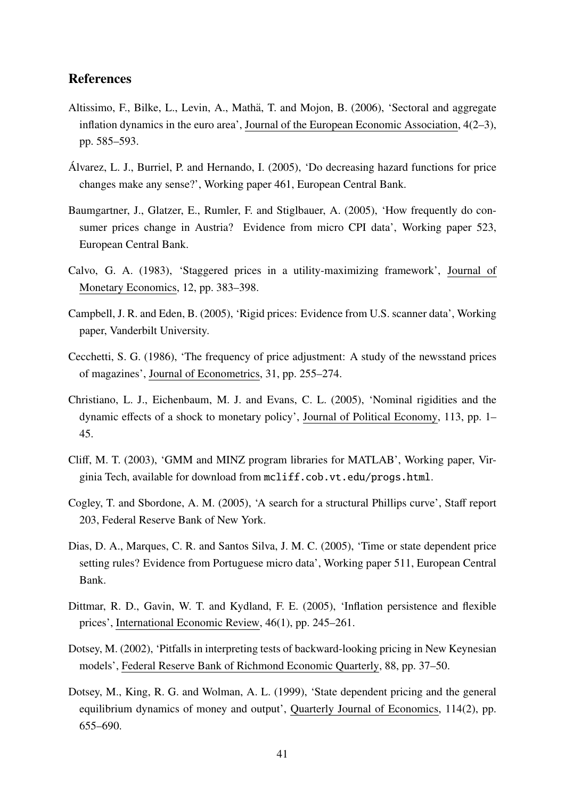## References

- Altissimo, F., Bilke, L., Levin, A., Mathä, T. and Mojon, B. (2006), 'Sectoral and aggregate inflation dynamics in the euro area', Journal of the European Economic Association, 4(2–3), pp. 585–593.
- Alvarez, L. J., Burriel, P. and Hernando, I. (2005), 'Do decreasing hazard functions for price ´ changes make any sense?', Working paper 461, European Central Bank.
- Baumgartner, J., Glatzer, E., Rumler, F. and Stiglbauer, A. (2005), 'How frequently do consumer prices change in Austria? Evidence from micro CPI data', Working paper 523, European Central Bank.
- Calvo, G. A. (1983), 'Staggered prices in a utility-maximizing framework', Journal of Monetary Economics, 12, pp. 383–398.
- Campbell, J. R. and Eden, B. (2005), 'Rigid prices: Evidence from U.S. scanner data', Working paper, Vanderbilt University.
- Cecchetti, S. G. (1986), 'The frequency of price adjustment: A study of the newsstand prices of magazines', Journal of Econometrics, 31, pp. 255–274.
- Christiano, L. J., Eichenbaum, M. J. and Evans, C. L. (2005), 'Nominal rigidities and the dynamic effects of a shock to monetary policy', Journal of Political Economy, 113, pp. 1– 45.
- Cliff, M. T. (2003), 'GMM and MINZ program libraries for MATLAB', Working paper, Virginia Tech, available for download from mcliff.cob.vt.edu/progs.html.
- Cogley, T. and Sbordone, A. M. (2005), 'A search for a structural Phillips curve', Staff report 203, Federal Reserve Bank of New York.
- Dias, D. A., Marques, C. R. and Santos Silva, J. M. C. (2005), 'Time or state dependent price setting rules? Evidence from Portuguese micro data', Working paper 511, European Central Bank.
- Dittmar, R. D., Gavin, W. T. and Kydland, F. E. (2005), 'Inflation persistence and flexible prices', International Economic Review, 46(1), pp. 245–261.
- Dotsey, M. (2002), 'Pitfalls in interpreting tests of backward-looking pricing in New Keynesian models', Federal Reserve Bank of Richmond Economic Quarterly, 88, pp. 37–50.
- Dotsey, M., King, R. G. and Wolman, A. L. (1999), 'State dependent pricing and the general equilibrium dynamics of money and output', Quarterly Journal of Economics, 114(2), pp. 655–690.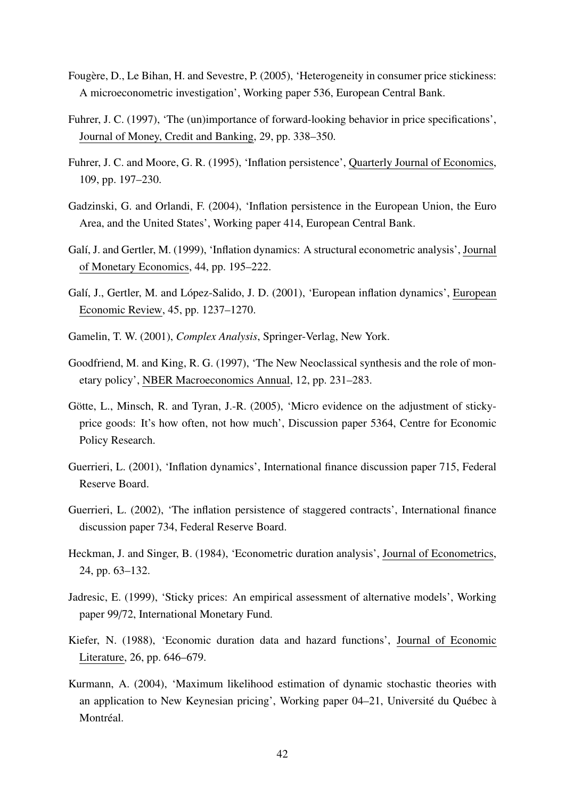- Fougère, D., Le Bihan, H. and Sevestre, P. (2005), 'Heterogeneity in consumer price stickiness: A microeconometric investigation', Working paper 536, European Central Bank.
- Fuhrer, J. C. (1997), 'The (un)importance of forward-looking behavior in price specifications', Journal of Money, Credit and Banking, 29, pp. 338–350.
- Fuhrer, J. C. and Moore, G. R. (1995), 'Inflation persistence', Quarterly Journal of Economics, 109, pp. 197–230.
- Gadzinski, G. and Orlandi, F. (2004), 'Inflation persistence in the European Union, the Euro Area, and the United States', Working paper 414, European Central Bank.
- Galí, J. and Gertler, M. (1999), 'Inflation dynamics: A structural econometric analysis', Journal of Monetary Economics, 44, pp. 195–222.
- Galí, J., Gertler, M. and López-Salido, J. D. (2001), 'European inflation dynamics', European Economic Review, 45, pp. 1237–1270.
- Gamelin, T. W. (2001), *Complex Analysis*, Springer-Verlag, New York.
- Goodfriend, M. and King, R. G. (1997), 'The New Neoclassical synthesis and the role of monetary policy', NBER Macroeconomics Annual, 12, pp. 231–283.
- Götte, L., Minsch, R. and Tyran, J.-R. (2005), 'Micro evidence on the adjustment of stickyprice goods: It's how often, not how much', Discussion paper 5364, Centre for Economic Policy Research.
- Guerrieri, L. (2001), 'Inflation dynamics', International finance discussion paper 715, Federal Reserve Board.
- Guerrieri, L. (2002), 'The inflation persistence of staggered contracts', International finance discussion paper 734, Federal Reserve Board.
- Heckman, J. and Singer, B. (1984), 'Econometric duration analysis', Journal of Econometrics, 24, pp. 63–132.
- Jadresic, E. (1999), 'Sticky prices: An empirical assessment of alternative models', Working paper 99/72, International Monetary Fund.
- Kiefer, N. (1988), 'Economic duration data and hazard functions', Journal of Economic Literature, 26, pp. 646–679.
- Kurmann, A. (2004), 'Maximum likelihood estimation of dynamic stochastic theories with an application to New Keynesian pricing', Working paper 04–21, Université du Québec à Montréal.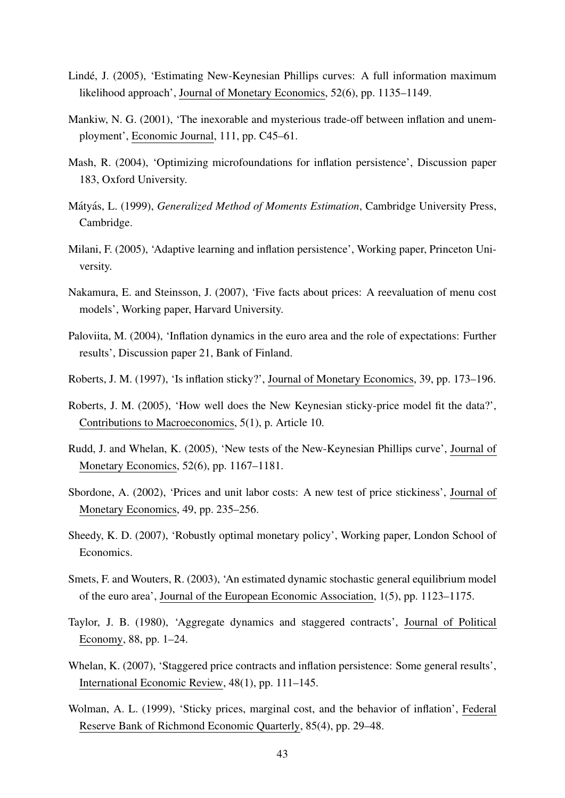- Linde, J. (2005), 'Estimating New-Keynesian Phillips curves: A full information maximum ´ likelihood approach', Journal of Monetary Economics, 52(6), pp. 1135–1149.
- Mankiw, N. G. (2001), 'The inexorable and mysterious trade-off between inflation and unemployment', Economic Journal, 111, pp. C45–61.
- Mash, R. (2004), 'Optimizing microfoundations for inflation persistence', Discussion paper 183, Oxford University.
- Mátyás, L. (1999), *Generalized Method of Moments Estimation*, Cambridge University Press, Cambridge.
- Milani, F. (2005), 'Adaptive learning and inflation persistence', Working paper, Princeton University.
- Nakamura, E. and Steinsson, J. (2007), 'Five facts about prices: A reevaluation of menu cost models', Working paper, Harvard University.
- Paloviita, M. (2004), 'Inflation dynamics in the euro area and the role of expectations: Further results', Discussion paper 21, Bank of Finland.
- Roberts, J. M. (1997), 'Is inflation sticky?', Journal of Monetary Economics, 39, pp. 173–196.
- Roberts, J. M. (2005), 'How well does the New Keynesian sticky-price model fit the data?', Contributions to Macroeconomics, 5(1), p. Article 10.
- Rudd, J. and Whelan, K. (2005), 'New tests of the New-Keynesian Phillips curve', Journal of Monetary Economics, 52(6), pp. 1167–1181.
- Sbordone, A. (2002), 'Prices and unit labor costs: A new test of price stickiness', Journal of Monetary Economics, 49, pp. 235–256.
- Sheedy, K. D. (2007), 'Robustly optimal monetary policy', Working paper, London School of Economics.
- Smets, F. and Wouters, R. (2003), 'An estimated dynamic stochastic general equilibrium model of the euro area', Journal of the European Economic Association, 1(5), pp. 1123–1175.
- Taylor, J. B. (1980), 'Aggregate dynamics and staggered contracts', Journal of Political Economy, 88, pp. 1–24.
- Whelan, K. (2007), 'Staggered price contracts and inflation persistence: Some general results', International Economic Review, 48(1), pp. 111–145.
- Wolman, A. L. (1999), 'Sticky prices, marginal cost, and the behavior of inflation', Federal Reserve Bank of Richmond Economic Quarterly, 85(4), pp. 29–48.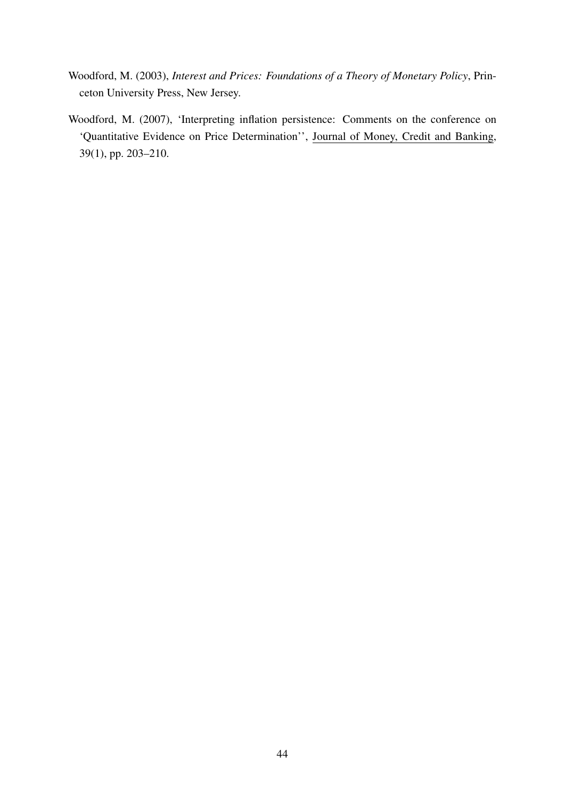- Woodford, M. (2003), *Interest and Prices: Foundations of a Theory of Monetary Policy*, Princeton University Press, New Jersey.
- Woodford, M. (2007), 'Interpreting inflation persistence: Comments on the conference on 'Quantitative Evidence on Price Determination'', Journal of Money, Credit and Banking, 39(1), pp. 203–210.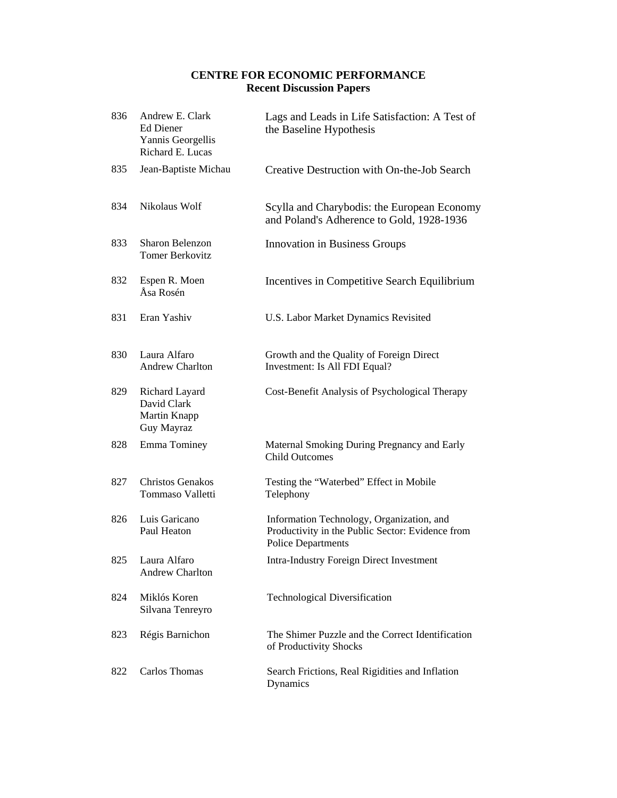# **CENTRE FOR ECONOMIC PERFORMANCE Recent Discussion Papers**

| 836 | Andrew E. Clark<br>Ed Diener<br>Yannis Georgellis<br>Richard E. Lucas | Lags and Leads in Life Satisfaction: A Test of<br>the Baseline Hypothesis                                                  |
|-----|-----------------------------------------------------------------------|----------------------------------------------------------------------------------------------------------------------------|
| 835 | Jean-Baptiste Michau                                                  | Creative Destruction with On-the-Job Search                                                                                |
| 834 | Nikolaus Wolf                                                         | Scylla and Charybodis: the European Economy<br>and Poland's Adherence to Gold, 1928-1936                                   |
| 833 | Sharon Belenzon<br><b>Tomer Berkovitz</b>                             | <b>Innovation in Business Groups</b>                                                                                       |
| 832 | Espen R. Moen<br>Åsa Rosén                                            | Incentives in Competitive Search Equilibrium                                                                               |
| 831 | Eran Yashiv                                                           | U.S. Labor Market Dynamics Revisited                                                                                       |
| 830 | Laura Alfaro<br><b>Andrew Charlton</b>                                | Growth and the Quality of Foreign Direct<br>Investment: Is All FDI Equal?                                                  |
| 829 | Richard Layard<br>David Clark<br>Martin Knapp<br>Guy Mayraz           | Cost-Benefit Analysis of Psychological Therapy                                                                             |
| 828 | <b>Emma Tominey</b>                                                   | Maternal Smoking During Pregnancy and Early<br><b>Child Outcomes</b>                                                       |
| 827 | <b>Christos Genakos</b><br>Tommaso Valletti                           | Testing the "Waterbed" Effect in Mobile<br>Telephony                                                                       |
| 826 | Luis Garicano<br>Paul Heaton                                          | Information Technology, Organization, and<br>Productivity in the Public Sector: Evidence from<br><b>Police Departments</b> |
|     | 825 Laura Alfaro<br><b>Andrew Charlton</b>                            | <b>Intra-Industry Foreign Direct Investment</b>                                                                            |
| 824 | Miklós Koren<br>Silvana Tenreyro                                      | <b>Technological Diversification</b>                                                                                       |
| 823 | Régis Barnichon                                                       | The Shimer Puzzle and the Correct Identification<br>of Productivity Shocks                                                 |
| 822 | Carlos Thomas                                                         | Search Frictions, Real Rigidities and Inflation<br>Dynamics                                                                |